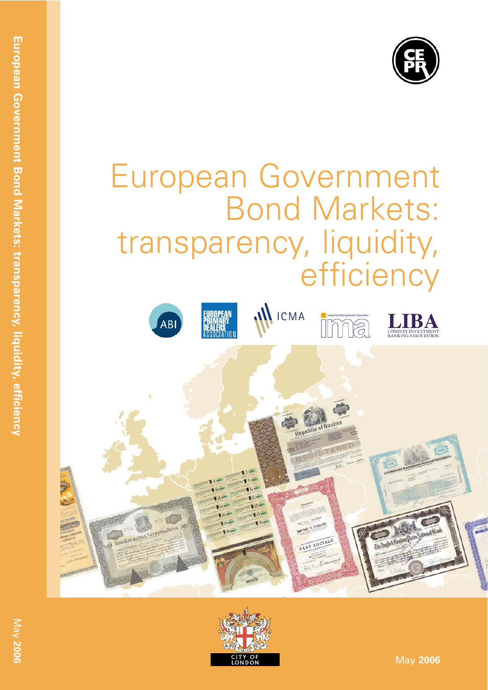

# European Government Bond Markets: transparency, liquidity, efficiency





May **2006**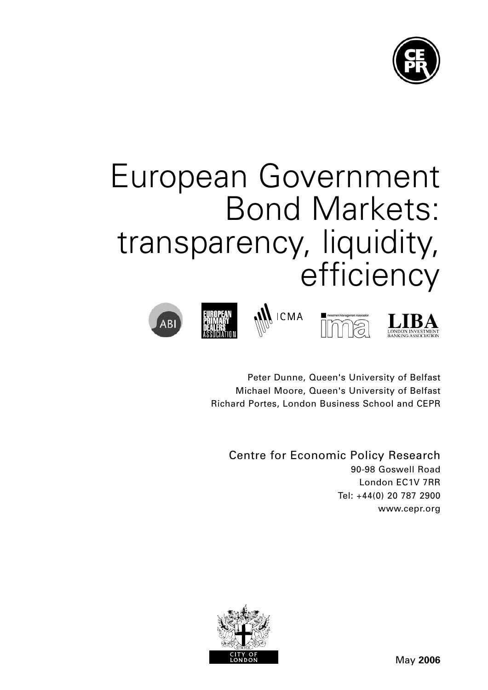

# European Government Bond Markets: transparency, liquidity, efficiency









Peter Dunne, Queen's University of Belfast Michael Moore, Queen's University of Belfast Richard Portes, London Business School and CEPR

Centre for Economic Policy Research 90-98 Goswell Road London EC1V 7RR Tel: +44(0) 20 787 2900 www.cepr.org

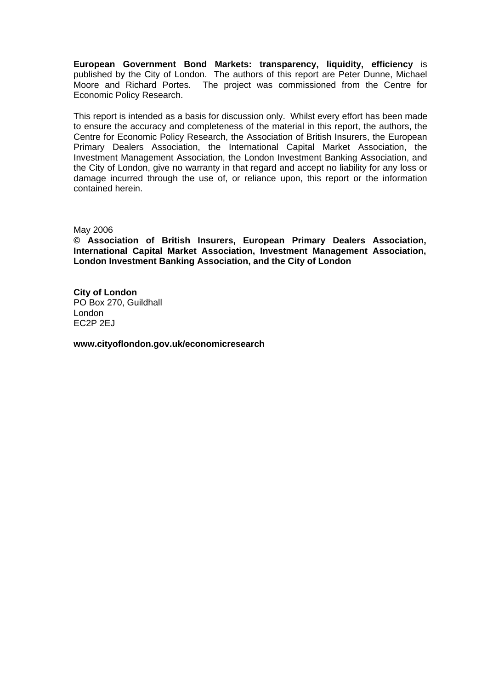**European Government Bond Markets: transparency, liquidity, efficiency** is published by the City of London. The authors of this report are Peter Dunne, Michael Moore and Richard Portes. The project was commissioned from the Centre for Economic Policy Research.

This report is intended as a basis for discussion only. Whilst every effort has been made to ensure the accuracy and completeness of the material in this report, the authors, the Centre for Economic Policy Research, the Association of British Insurers, the European Primary Dealers Association, the International Capital Market Association, the Investment Management Association, the London Investment Banking Association, and the City of London, give no warranty in that regard and accept no liability for any loss or damage incurred through the use of, or reliance upon, this report or the information contained herein.

#### May 2006

**© Association of British Insurers, European Primary Dealers Association, International Capital Market Association, Investment Management Association, London Investment Banking Association, and the City of London** 

**City of London** PO Box 270, Guildhall London EC2P 2EJ

**www.cityoflondon.gov.uk/economicresearch**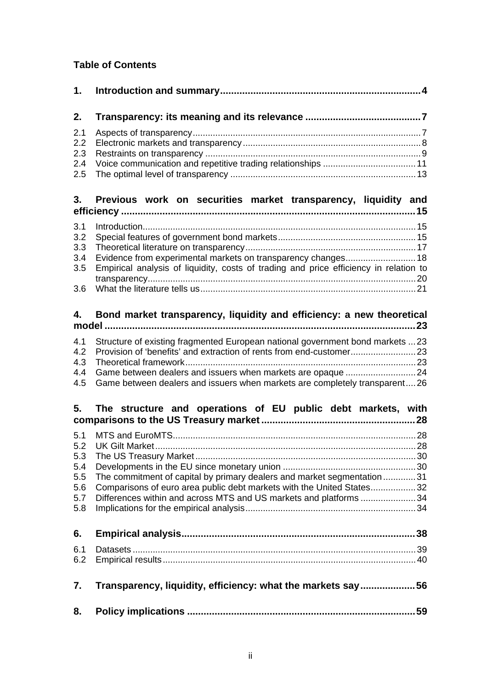# **Table of Contents**

| 1.                                                   |                                                                                                                                                                                                                      |
|------------------------------------------------------|----------------------------------------------------------------------------------------------------------------------------------------------------------------------------------------------------------------------|
| 2.                                                   |                                                                                                                                                                                                                      |
| 2.1<br>2.2<br>2.3<br>2.4<br>2.5                      |                                                                                                                                                                                                                      |
| 3.                                                   | Previous work on securities market transparency, liquidity and                                                                                                                                                       |
| 3.1<br>3.2<br>3.3<br>3.4<br>3.5<br>3.6               | Empirical analysis of liquidity, costs of trading and price efficiency in relation to                                                                                                                                |
| 4.                                                   | Bond market transparency, liquidity and efficiency: a new theoretical                                                                                                                                                |
| 4.1<br>4.2<br>4.3<br>4.4<br>4.5                      | Structure of existing fragmented European national government bond markets  23<br>Game between dealers and issuers when markets are completely transparent26                                                         |
| 5.                                                   | The structure and operations of EU public debt markets, with                                                                                                                                                         |
| 5.1<br>5.2<br>5.3<br>5.4<br>5.5<br>5.6<br>5.7<br>5.8 | The commitment of capital by primary dealers and market segmentation31<br>Comparisons of euro area public debt markets with the United States32<br>Differences within and across MTS and US markets and platforms 34 |
| 6.                                                   |                                                                                                                                                                                                                      |
| 6.1<br>6.2                                           |                                                                                                                                                                                                                      |
| 7.                                                   | Transparency, liquidity, efficiency: what the markets say56                                                                                                                                                          |
| 8.                                                   |                                                                                                                                                                                                                      |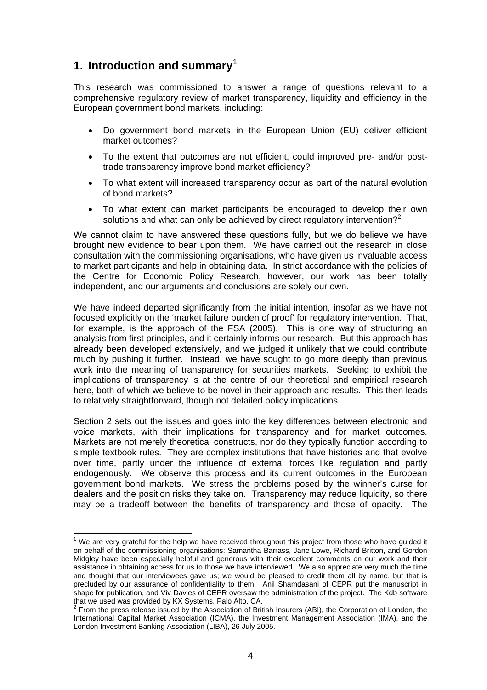# **1. Introduction and summary**<sup>1</sup>

This research was commissioned to answer a range of questions relevant to a comprehensive regulatory review of market transparency, liquidity and efficiency in the European government bond markets, including:

- Do government bond markets in the European Union (EU) deliver efficient market outcomes?
- To the extent that outcomes are not efficient, could improved pre- and/or posttrade transparency improve bond market efficiency?
- To what extent will increased transparency occur as part of the natural evolution of bond markets?
- To what extent can market participants be encouraged to develop their own solutions and what can only be achieved by direct regulatory intervention?<sup>2</sup>

We cannot claim to have answered these questions fully, but we do believe we have brought new evidence to bear upon them. We have carried out the research in close consultation with the commissioning organisations, who have given us invaluable access to market participants and help in obtaining data. In strict accordance with the policies of the Centre for Economic Policy Research, however, our work has been totally independent, and our arguments and conclusions are solely our own.

We have indeed departed significantly from the initial intention, insofar as we have not focused explicitly on the 'market failure burden of proof' for regulatory intervention. That, for example, is the approach of the FSA (2005). This is one way of structuring an analysis from first principles, and it certainly informs our research. But this approach has already been developed extensively, and we judged it unlikely that we could contribute much by pushing it further. Instead, we have sought to go more deeply than previous work into the meaning of transparency for securities markets. Seeking to exhibit the implications of transparency is at the centre of our theoretical and empirical research here, both of which we believe to be novel in their approach and results. This then leads to relatively straightforward, though not detailed policy implications.

Section 2 sets out the issues and goes into the key differences between electronic and voice markets, with their implications for transparency and for market outcomes. Markets are not merely theoretical constructs, nor do they typically function according to simple textbook rules. They are complex institutions that have histories and that evolve over time, partly under the influence of external forces like regulation and partly endogenously. We observe this process and its current outcomes in the European government bond markets. We stress the problems posed by the winner's curse for dealers and the position risks they take on. Transparency may reduce liquidity, so there may be a tradeoff between the benefits of transparency and those of opacity. The

THE TRE TREST TREST TREST TREST TREST TREST TREST TREST TREST TREST TREST TREST TREST TREST TREST TREST TREST T<br>THE are very grateful for the help we have received throughout this project from those who have guided it on behalf of the commissioning organisations: Samantha Barrass, Jane Lowe, Richard Britton, and Gordon Midgley have been especially helpful and generous with their excellent comments on our work and their assistance in obtaining access for us to those we have interviewed. We also appreciate very much the time and thought that our interviewees gave us; we would be pleased to credit them all by name, but that is precluded by our assurance of confidentiality to them. Anil Shamdasani of CEPR put the manuscript in shape for publication, and Viv Davies of CEPR oversaw the administration of the project. The Kdb software that we used was provided by KX Systems, Palo Alto, CA.

 $2$  From the press release issued by the Association of British Insurers (ABI), the Corporation of London, the International Capital Market Association (ICMA), the Investment Management Association (IMA), and the London Investment Banking Association (LIBA), 26 July 2005.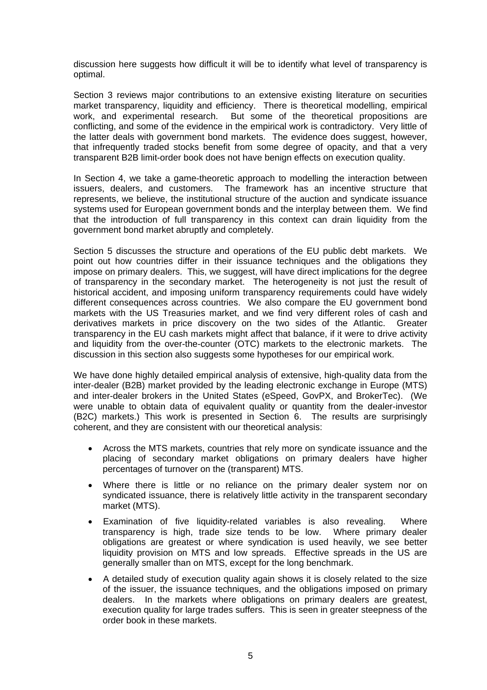discussion here suggests how difficult it will be to identify what level of transparency is optimal.

Section 3 reviews major contributions to an extensive existing literature on securities market transparency, liquidity and efficiency. There is theoretical modelling, empirical work, and experimental research. But some of the theoretical propositions are conflicting, and some of the evidence in the empirical work is contradictory. Very little of the latter deals with government bond markets. The evidence does suggest, however, that infrequently traded stocks benefit from some degree of opacity, and that a very transparent B2B limit-order book does not have benign effects on execution quality.

In Section 4, we take a game-theoretic approach to modelling the interaction between issuers, dealers, and customers. The framework has an incentive structure that represents, we believe, the institutional structure of the auction and syndicate issuance systems used for European government bonds and the interplay between them. We find that the introduction of full transparency in this context can drain liquidity from the government bond market abruptly and completely.

Section 5 discusses the structure and operations of the EU public debt markets. We point out how countries differ in their issuance techniques and the obligations they impose on primary dealers. This, we suggest, will have direct implications for the degree of transparency in the secondary market. The heterogeneity is not just the result of historical accident, and imposing uniform transparency requirements could have widely different consequences across countries. We also compare the EU government bond markets with the US Treasuries market, and we find very different roles of cash and derivatives markets in price discovery on the two sides of the Atlantic. Greater transparency in the EU cash markets might affect that balance, if it were to drive activity and liquidity from the over-the-counter (OTC) markets to the electronic markets. The discussion in this section also suggests some hypotheses for our empirical work.

We have done highly detailed empirical analysis of extensive, high-quality data from the inter-dealer (B2B) market provided by the leading electronic exchange in Europe (MTS) and inter-dealer brokers in the United States (eSpeed, GovPX, and BrokerTec). (We were unable to obtain data of equivalent quality or quantity from the dealer-investor (B2C) markets.) This work is presented in Section 6. The results are surprisingly coherent, and they are consistent with our theoretical analysis:

- Across the MTS markets, countries that rely more on syndicate issuance and the placing of secondary market obligations on primary dealers have higher percentages of turnover on the (transparent) MTS.
- Where there is little or no reliance on the primary dealer system nor on syndicated issuance, there is relatively little activity in the transparent secondary market (MTS).
- Examination of five liquidity-related variables is also revealing. Where transparency is high, trade size tends to be low. Where primary dealer obligations are greatest or where syndication is used heavily, we see better liquidity provision on MTS and low spreads. Effective spreads in the US are generally smaller than on MTS, except for the long benchmark.
- A detailed study of execution quality again shows it is closely related to the size of the issuer, the issuance techniques, and the obligations imposed on primary dealers. In the markets where obligations on primary dealers are greatest, execution quality for large trades suffers. This is seen in greater steepness of the order book in these markets.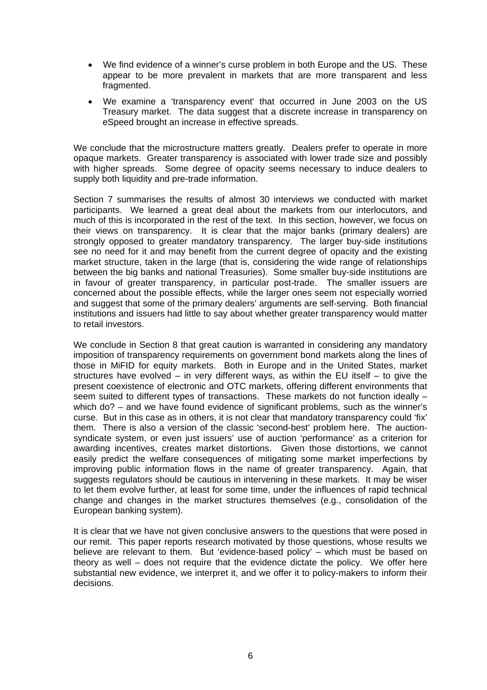- We find evidence of a winner's curse problem in both Europe and the US. These appear to be more prevalent in markets that are more transparent and less fragmented.
- We examine a 'transparency event' that occurred in June 2003 on the US Treasury market. The data suggest that a discrete increase in transparency on eSpeed brought an increase in effective spreads.

We conclude that the microstructure matters greatly. Dealers prefer to operate in more opaque markets. Greater transparency is associated with lower trade size and possibly with higher spreads. Some degree of opacity seems necessary to induce dealers to supply both liquidity and pre-trade information.

Section 7 summarises the results of almost 30 interviews we conducted with market participants. We learned a great deal about the markets from our interlocutors, and much of this is incorporated in the rest of the text. In this section, however, we focus on their views on transparency. It is clear that the major banks (primary dealers) are strongly opposed to greater mandatory transparency. The larger buy-side institutions see no need for it and may benefit from the current degree of opacity and the existing market structure, taken in the large (that is, considering the wide range of relationships between the big banks and national Treasuries). Some smaller buy-side institutions are in favour of greater transparency, in particular post-trade. The smaller issuers are concerned about the possible effects, while the larger ones seem not especially worried and suggest that some of the primary dealers' arguments are self-serving. Both financial institutions and issuers had little to say about whether greater transparency would matter to retail investors.

We conclude in Section 8 that great caution is warranted in considering any mandatory imposition of transparency requirements on government bond markets along the lines of those in MiFID for equity markets. Both in Europe and in the United States, market structures have evolved – in very different ways, as within the EU itself – to give the present coexistence of electronic and OTC markets, offering different environments that seem suited to different types of transactions. These markets do not function ideally – which do? – and we have found evidence of significant problems, such as the winner's curse. But in this case as in others, it is not clear that mandatory transparency could 'fix' them. There is also a version of the classic 'second-best' problem here. The auctionsyndicate system, or even just issuers' use of auction 'performance' as a criterion for awarding incentives, creates market distortions. Given those distortions, we cannot easily predict the welfare consequences of mitigating some market imperfections by improving public information flows in the name of greater transparency. Again, that suggests regulators should be cautious in intervening in these markets. It may be wiser to let them evolve further, at least for some time, under the influences of rapid technical change and changes in the market structures themselves (e.g., consolidation of the European banking system).

It is clear that we have not given conclusive answers to the questions that were posed in our remit. This paper reports research motivated by those questions, whose results we believe are relevant to them. But 'evidence-based policy' – which must be based on theory as well – does not require that the evidence dictate the policy. We offer here substantial new evidence, we interpret it, and we offer it to policy-makers to inform their decisions.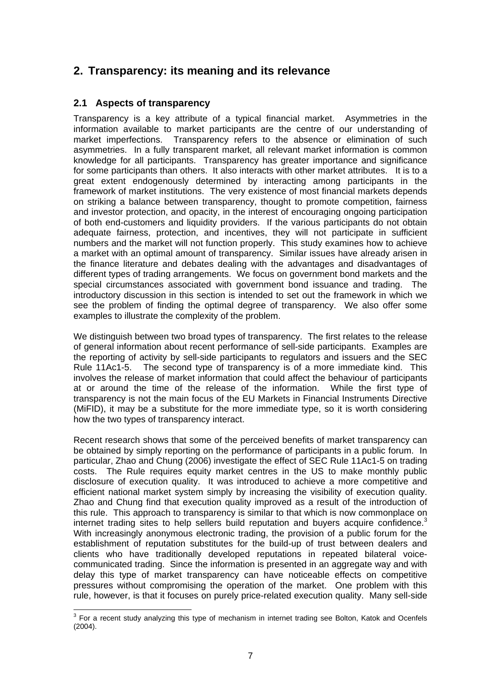# **2. Transparency: its meaning and its relevance**

# **2.1 Aspects of transparency**

Transparency is a key attribute of a typical financial market. Asymmetries in the information available to market participants are the centre of our understanding of market imperfections. Transparency refers to the absence or elimination of such asymmetries. In a fully transparent market, all relevant market information is common knowledge for all participants. Transparency has greater importance and significance for some participants than others. It also interacts with other market attributes. It is to a great extent endogenously determined by interacting among participants in the framework of market institutions. The very existence of most financial markets depends on striking a balance between transparency, thought to promote competition, fairness and investor protection, and opacity, in the interest of encouraging ongoing participation of both end-customers and liquidity providers. If the various participants do not obtain adequate fairness, protection, and incentives, they will not participate in sufficient numbers and the market will not function properly. This study examines how to achieve a market with an optimal amount of transparency. Similar issues have already arisen in the finance literature and debates dealing with the advantages and disadvantages of different types of trading arrangements. We focus on government bond markets and the special circumstances associated with government bond issuance and trading. The introductory discussion in this section is intended to set out the framework in which we see the problem of finding the optimal degree of transparency. We also offer some examples to illustrate the complexity of the problem.

We distinguish between two broad types of transparency. The first relates to the release of general information about recent performance of sell-side participants. Examples are the reporting of activity by sell-side participants to regulators and issuers and the SEC Rule 11Ac1-5. The second type of transparency is of a more immediate kind. This involves the release of market information that could affect the behaviour of participants at or around the time of the release of the information. While the first type of transparency is not the main focus of the EU Markets in Financial Instruments Directive (MiFID), it may be a substitute for the more immediate type, so it is worth considering how the two types of transparency interact.

Recent research shows that some of the perceived benefits of market transparency can be obtained by simply reporting on the performance of participants in a public forum. In particular, Zhao and Chung (2006) investigate the effect of SEC Rule 11Ac1-5 on trading costs. The Rule requires equity market centres in the US to make monthly public disclosure of execution quality. It was introduced to achieve a more competitive and efficient national market system simply by increasing the visibility of execution quality. Zhao and Chung find that execution quality improved as a result of the introduction of this rule. This approach to transparency is similar to that which is now commonplace on internet trading sites to help sellers build reputation and buyers acquire confidence. $3$ With increasingly anonymous electronic trading, the provision of a public forum for the establishment of reputation substitutes for the build-up of trust between dealers and clients who have traditionally developed reputations in repeated bilateral voicecommunicated trading. Since the information is presented in an aggregate way and with delay this type of market transparency can have noticeable effects on competitive pressures without compromising the operation of the market. One problem with this rule, however, is that it focuses on purely price-related execution quality. Many sell-side

**EXECUTE:**<br><sup>3</sup> For a recent study analyzing this type of mechanism in internet trading see Bolton, Katok and Ocenfels (2004).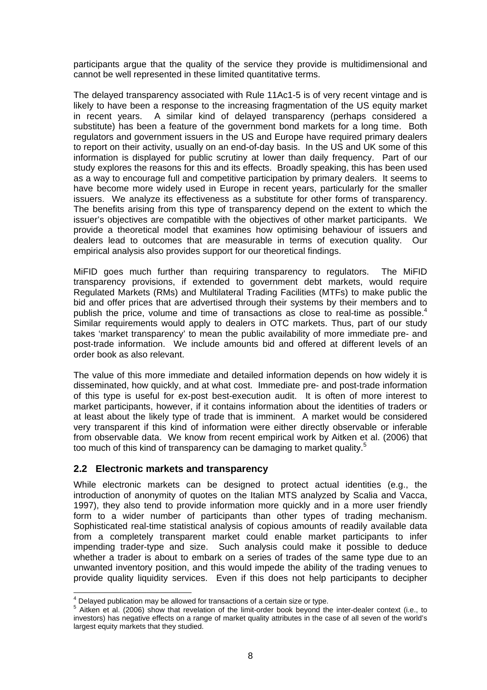participants argue that the quality of the service they provide is multidimensional and cannot be well represented in these limited quantitative terms.

The delayed transparency associated with Rule 11Ac1-5 is of very recent vintage and is likely to have been a response to the increasing fragmentation of the US equity market in recent years. A similar kind of delayed transparency (perhaps considered a substitute) has been a feature of the government bond markets for a long time. Both regulators and government issuers in the US and Europe have required primary dealers to report on their activity, usually on an end-of-day basis. In the US and UK some of this information is displayed for public scrutiny at lower than daily frequency. Part of our study explores the reasons for this and its effects. Broadly speaking, this has been used as a way to encourage full and competitive participation by primary dealers. It seems to have become more widely used in Europe in recent years, particularly for the smaller issuers. We analyze its effectiveness as a substitute for other forms of transparency. The benefits arising from this type of transparency depend on the extent to which the issuer's objectives are compatible with the objectives of other market participants. We provide a theoretical model that examines how optimising behaviour of issuers and dealers lead to outcomes that are measurable in terms of execution quality. Our empirical analysis also provides support for our theoretical findings.

MiFID goes much further than requiring transparency to regulators. The MiFID transparency provisions, if extended to government debt markets, would require Regulated Markets (RMs) and Multilateral Trading Facilities (MTFs) to make public the bid and offer prices that are advertised through their systems by their members and to publish the price, volume and time of transactions as close to real-time as possible. $4$ Similar requirements would apply to dealers in OTC markets. Thus, part of our study takes 'market transparency' to mean the public availability of more immediate pre- and post-trade information. We include amounts bid and offered at different levels of an order book as also relevant.

The value of this more immediate and detailed information depends on how widely it is disseminated, how quickly, and at what cost. Immediate pre- and post-trade information of this type is useful for ex-post best-execution audit. It is often of more interest to market participants, however, if it contains information about the identities of traders or at least about the likely type of trade that is imminent. A market would be considered very transparent if this kind of information were either directly observable or inferable from observable data. We know from recent empirical work by Aitken et al. (2006) that too much of this kind of transparency can be damaging to market quality.<sup>5</sup>

#### **2.2 Electronic markets and transparency**

While electronic markets can be designed to protect actual identities (e.g., the introduction of anonymity of quotes on the Italian MTS analyzed by Scalia and Vacca, 1997), they also tend to provide information more quickly and in a more user friendly form to a wider number of participants than other types of trading mechanism. Sophisticated real-time statistical analysis of copious amounts of readily available data from a completely transparent market could enable market participants to infer impending trader-type and size. Such analysis could make it possible to deduce whether a trader is about to embark on a series of trades of the same type due to an unwanted inventory position, and this would impede the ability of the trading venues to provide quality liquidity services. Even if this does not help participants to decipher

 4 Delayed publication may be allowed for transactions of a certain size or type.

<sup>&</sup>lt;sup>5</sup> Aitken et al. (2006) show that revelation of the limit-order book beyond the inter-dealer context (i.e., to investors) has negative effects on a range of market quality attributes in the case of all seven of the world's largest equity markets that they studied.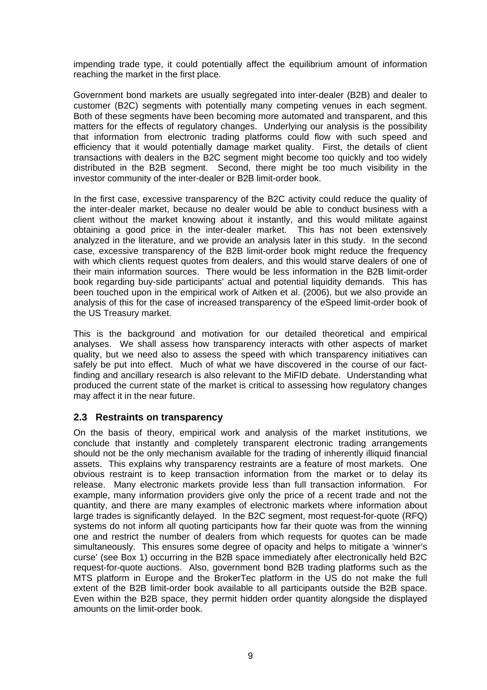impending trade type, it could potentially affect the equilibrium amount of information reaching the market in the first place.

Government bond markets are usually segregated into inter-dealer (B2B) and dealer to customer (B2C) segments with potentially many competing venues in each segment. Both of these segments have been becoming more automated and transparent, and this matters for the effects of regulatory changes. Underlying our analysis is the possibility that information from electronic trading platforms could flow with such speed and efficiency that it would potentially damage market quality. First, the details of client transactions with dealers in the B2C segment might become too quickly and too widely distributed in the B2B segment. Second, there might be too much visibility in the investor community of the inter-dealer or B2B limit-order book.

In the first case, excessive transparency of the B2C activity could reduce the quality of the inter-dealer market, because no dealer would be able to conduct business with a client without the market knowing about it instantly, and this would militate against obtaining a good price in the inter-dealer market. This has not been extensively analyzed in the literature, and we provide an analysis later in this study. In the second case, excessive transparency of the B2B limit-order book might reduce the frequency with which clients request quotes from dealers, and this would starve dealers of one of their main information sources. There would be less information in the B2B limit-order book regarding buy-side participants' actual and potential liquidity demands. This has been touched upon in the empirical work of Aitken et al. (2006), but we also provide an analysis of this for the case of increased transparency of the eSpeed limit-order book of the US Treasury market.

This is the background and motivation for our detailed theoretical and empirical analyses. We shall assess how transparency interacts with other aspects of market quality, but we need also to assess the speed with which transparency initiatives can safely be put into effect. Much of what we have discovered in the course of our factfinding and ancillary research is also relevant to the MiFID debate. Understanding what produced the current state of the market is critical to assessing how regulatory changes may affect it in the near future.

## **2.3 Restraints on transparency**

On the basis of theory, empirical work and analysis of the market institutions, we conclude that instantly and completely transparent electronic trading arrangements should not be the only mechanism available for the trading of inherently illiquid financial assets. This explains why transparency restraints are a feature of most markets. One obvious restraint is to keep transaction information from the market or to delay its release. Many electronic markets provide less than full transaction information. For example, many information providers give only the price of a recent trade and not the quantity, and there are many examples of electronic markets where information about large trades is significantly delayed. In the B2C segment, most request-for-quote (RFQ) systems do not inform all quoting participants how far their quote was from the winning one and restrict the number of dealers from which requests for quotes can be made simultaneously. This ensures some degree of opacity and helps to mitigate a 'winner's curse' (see Box 1) occurring in the B2B space immediately after electronically held B2C request-for-quote auctions. Also, government bond B2B trading platforms such as the MTS platform in Europe and the BrokerTec platform in the US do not make the full extent of the B2B limit-order book available to all participants outside the B2B space. Even within the B2B space, they permit hidden order quantity alongside the displayed amounts on the limit-order book.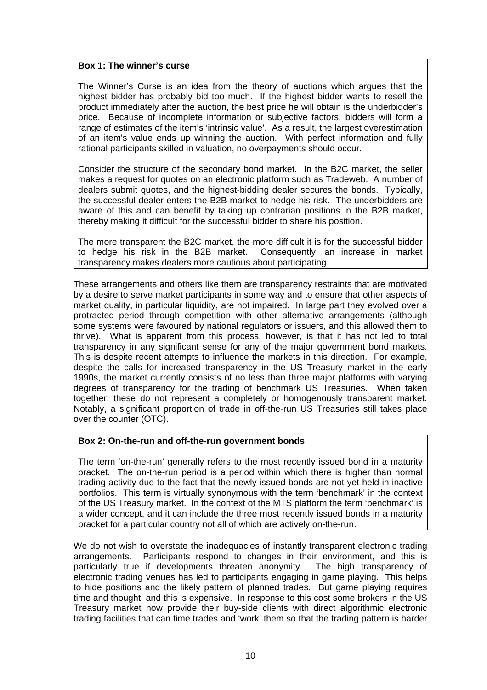#### **Box 1: The winner's curse**

The Winner's Curse is an idea from the theory of auctions which argues that the highest bidder has probably bid too much. If the highest bidder wants to resell the product immediately after the auction, the best price he will obtain is the underbidder's price. Because of incomplete information or subjective factors, bidders will form a range of estimates of the item's 'intrinsic value'. As a result, the largest overestimation of an item's value ends up winning the auction. With perfect information and fully rational participants skilled in valuation, no overpayments should occur.

Consider the structure of the secondary bond market. In the B2C market, the seller makes a request for quotes on an electronic platform such as Tradeweb. A number of dealers submit quotes, and the highest-bidding dealer secures the bonds. Typically, the successful dealer enters the B2B market to hedge his risk. The underbidders are aware of this and can benefit by taking up contrarian positions in the B2B market, thereby making it difficult for the successful bidder to share his position.

The more transparent the B2C market, the more difficult it is for the successful bidder to hedge his risk in the B2B market. Consequently, an increase in market transparency makes dealers more cautious about participating.

These arrangements and others like them are transparency restraints that are motivated by a desire to serve market participants in some way and to ensure that other aspects of market quality, in particular liquidity, are not impaired. In large part they evolved over a protracted period through competition with other alternative arrangements (although some systems were favoured by national regulators or issuers, and this allowed them to thrive). What is apparent from this process, however, is that it has not led to total transparency in any significant sense for any of the major government bond markets. This is despite recent attempts to influence the markets in this direction. For example, despite the calls for increased transparency in the US Treasury market in the early 1990s, the market currently consists of no less than three major platforms with varying degrees of transparency for the trading of benchmark US Treasuries. When taken together, these do not represent a completely or homogenously transparent market. Notably, a significant proportion of trade in off-the-run US Treasuries still takes place over the counter (OTC).

#### **Box 2: On-the-run and off-the-run government bonds**

The term 'on-the-run' generally refers to the most recently issued bond in a maturity bracket. The on-the-run period is a period within which there is higher than normal trading activity due to the fact that the newly issued bonds are not yet held in inactive portfolios. This term is virtually synonymous with the term 'benchmark' in the context of the US Treasury market. In the context of the MTS platform the term 'benchmark' is a wider concept, and it can include the three most recently issued bonds in a maturity bracket for a particular country not all of which are actively on-the-run.

We do not wish to overstate the inadequacies of instantly transparent electronic trading arrangements. Participants respond to changes in their environment, and this is particularly true if developments threaten anonymity. The high transparency of electronic trading venues has led to participants engaging in game playing. This helps to hide positions and the likely pattern of planned trades. But game playing requires time and thought, and this is expensive. In response to this cost some brokers in the US Treasury market now provide their buy-side clients with direct algorithmic electronic trading facilities that can time trades and 'work' them so that the trading pattern is harder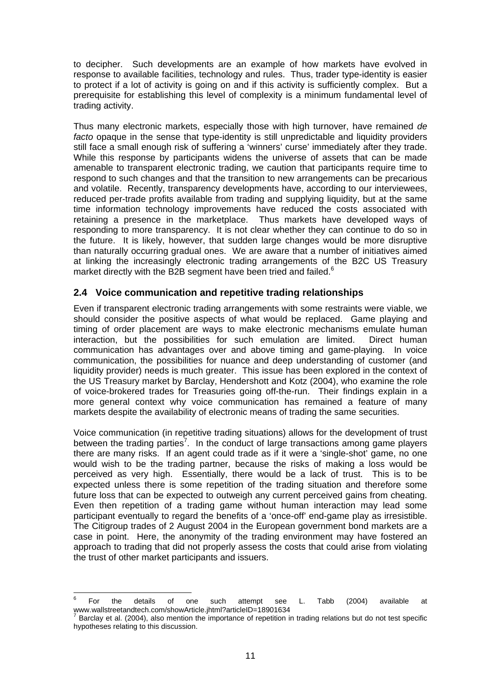to decipher. Such developments are an example of how markets have evolved in response to available facilities, technology and rules. Thus, trader type-identity is easier to protect if a lot of activity is going on and if this activity is sufficiently complex. But a prerequisite for establishing this level of complexity is a minimum fundamental level of trading activity.

Thus many electronic markets, especially those with high turnover, have remained *de facto* opaque in the sense that type-identity is still unpredictable and liquidity providers still face a small enough risk of suffering a 'winners' curse' immediately after they trade. While this response by participants widens the universe of assets that can be made amenable to transparent electronic trading, we caution that participants require time to respond to such changes and that the transition to new arrangements can be precarious and volatile. Recently, transparency developments have, according to our interviewees, reduced per-trade profits available from trading and supplying liquidity, but at the same time information technology improvements have reduced the costs associated with retaining a presence in the marketplace. Thus markets have developed ways of responding to more transparency. It is not clear whether they can continue to do so in the future. It is likely, however, that sudden large changes would be more disruptive than naturally occurring gradual ones. We are aware that a number of initiatives aimed at linking the increasingly electronic trading arrangements of the B2C US Treasury market directly with the B2B segment have been tried and failed.<sup>6</sup>

## **2.4 Voice communication and repetitive trading relationships**

Even if transparent electronic trading arrangements with some restraints were viable, we should consider the positive aspects of what would be replaced. Game playing and timing of order placement are ways to make electronic mechanisms emulate human interaction, but the possibilities for such emulation are limited. Direct human communication has advantages over and above timing and game-playing. In voice communication, the possibilities for nuance and deep understanding of customer (and liquidity provider) needs is much greater. This issue has been explored in the context of the US Treasury market by Barclay, Hendershott and Kotz (2004), who examine the role of voice-brokered trades for Treasuries going off-the-run. Their findings explain in a more general context why voice communication has remained a feature of many markets despite the availability of electronic means of trading the same securities.

Voice communication (in repetitive trading situations) allows for the development of trust between the trading parties<sup>7</sup>. In the conduct of large transactions among game players there are many risks. If an agent could trade as if it were a 'single-shot' game, no one would wish to be the trading partner, because the risks of making a loss would be perceived as very high. Essentially, there would be a lack of trust. This is to be expected unless there is some repetition of the trading situation and therefore some future loss that can be expected to outweigh any current perceived gains from cheating. Even then repetition of a trading game without human interaction may lead some participant eventually to regard the benefits of a 'once-off' end-game play as irresistible. The Citigroup trades of 2 August 2004 in the European government bond markets are a case in point. Here, the anonymity of the trading environment may have fostered an approach to trading that did not properly assess the costs that could arise from violating the trust of other market participants and issuers.

<sup>-&</sup>lt;br>6 For the details of one such attempt see L. Tabb (2004) available at www.wallstreetandtech.com/showArticle.jhtml?articleID=18901634

Barclay et al. (2004), also mention the importance of repetition in trading relations but do not test specific hypotheses relating to this discussion.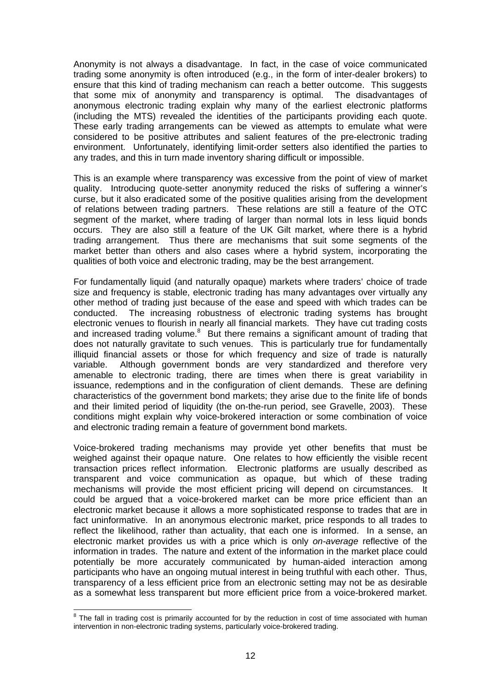Anonymity is not always a disadvantage. In fact, in the case of voice communicated trading some anonymity is often introduced (e.g., in the form of inter-dealer brokers) to ensure that this kind of trading mechanism can reach a better outcome. This suggests that some mix of anonymity and transparency is optimal. The disadvantages of anonymous electronic trading explain why many of the earliest electronic platforms (including the MTS) revealed the identities of the participants providing each quote. These early trading arrangements can be viewed as attempts to emulate what were considered to be positive attributes and salient features of the pre-electronic trading environment. Unfortunately, identifying limit-order setters also identified the parties to any trades, and this in turn made inventory sharing difficult or impossible.

This is an example where transparency was excessive from the point of view of market quality. Introducing quote-setter anonymity reduced the risks of suffering a winner's curse, but it also eradicated some of the positive qualities arising from the development of relations between trading partners. These relations are still a feature of the OTC segment of the market, where trading of larger than normal lots in less liquid bonds occurs. They are also still a feature of the UK Gilt market, where there is a hybrid trading arrangement. Thus there are mechanisms that suit some segments of the market better than others and also cases where a hybrid system, incorporating the qualities of both voice and electronic trading, may be the best arrangement.

For fundamentally liquid (and naturally opaque) markets where traders' choice of trade size and frequency is stable, electronic trading has many advantages over virtually any other method of trading just because of the ease and speed with which trades can be conducted. The increasing robustness of electronic trading systems has brought electronic venues to flourish in nearly all financial markets. They have cut trading costs and increased trading volume. $8$  But there remains a significant amount of trading that does not naturally gravitate to such venues. This is particularly true for fundamentally illiquid financial assets or those for which frequency and size of trade is naturally variable. Although government bonds are very standardized and therefore very amenable to electronic trading, there are times when there is great variability in issuance, redemptions and in the configuration of client demands. These are defining characteristics of the government bond markets; they arise due to the finite life of bonds and their limited period of liquidity (the on-the-run period, see Gravelle, 2003). These conditions might explain why voice-brokered interaction or some combination of voice and electronic trading remain a feature of government bond markets.

Voice-brokered trading mechanisms may provide yet other benefits that must be weighed against their opaque nature. One relates to how efficiently the visible recent transaction prices reflect information. Electronic platforms are usually described as transparent and voice communication as opaque, but which of these trading mechanisms will provide the most efficient pricing will depend on circumstances. It could be argued that a voice-brokered market can be more price efficient than an electronic market because it allows a more sophisticated response to trades that are in fact uninformative. In an anonymous electronic market, price responds to all trades to reflect the likelihood, rather than actuality, that each one is informed. In a sense, an electronic market provides us with a price which is only *on-average* reflective of the information in trades. The nature and extent of the information in the market place could potentially be more accurately communicated by human-aided interaction among participants who have an ongoing mutual interest in being truthful with each other. Thus, transparency of a less efficient price from an electronic setting may not be as desirable as a somewhat less transparent but more efficient price from a voice-brokered market.

**EXECUTE:**<br><sup>8</sup> The fall in trading cost is primarily accounted for by the reduction in cost of time associated with human intervention in non-electronic trading systems, particularly voice-brokered trading.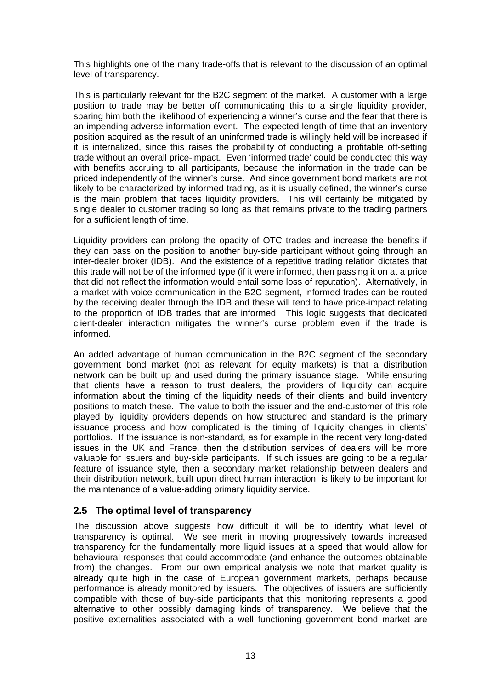This highlights one of the many trade-offs that is relevant to the discussion of an optimal level of transparency.

This is particularly relevant for the B2C segment of the market. A customer with a large position to trade may be better off communicating this to a single liquidity provider, sparing him both the likelihood of experiencing a winner's curse and the fear that there is an impending adverse information event. The expected length of time that an inventory position acquired as the result of an uninformed trade is willingly held will be increased if it is internalized, since this raises the probability of conducting a profitable off-setting trade without an overall price-impact. Even 'informed trade' could be conducted this way with benefits accruing to all participants, because the information in the trade can be priced independently of the winner's curse. And since government bond markets are not likely to be characterized by informed trading, as it is usually defined, the winner's curse is the main problem that faces liquidity providers. This will certainly be mitigated by single dealer to customer trading so long as that remains private to the trading partners for a sufficient length of time.

Liquidity providers can prolong the opacity of OTC trades and increase the benefits if they can pass on the position to another buy-side participant without going through an inter-dealer broker (IDB). And the existence of a repetitive trading relation dictates that this trade will not be of the informed type (if it were informed, then passing it on at a price that did not reflect the information would entail some loss of reputation). Alternatively, in a market with voice communication in the B2C segment, informed trades can be routed by the receiving dealer through the IDB and these will tend to have price-impact relating to the proportion of IDB trades that are informed. This logic suggests that dedicated client-dealer interaction mitigates the winner's curse problem even if the trade is informed.

An added advantage of human communication in the B2C segment of the secondary government bond market (not as relevant for equity markets) is that a distribution network can be built up and used during the primary issuance stage. While ensuring that clients have a reason to trust dealers, the providers of liquidity can acquire information about the timing of the liquidity needs of their clients and build inventory positions to match these. The value to both the issuer and the end-customer of this role played by liquidity providers depends on how structured and standard is the primary issuance process and how complicated is the timing of liquidity changes in clients' portfolios. If the issuance is non-standard, as for example in the recent very long-dated issues in the UK and France, then the distribution services of dealers will be more valuable for issuers and buy-side participants. If such issues are going to be a regular feature of issuance style, then a secondary market relationship between dealers and their distribution network, built upon direct human interaction, is likely to be important for the maintenance of a value-adding primary liquidity service.

## **2.5 The optimal level of transparency**

The discussion above suggests how difficult it will be to identify what level of transparency is optimal. We see merit in moving progressively towards increased transparency for the fundamentally more liquid issues at a speed that would allow for behavioural responses that could accommodate (and enhance the outcomes obtainable from) the changes. From our own empirical analysis we note that market quality is already quite high in the case of European government markets, perhaps because performance is already monitored by issuers. The objectives of issuers are sufficiently compatible with those of buy-side participants that this monitoring represents a good alternative to other possibly damaging kinds of transparency. We believe that the positive externalities associated with a well functioning government bond market are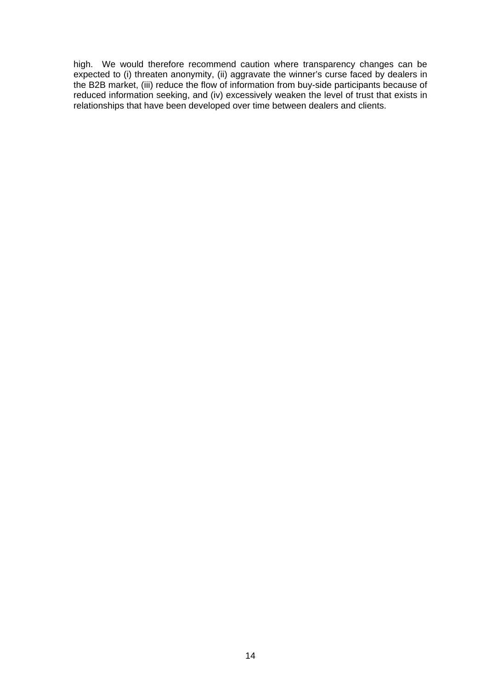high. We would therefore recommend caution where transparency changes can be expected to (i) threaten anonymity, (ii) aggravate the winner's curse faced by dealers in the B2B market, (iii) reduce the flow of information from buy-side participants because of reduced information seeking, and (iv) excessively weaken the level of trust that exists in relationships that have been developed over time between dealers and clients.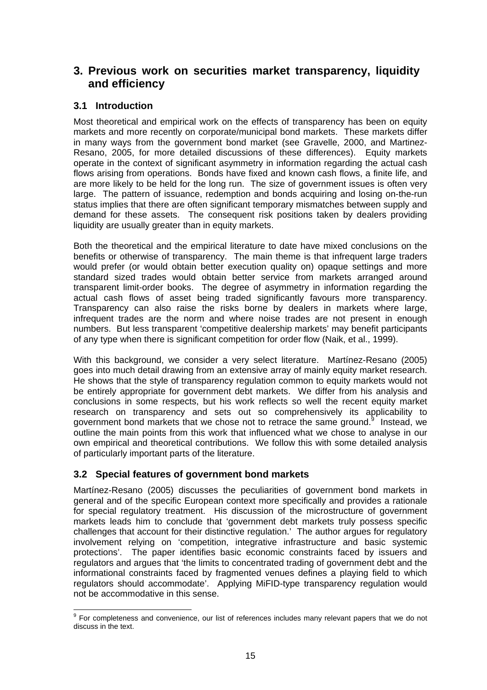# **3. Previous work on securities market transparency, liquidity and efficiency**

# **3.1 Introduction**

Most theoretical and empirical work on the effects of transparency has been on equity markets and more recently on corporate/municipal bond markets. These markets differ in many ways from the government bond market (see Gravelle, 2000, and Martinez-Resano, 2005, for more detailed discussions of these differences). Equity markets operate in the context of significant asymmetry in information regarding the actual cash flows arising from operations. Bonds have fixed and known cash flows, a finite life, and are more likely to be held for the long run. The size of government issues is often very large. The pattern of issuance, redemption and bonds acquiring and losing on-the-run status implies that there are often significant temporary mismatches between supply and demand for these assets. The consequent risk positions taken by dealers providing liquidity are usually greater than in equity markets.

Both the theoretical and the empirical literature to date have mixed conclusions on the benefits or otherwise of transparency. The main theme is that infrequent large traders would prefer (or would obtain better execution quality on) opaque settings and more standard sized trades would obtain better service from markets arranged around transparent limit-order books. The degree of asymmetry in information regarding the actual cash flows of asset being traded significantly favours more transparency. Transparency can also raise the risks borne by dealers in markets where large, infrequent trades are the norm and where noise trades are not present in enough numbers. But less transparent 'competitive dealership markets' may benefit participants of any type when there is significant competition for order flow (Naik, et al., 1999).

With this background, we consider a very select literature. Martínez-Resano (2005) goes into much detail drawing from an extensive array of mainly equity market research. He shows that the style of transparency regulation common to equity markets would not be entirely appropriate for government debt markets. We differ from his analysis and conclusions in some respects, but his work reflects so well the recent equity market research on transparency and sets out so comprehensively its applicability to government bond markets that we chose not to retrace the same ground.<sup>9</sup> Instead, we outline the main points from this work that influenced what we chose to analyse in our own empirical and theoretical contributions. We follow this with some detailed analysis of particularly important parts of the literature.

# **3.2 Special features of government bond markets**

Martínez-Resano (2005) discusses the peculiarities of government bond markets in general and of the specific European context more specifically and provides a rationale for special regulatory treatment. His discussion of the microstructure of government markets leads him to conclude that 'government debt markets truly possess specific challenges that account for their distinctive regulation.' The author argues for regulatory involvement relying on 'competition, integrative infrastructure and basic systemic protections'. The paper identifies basic economic constraints faced by issuers and regulators and argues that 'the limits to concentrated trading of government debt and the informational constraints faced by fragmented venues defines a playing field to which regulators should accommodate'. Applying MiFID-type transparency regulation would not be accommodative in this sense.

enties.<br><sup>9</sup> For completeness and convenience, our list of references includes many relevant papers that we do not discuss in the text.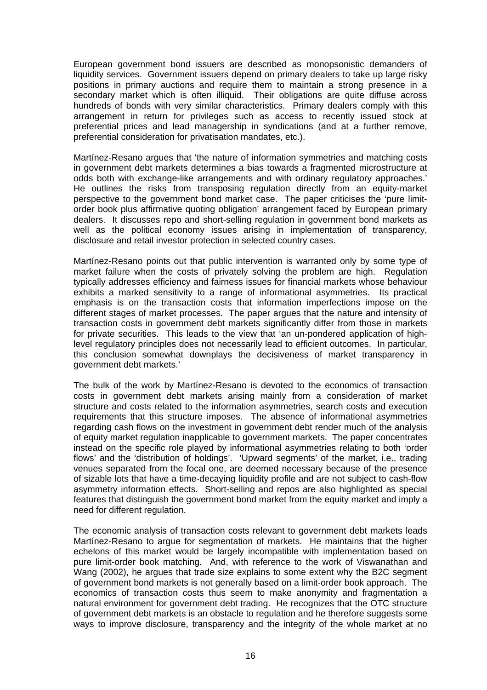European government bond issuers are described as monopsonistic demanders of liquidity services. Government issuers depend on primary dealers to take up large risky positions in primary auctions and require them to maintain a strong presence in a secondary market which is often illiquid. Their obligations are quite diffuse across hundreds of bonds with very similar characteristics. Primary dealers comply with this arrangement in return for privileges such as access to recently issued stock at preferential prices and lead managership in syndications (and at a further remove, preferential consideration for privatisation mandates, etc.).

Martínez-Resano argues that 'the nature of information symmetries and matching costs in government debt markets determines a bias towards a fragmented microstructure at odds both with exchange-like arrangements and with ordinary regulatory approaches.' He outlines the risks from transposing regulation directly from an equity-market perspective to the government bond market case. The paper criticises the 'pure limitorder book plus affirmative quoting obligation' arrangement faced by European primary dealers. It discusses repo and short-selling regulation in government bond markets as well as the political economy issues arising in implementation of transparency, disclosure and retail investor protection in selected country cases.

Martínez-Resano points out that public intervention is warranted only by some type of market failure when the costs of privately solving the problem are high. Regulation typically addresses efficiency and fairness issues for financial markets whose behaviour exhibits a marked sensitivity to a range of informational asymmetries. Its practical emphasis is on the transaction costs that information imperfections impose on the different stages of market processes. The paper argues that the nature and intensity of transaction costs in government debt markets significantly differ from those in markets for private securities. This leads to the view that 'an un-pondered application of highlevel regulatory principles does not necessarily lead to efficient outcomes. In particular, this conclusion somewhat downplays the decisiveness of market transparency in government debt markets.'

The bulk of the work by Martínez-Resano is devoted to the economics of transaction costs in government debt markets arising mainly from a consideration of market structure and costs related to the information asymmetries, search costs and execution requirements that this structure imposes. The absence of informational asymmetries regarding cash flows on the investment in government debt render much of the analysis of equity market regulation inapplicable to government markets. The paper concentrates instead on the specific role played by informational asymmetries relating to both 'order flows' and the 'distribution of holdings'. 'Upward segments' of the market, i.e., trading venues separated from the focal one, are deemed necessary because of the presence of sizable lots that have a time-decaying liquidity profile and are not subject to cash-flow asymmetry information effects. Short-selling and repos are also highlighted as special features that distinguish the government bond market from the equity market and imply a need for different regulation.

The economic analysis of transaction costs relevant to government debt markets leads Martínez-Resano to argue for segmentation of markets. He maintains that the higher echelons of this market would be largely incompatible with implementation based on pure limit-order book matching. And, with reference to the work of Viswanathan and Wang (2002), he argues that trade size explains to some extent why the B2C segment of government bond markets is not generally based on a limit-order book approach. The economics of transaction costs thus seem to make anonymity and fragmentation a natural environment for government debt trading. He recognizes that the OTC structure of government debt markets is an obstacle to regulation and he therefore suggests some ways to improve disclosure, transparency and the integrity of the whole market at no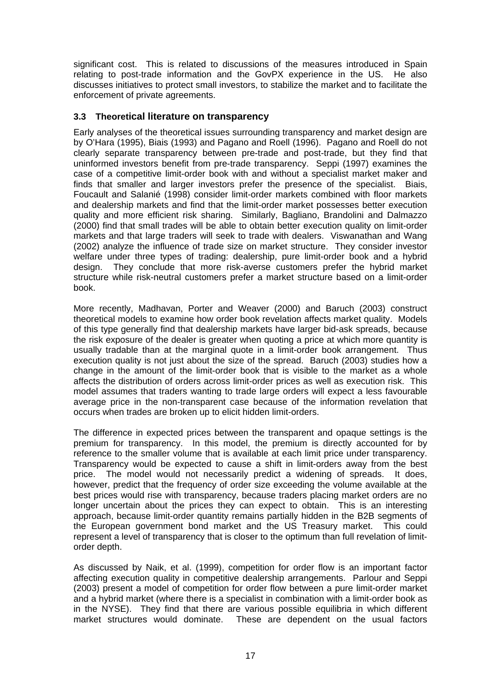significant cost. This is related to discussions of the measures introduced in Spain relating to post-trade information and the GovPX experience in the US. He also discusses initiatives to protect small investors, to stabilize the market and to facilitate the enforcement of private agreements.

#### **3.3 Theoretical literature on transparency**

Early analyses of the theoretical issues surrounding transparency and market design are by O'Hara (1995), Biais (1993) and Pagano and Roell (1996). Pagano and Roell do not clearly separate transparency between pre-trade and post-trade, but they find that uninformed investors benefit from pre-trade transparency. Seppi (1997) examines the case of a competitive limit-order book with and without a specialist market maker and finds that smaller and larger investors prefer the presence of the specialist. Biais, Foucault and Salanié (1998) consider limit-order markets combined with floor markets and dealership markets and find that the limit-order market possesses better execution quality and more efficient risk sharing. Similarly, Bagliano, Brandolini and Dalmazzo (2000) find that small trades will be able to obtain better execution quality on limit-order markets and that large traders will seek to trade with dealers. Viswanathan and Wang (2002) analyze the influence of trade size on market structure. They consider investor welfare under three types of trading: dealership, pure limit-order book and a hybrid design. They conclude that more risk-averse customers prefer the hybrid market structure while risk-neutral customers prefer a market structure based on a limit-order book.

More recently, Madhavan, Porter and Weaver (2000) and Baruch (2003) construct theoretical models to examine how order book revelation affects market quality. Models of this type generally find that dealership markets have larger bid-ask spreads, because the risk exposure of the dealer is greater when quoting a price at which more quantity is usually tradable than at the marginal quote in a limit-order book arrangement. Thus execution quality is not just about the size of the spread. Baruch (2003) studies how a change in the amount of the limit-order book that is visible to the market as a whole affects the distribution of orders across limit-order prices as well as execution risk. This model assumes that traders wanting to trade large orders will expect a less favourable average price in the non-transparent case because of the information revelation that occurs when trades are broken up to elicit hidden limit-orders.

The difference in expected prices between the transparent and opaque settings is the premium for transparency. In this model, the premium is directly accounted for by reference to the smaller volume that is available at each limit price under transparency. Transparency would be expected to cause a shift in limit-orders away from the best price. The model would not necessarily predict a widening of spreads. It does, however, predict that the frequency of order size exceeding the volume available at the best prices would rise with transparency, because traders placing market orders are no longer uncertain about the prices they can expect to obtain. This is an interesting approach, because limit-order quantity remains partially hidden in the B2B segments of the European government bond market and the US Treasury market. This could represent a level of transparency that is closer to the optimum than full revelation of limitorder depth.

As discussed by Naik, et al. (1999), competition for order flow is an important factor affecting execution quality in competitive dealership arrangements. Parlour and Seppi (2003) present a model of competition for order flow between a pure limit-order market and a hybrid market (where there is a specialist in combination with a limit-order book as in the NYSE). They find that there are various possible equilibria in which different market structures would dominate. These are dependent on the usual factors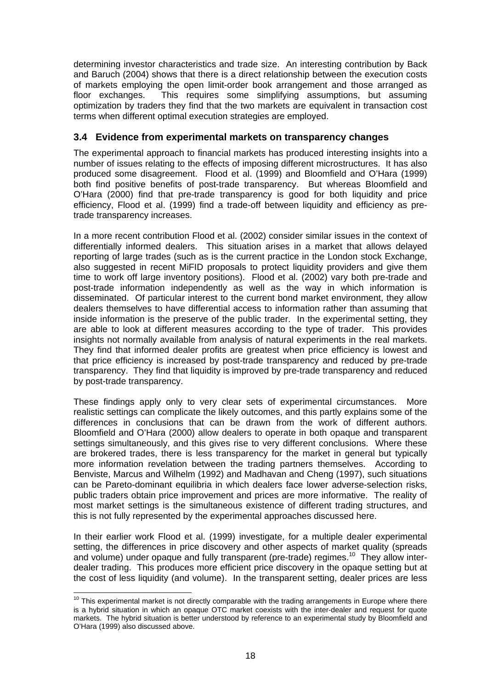determining investor characteristics and trade size. An interesting contribution by Back and Baruch (2004) shows that there is a direct relationship between the execution costs of markets employing the open limit-order book arrangement and those arranged as floor exchanges. This requires some simplifying assumptions, but assuming optimization by traders they find that the two markets are equivalent in transaction cost terms when different optimal execution strategies are employed.

## **3.4 Evidence from experimental markets on transparency changes**

The experimental approach to financial markets has produced interesting insights into a number of issues relating to the effects of imposing different microstructures. It has also produced some disagreement. Flood et al. (1999) and Bloomfield and O'Hara (1999) both find positive benefits of post-trade transparency. But whereas Bloomfield and O'Hara (2000) find that pre-trade transparency is good for both liquidity and price efficiency, Flood et al. (1999) find a trade-off between liquidity and efficiency as pretrade transparency increases.

In a more recent contribution Flood et al. (2002) consider similar issues in the context of differentially informed dealers. This situation arises in a market that allows delayed reporting of large trades (such as is the current practice in the London stock Exchange, also suggested in recent MiFID proposals to protect liquidity providers and give them time to work off large inventory positions). Flood et al. (2002) vary both pre-trade and post-trade information independently as well as the way in which information is disseminated. Of particular interest to the current bond market environment, they allow dealers themselves to have differential access to information rather than assuming that inside information is the preserve of the public trader. In the experimental setting, they are able to look at different measures according to the type of trader. This provides insights not normally available from analysis of natural experiments in the real markets. They find that informed dealer profits are greatest when price efficiency is lowest and that price efficiency is increased by post-trade transparency and reduced by pre-trade transparency. They find that liquidity is improved by pre-trade transparency and reduced by post-trade transparency.

These findings apply only to very clear sets of experimental circumstances. More realistic settings can complicate the likely outcomes, and this partly explains some of the differences in conclusions that can be drawn from the work of different authors. Bloomfield and O'Hara (2000) allow dealers to operate in both opaque and transparent settings simultaneously, and this gives rise to very different conclusions. Where these are brokered trades, there is less transparency for the market in general but typically more information revelation between the trading partners themselves. According to Benviste, Marcus and Wilhelm (1992) and Madhavan and Cheng (1997), such situations can be Pareto-dominant equilibria in which dealers face lower adverse-selection risks, public traders obtain price improvement and prices are more informative. The reality of most market settings is the simultaneous existence of different trading structures, and this is not fully represented by the experimental approaches discussed here.

In their earlier work Flood et al. (1999) investigate, for a multiple dealer experimental setting, the differences in price discovery and other aspects of market quality (spreads and volume) under opaque and fully transparent (pre-trade) regimes.<sup>10</sup> They allow interdealer trading. This produces more efficient price discovery in the opaque setting but at the cost of less liquidity (and volume). In the transparent setting, dealer prices are less

 $\overline{a}$ 

 $10$  This experimental market is not directly comparable with the trading arrangements in Europe where there is a hybrid situation in which an opaque OTC market coexists with the inter-dealer and request for quote markets. The hybrid situation is better understood by reference to an experimental study by Bloomfield and O'Hara (1999) also discussed above.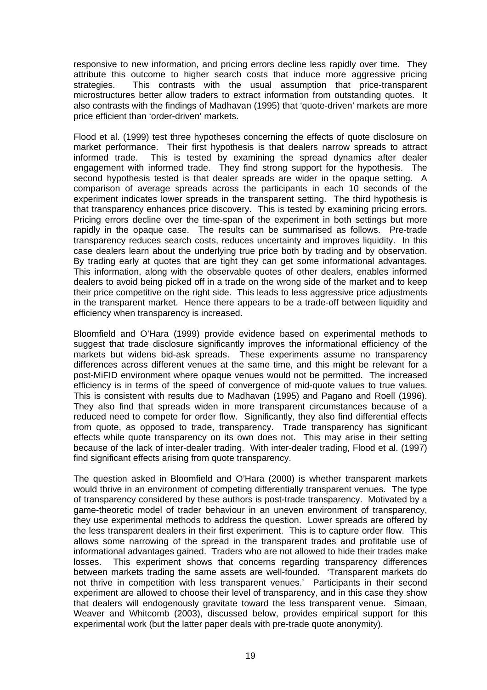responsive to new information, and pricing errors decline less rapidly over time. They attribute this outcome to higher search costs that induce more aggressive pricing strategies. This contrasts with the usual assumption that price-transparent microstructures better allow traders to extract information from outstanding quotes. It also contrasts with the findings of Madhavan (1995) that 'quote-driven' markets are more price efficient than 'order-driven' markets.

Flood et al. (1999) test three hypotheses concerning the effects of quote disclosure on market performance. Their first hypothesis is that dealers narrow spreads to attract informed trade. This is tested by examining the spread dynamics after dealer engagement with informed trade. They find strong support for the hypothesis. The second hypothesis tested is that dealer spreads are wider in the opaque setting. A comparison of average spreads across the participants in each 10 seconds of the experiment indicates lower spreads in the transparent setting. The third hypothesis is that transparency enhances price discovery. This is tested by examining pricing errors. Pricing errors decline over the time-span of the experiment in both settings but more rapidly in the opaque case. The results can be summarised as follows. Pre-trade transparency reduces search costs, reduces uncertainty and improves liquidity. In this case dealers learn about the underlying true price both by trading and by observation. By trading early at quotes that are tight they can get some informational advantages. This information, along with the observable quotes of other dealers, enables informed dealers to avoid being picked off in a trade on the wrong side of the market and to keep their price competitive on the right side. This leads to less aggressive price adjustments in the transparent market. Hence there appears to be a trade-off between liquidity and efficiency when transparency is increased.

Bloomfield and O'Hara (1999) provide evidence based on experimental methods to suggest that trade disclosure significantly improves the informational efficiency of the markets but widens bid-ask spreads. These experiments assume no transparency differences across different venues at the same time, and this might be relevant for a post-MiFID environment where opaque venues would not be permitted. The increased efficiency is in terms of the speed of convergence of mid-quote values to true values. This is consistent with results due to Madhavan (1995) and Pagano and Roell (1996). They also find that spreads widen in more transparent circumstances because of a reduced need to compete for order flow. Significantly, they also find differential effects from quote, as opposed to trade, transparency. Trade transparency has significant effects while quote transparency on its own does not. This may arise in their setting because of the lack of inter-dealer trading. With inter-dealer trading, Flood et al. (1997) find significant effects arising from quote transparency.

The question asked in Bloomfield and O'Hara (2000) is whether transparent markets would thrive in an environment of competing differentially transparent venues. The type of transparency considered by these authors is post-trade transparency. Motivated by a game-theoretic model of trader behaviour in an uneven environment of transparency, they use experimental methods to address the question. Lower spreads are offered by the less transparent dealers in their first experiment. This is to capture order flow. This allows some narrowing of the spread in the transparent trades and profitable use of informational advantages gained. Traders who are not allowed to hide their trades make losses. This experiment shows that concerns regarding transparency differences between markets trading the same assets are well-founded. 'Transparent markets do not thrive in competition with less transparent venues.' Participants in their second experiment are allowed to choose their level of transparency, and in this case they show that dealers will endogenously gravitate toward the less transparent venue. Simaan, Weaver and Whitcomb (2003), discussed below, provides empirical support for this experimental work (but the latter paper deals with pre-trade quote anonymity).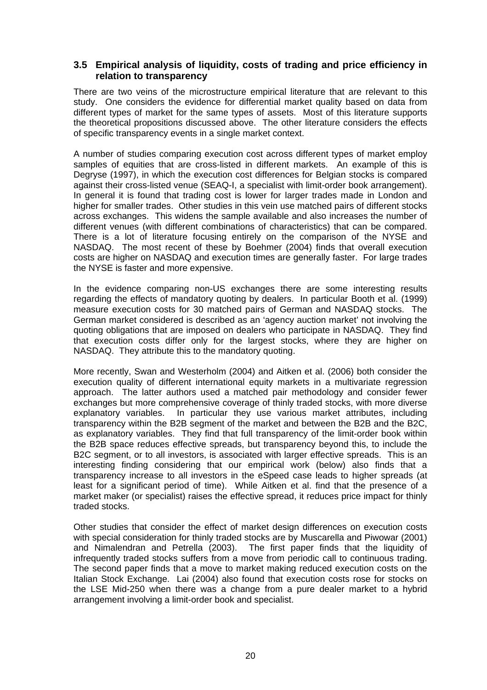#### **3.5 Empirical analysis of liquidity, costs of trading and price efficiency in relation to transparency**

There are two veins of the microstructure empirical literature that are relevant to this study. One considers the evidence for differential market quality based on data from different types of market for the same types of assets. Most of this literature supports the theoretical propositions discussed above. The other literature considers the effects of specific transparency events in a single market context.

A number of studies comparing execution cost across different types of market employ samples of equities that are cross-listed in different markets. An example of this is Degryse (1997), in which the execution cost differences for Belgian stocks is compared against their cross-listed venue (SEAQ-I, a specialist with limit-order book arrangement). In general it is found that trading cost is lower for larger trades made in London and higher for smaller trades. Other studies in this vein use matched pairs of different stocks across exchanges. This widens the sample available and also increases the number of different venues (with different combinations of characteristics) that can be compared. There is a lot of literature focusing entirely on the comparison of the NYSE and NASDAQ. The most recent of these by Boehmer (2004) finds that overall execution costs are higher on NASDAQ and execution times are generally faster. For large trades the NYSE is faster and more expensive.

In the evidence comparing non-US exchanges there are some interesting results regarding the effects of mandatory quoting by dealers. In particular Booth et al. (1999) measure execution costs for 30 matched pairs of German and NASDAQ stocks. The German market considered is described as an 'agency auction market' not involving the quoting obligations that are imposed on dealers who participate in NASDAQ. They find that execution costs differ only for the largest stocks, where they are higher on NASDAQ. They attribute this to the mandatory quoting.

More recently, Swan and Westerholm (2004) and Aitken et al. (2006) both consider the execution quality of different international equity markets in a multivariate regression approach. The latter authors used a matched pair methodology and consider fewer exchanges but more comprehensive coverage of thinly traded stocks, with more diverse explanatory variables. In particular they use various market attributes, including transparency within the B2B segment of the market and between the B2B and the B2C, as explanatory variables. They find that full transparency of the limit-order book within the B2B space reduces effective spreads, but transparency beyond this, to include the B2C segment, or to all investors, is associated with larger effective spreads. This is an interesting finding considering that our empirical work (below) also finds that a transparency increase to all investors in the eSpeed case leads to higher spreads (at least for a significant period of time). While Aitken et al. find that the presence of a market maker (or specialist) raises the effective spread, it reduces price impact for thinly traded stocks.

Other studies that consider the effect of market design differences on execution costs with special consideration for thinly traded stocks are by Muscarella and Piwowar (2001) and Nimalendran and Petrella (2003). The first paper finds that the liquidity of infrequently traded stocks suffers from a move from periodic call to continuous trading. The second paper finds that a move to market making reduced execution costs on the Italian Stock Exchange. Lai (2004) also found that execution costs rose for stocks on the LSE Mid-250 when there was a change from a pure dealer market to a hybrid arrangement involving a limit-order book and specialist.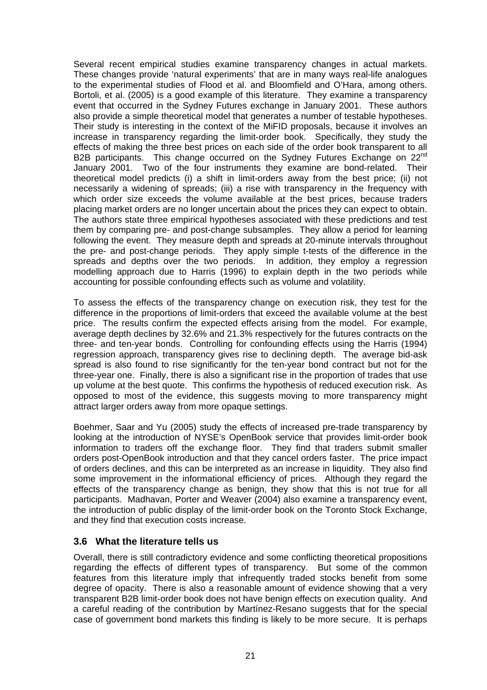Several recent empirical studies examine transparency changes in actual markets. These changes provide 'natural experiments' that are in many ways real-life analogues to the experimental studies of Flood et al. and Bloomfield and O'Hara, among others. Bortoli, et al. (2005) is a good example of this literature. They examine a transparency event that occurred in the Sydney Futures exchange in January 2001. These authors also provide a simple theoretical model that generates a number of testable hypotheses. Their study is interesting in the context of the MiFID proposals, because it involves an increase in transparency regarding the limit-order book. Specifically, they study the effects of making the three best prices on each side of the order book transparent to all B2B participants. This change occurred on the Sydney Futures Exchange on 22<sup>nd</sup> January 2001. Two of the four instruments they examine are bond-related. Their theoretical model predicts (i) a shift in limit-orders away from the best price; (ii) not necessarily a widening of spreads; (iii) a rise with transparency in the frequency with which order size exceeds the volume available at the best prices, because traders placing market orders are no longer uncertain about the prices they can expect to obtain. The authors state three empirical hypotheses associated with these predictions and test them by comparing pre- and post-change subsamples. They allow a period for learning following the event. They measure depth and spreads at 20-minute intervals throughout the pre- and post-change periods. They apply simple t-tests of the difference in the spreads and depths over the two periods. In addition, they employ a regression modelling approach due to Harris (1996) to explain depth in the two periods while accounting for possible confounding effects such as volume and volatility.

To assess the effects of the transparency change on execution risk, they test for the difference in the proportions of limit-orders that exceed the available volume at the best price. The results confirm the expected effects arising from the model. For example, average depth declines by 32.6% and 21.3% respectively for the futures contracts on the three- and ten-year bonds. Controlling for confounding effects using the Harris (1994) regression approach, transparency gives rise to declining depth. The average bid-ask spread is also found to rise significantly for the ten-year bond contract but not for the three-year one. Finally, there is also a significant rise in the proportion of trades that use up volume at the best quote. This confirms the hypothesis of reduced execution risk. As opposed to most of the evidence, this suggests moving to more transparency might attract larger orders away from more opaque settings.

Boehmer, Saar and Yu (2005) study the effects of increased pre-trade transparency by looking at the introduction of NYSE's OpenBook service that provides limit-order book information to traders off the exchange floor. They find that traders submit smaller orders post-OpenBook introduction and that they cancel orders faster. The price impact of orders declines, and this can be interpreted as an increase in liquidity. They also find some improvement in the informational efficiency of prices. Although they regard the effects of the transparency change as benign, they show that this is not true for all participants. Madhavan, Porter and Weaver (2004) also examine a transparency event, the introduction of public display of the limit-order book on the Toronto Stock Exchange, and they find that execution costs increase.

#### **3.6 What the literature tells us**

Overall, there is still contradictory evidence and some conflicting theoretical propositions regarding the effects of different types of transparency. But some of the common features from this literature imply that infrequently traded stocks benefit from some degree of opacity. There is also a reasonable amount of evidence showing that a very transparent B2B limit-order book does not have benign effects on execution quality. And a careful reading of the contribution by Martínez-Resano suggests that for the special case of government bond markets this finding is likely to be more secure. It is perhaps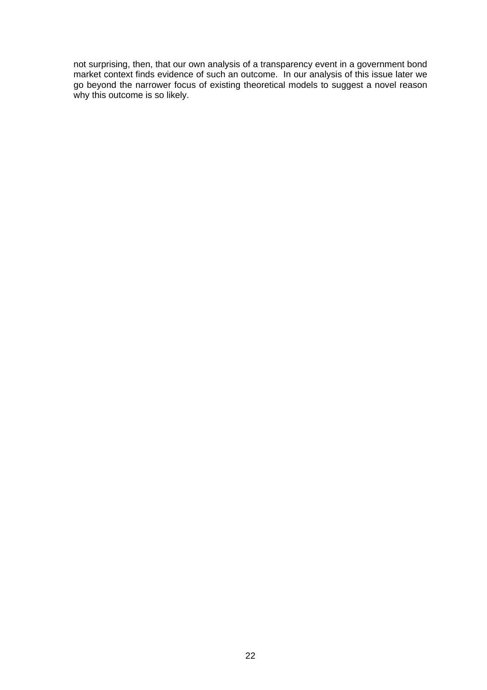not surprising, then, that our own analysis of a transparency event in a government bond market context finds evidence of such an outcome. In our analysis of this issue later we go beyond the narrower focus of existing theoretical models to suggest a novel reason why this outcome is so likely.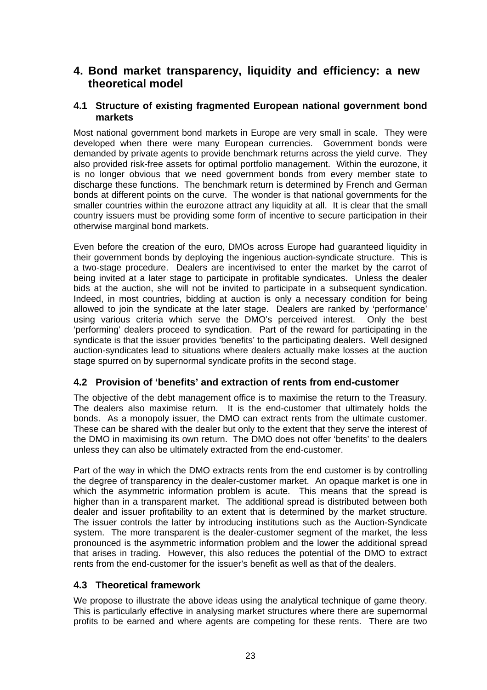# **4. Bond market transparency, liquidity and efficiency: a new theoretical model**

## **4.1 Structure of existing fragmented European national government bond markets**

Most national government bond markets in Europe are very small in scale. They were developed when there were many European currencies. Government bonds were demanded by private agents to provide benchmark returns across the yield curve. They also provided risk-free assets for optimal portfolio management. Within the eurozone, it is no longer obvious that we need government bonds from every member state to discharge these functions. The benchmark return is determined by French and German bonds at different points on the curve. The wonder is that national governments for the smaller countries within the eurozone attract any liquidity at all. It is clear that the small country issuers must be providing some form of incentive to secure participation in their otherwise marginal bond markets.

Even before the creation of the euro, DMOs across Europe had guaranteed liquidity in their government bonds by deploying the ingenious auction-syndicate structure. This is a two-stage procedure. Dealers are incentivised to enter the market by the carrot of being invited at a later stage to participate in profitable syndicates. Unless the dealer bids at the auction, she will not be invited to participate in a subsequent syndication. Indeed, in most countries, bidding at auction is only a necessary condition for being allowed to join the syndicate at the later stage. Dealers are ranked by 'performance' using various criteria which serve the DMO's perceived interest. Only the best 'performing' dealers proceed to syndication. Part of the reward for participating in the syndicate is that the issuer provides 'benefits' to the participating dealers. Well designed auction-syndicates lead to situations where dealers actually make losses at the auction stage spurred on by supernormal syndicate profits in the second stage.

## **4.2 Provision of 'benefits' and extraction of rents from end-customer**

The objective of the debt management office is to maximise the return to the Treasury. The dealers also maximise return. It is the end-customer that ultimately holds the bonds. As a monopoly issuer, the DMO can extract rents from the ultimate customer. These can be shared with the dealer but only to the extent that they serve the interest of the DMO in maximising its own return. The DMO does not offer 'benefits' to the dealers unless they can also be ultimately extracted from the end-customer.

Part of the way in which the DMO extracts rents from the end customer is by controlling the degree of transparency in the dealer-customer market. An opaque market is one in which the asymmetric information problem is acute. This means that the spread is higher than in a transparent market. The additional spread is distributed between both dealer and issuer profitability to an extent that is determined by the market structure. The issuer controls the latter by introducing institutions such as the Auction-Syndicate system. The more transparent is the dealer-customer segment of the market, the less pronounced is the asymmetric information problem and the lower the additional spread that arises in trading. However, this also reduces the potential of the DMO to extract rents from the end-customer for the issuer's benefit as well as that of the dealers.

## **4.3 Theoretical framework**

We propose to illustrate the above ideas using the analytical technique of game theory. This is particularly effective in analysing market structures where there are supernormal profits to be earned and where agents are competing for these rents. There are two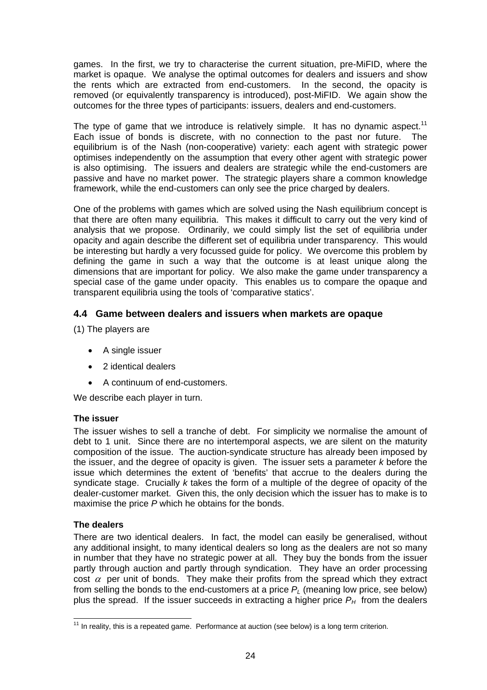games. In the first, we try to characterise the current situation, pre-MiFID, where the market is opaque. We analyse the optimal outcomes for dealers and issuers and show the rents which are extracted from end-customers. In the second, the opacity is removed (or equivalently transparency is introduced), post-MiFID. We again show the outcomes for the three types of participants: issuers, dealers and end-customers.

The type of game that we introduce is relatively simple. It has no dynamic aspect.<sup>11</sup> Each issue of bonds is discrete, with no connection to the past nor future. The equilibrium is of the Nash (non-cooperative) variety: each agent with strategic power optimises independently on the assumption that every other agent with strategic power is also optimising. The issuers and dealers are strategic while the end-customers are passive and have no market power. The strategic players share a common knowledge framework, while the end-customers can only see the price charged by dealers.

One of the problems with games which are solved using the Nash equilibrium concept is that there are often many equilibria. This makes it difficult to carry out the very kind of analysis that we propose. Ordinarily, we could simply list the set of equilibria under opacity and again describe the different set of equilibria under transparency. This would be interesting but hardly a very focussed guide for policy. We overcome this problem by defining the game in such a way that the outcome is at least unique along the dimensions that are important for policy. We also make the game under transparency a special case of the game under opacity. This enables us to compare the opaque and transparent equilibria using the tools of 'comparative statics'.

## **4.4 Game between dealers and issuers when markets are opaque**

(1) The players are

- A single issuer
- 2 identical dealers
- A continuum of end-customers.

We describe each player in turn.

#### **The issuer**

The issuer wishes to sell a tranche of debt. For simplicity we normalise the amount of debt to 1 unit. Since there are no intertemporal aspects, we are silent on the maturity composition of the issue. The auction-syndicate structure has already been imposed by the issuer, and the degree of opacity is given. The issuer sets a parameter *k* before the issue which determines the extent of 'benefits' that accrue to the dealers during the syndicate stage. Crucially *k* takes the form of a multiple of the degree of opacity of the dealer-customer market. Given this, the only decision which the issuer has to make is to maximise the price *P* which he obtains for the bonds.

#### **The dealers**

There are two identical dealers. In fact, the model can easily be generalised, without any additional insight, to many identical dealers so long as the dealers are not so many in number that they have no strategic power at all. They buy the bonds from the issuer partly through auction and partly through syndication. They have an order processing cost  $\alpha$  per unit of bonds. They make their profits from the spread which they extract from selling the bonds to the end-customers at a price  $P_L$  (meaning low price, see below) plus the spread. If the issuer succeeds in extracting a higher price  $P_H$  from the dealers

 $\overline{a}$  $11$  In reality, this is a repeated game. Performance at auction (see below) is a long term criterion.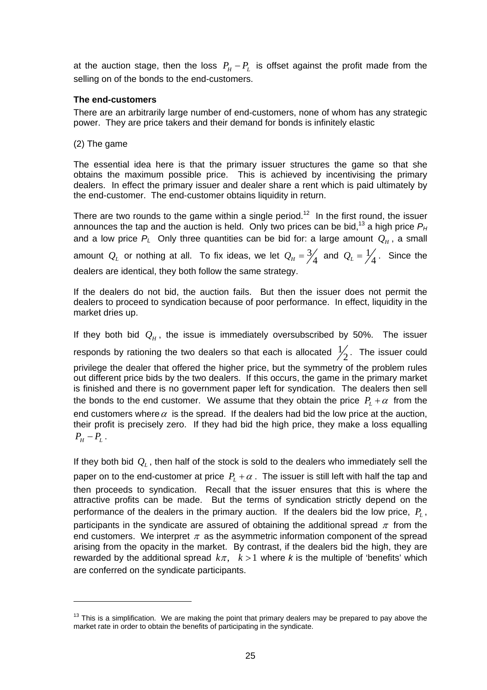at the auction stage, then the loss  $P_H - P_L$  is offset against the profit made from the selling on of the bonds to the end-customers.

#### **The end-customers**

There are an arbitrarily large number of end-customers, none of whom has any strategic power. They are price takers and their demand for bonds is infinitely elastic

(2) The game

The essential idea here is that the primary issuer structures the game so that she obtains the maximum possible price. This is achieved by incentivising the primary dealers. In effect the primary issuer and dealer share a rent which is paid ultimately by the end-customer. The end-customer obtains liquidity in return.

There are two rounds to the game within a single period.<sup>12</sup> In the first round, the issuer announces the tap and the auction is held. Only two prices can be bid,<sup>13</sup> a high price  $P_H$ and a low price  $P_L$  Only three quantities can be bid for: a large amount  $Q_H$ , a small amount  $Q_L$  or nothing at all. To fix ideas, we let  $Q_H = \frac{3}{4}$  and  $Q_L = \frac{1}{4}$ . Since the dealers are identical, they both follow the same strategy.

If the dealers do not bid, the auction fails. But then the issuer does not permit the dealers to proceed to syndication because of poor performance. In effect, liquidity in the market dries up.

If they both bid  $Q_H$ , the issue is immediately oversubscribed by 50%. The issuer responds by rationing the two dealers so that each is allocated  $\frac{1}{2}$ . The issuer could privilege the dealer that offered the higher price, but the symmetry of the problem rules out different price bids by the two dealers. If this occurs, the game in the primary market is finished and there is no government paper left for syndication. The dealers then sell the bonds to the end customer. We assume that they obtain the price  $P_L + \alpha$  from the end customers where  $\alpha$  is the spread. If the dealers had bid the low price at the auction, their profit is precisely zero. If they had bid the high price, they make a loss equalling  $P_{\mu} - P_{\mu}$ .

If they both bid  $Q<sub>L</sub>$ , then half of the stock is sold to the dealers who immediately sell the paper on to the end-customer at price  $P<sub>L</sub> + \alpha$ . The issuer is still left with half the tap and then proceeds to syndication. Recall that the issuer ensures that this is where the attractive profits can be made. But the terms of syndication strictly depend on the performance of the dealers in the primary auction. If the dealers bid the low price,  $P_L$ , participants in the syndicate are assured of obtaining the additional spread  $\pi$  from the end customers. We interpret  $\pi$  as the asymmetric information component of the spread arising from the opacity in the market. By contrast, if the dealers bid the high, they are rewarded by the additional spread  $k\pi$ ,  $k > 1$  where *k* is the multiple of 'benefits' which are conferred on the syndicate participants.

 $13$  This is a simplification. We are making the point that primary dealers may be prepared to pay above the market rate in order to obtain the benefits of participating in the syndicate.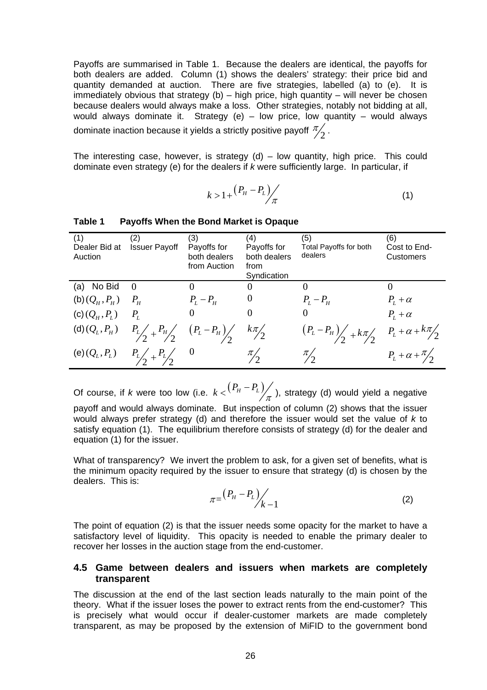Payoffs are summarised in Table 1. Because the dealers are identical, the payoffs for both dealers are added. Column (1) shows the dealers' strategy: their price bid and quantity demanded at auction. There are five strategies, labelled (a) to (e). It is immediately obvious that strategy (b) – high price, high quantity – will never be chosen because dealers would always make a loss. Other strategies, notably not bidding at all, would always dominate it. Strategy (e) – low price, low quantity – would always dominate inaction because it yields a strictly positive payoff  $\frac{\pi}{2}$  .

The interesting case, however, is strategy  $(d)$  – low quantity, high price. This could dominate even strategy (e) for the dealers if *k* were sufficiently large. In particular, if

$$
k > 1 + \frac{(P_H - P_L)}{\pi} \tag{1}
$$

| (1)<br>Dealer Bid at<br>Auction | (2)<br><b>Issuer Payoff</b>                                                                     | (3)<br>Payoffs for<br>both dealers<br>from Auction | (4)<br>Payoffs for<br>both dealers<br>from | (5)<br><b>Total Payoffs for both</b><br>dealers | (6)<br>Cost to End-<br>Customers |
|---------------------------------|-------------------------------------------------------------------------------------------------|----------------------------------------------------|--------------------------------------------|-------------------------------------------------|----------------------------------|
| (a) No Bid                      | $\Omega$                                                                                        | $\theta$                                           | Syndication                                |                                                 |                                  |
| (b) $(Q_{_H}, P_{_H})$          | $P_{H}$                                                                                         | $P_{L}-P_{H}$                                      | $\boldsymbol{0}$                           | $P_L - P_H$                                     | $P_{L} + \alpha$                 |
| (c) $(Q_H, P_L)$                | $P_L$                                                                                           |                                                    |                                            |                                                 | $P_{I} + \alpha$                 |
|                                 | (d) $(Q_L, P_H)$ $P_L / \frac{P_H}{2} + \frac{P_H}{2} \left( P_L - P_H \right) / \frac{P_H}{2}$ |                                                    | $k\pi/2$                                   | $(P_L-P_H)$ + $k\pi$ $P_L+\alpha+k\pi/2$        |                                  |
| (e) $(Q_L, P_L)$                | $P_L\left(\frac{P_L}{2} + \frac{P_L}{2}\right) = 0$                                             |                                                    | $\pi/2$                                    | $\frac{\pi}{2}$                                 | $P_L + \alpha + \frac{\pi}{2}$   |

#### **Table 1 Payoffs When the Bond Market is Opaque**

Of course, if *k* were too low (i.e.  $k < \binom{P_H-P_L}{\pi}$ ), strategy (d) would yield a negative payoff and would always dominate. But inspection of column (2) shows that the issuer

would always prefer strategy (d) and therefore the issuer would set the value of *k* to satisfy equation (1). The equilibrium therefore consists of strategy (d) for the dealer and equation (1) for the issuer.

What of transparency? We invert the problem to ask, for a given set of benefits, what is the minimum opacity required by the issuer to ensure that strategy (d) is chosen by the dealers. This is:

$$
\pi = \frac{(P_H - P_L)}{k - 1} \tag{2}
$$

The point of equation (2) is that the issuer needs some opacity for the market to have a satisfactory level of liquidity. This opacity is needed to enable the primary dealer to recover her losses in the auction stage from the end-customer.

#### **4.5 Game between dealers and issuers when markets are completely transparent**

The discussion at the end of the last section leads naturally to the main point of the theory. What if the issuer loses the power to extract rents from the end-customer? This is precisely what would occur if dealer-customer markets are made completely transparent, as may be proposed by the extension of MiFID to the government bond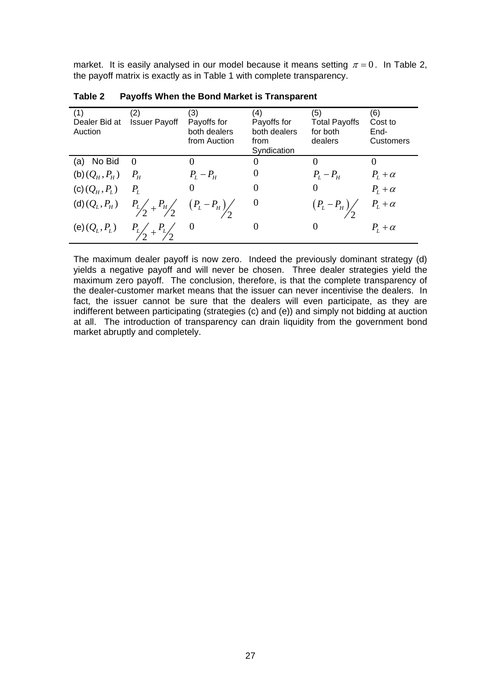market. It is easily analysed in our model because it means setting  $\pi = 0$ . In Table 2, the payoff matrix is exactly as in Table 1 with complete transparency.

| (1)              | (2)                                                                                           | (3)          | (4)          | (5)                          | (6)                               |
|------------------|-----------------------------------------------------------------------------------------------|--------------|--------------|------------------------------|-----------------------------------|
| Dealer Bid at    | <b>Issuer Payoff</b>                                                                          | Payoffs for  | Payoffs for  | <b>Total Payoffs</b>         | Cost to                           |
| Auction          |                                                                                               | both dealers | both dealers | for both                     | End-                              |
|                  |                                                                                               |              |              |                              |                                   |
|                  |                                                                                               | from Auction | from         | dealers                      | <b>Customers</b>                  |
|                  |                                                                                               |              | Syndication  |                              |                                   |
| (a) No Bid       | $\Omega$                                                                                      |              | $\theta$     | $\theta$                     |                                   |
| $(b)(Q_H, P_H)$  | $P_{H}$                                                                                       | $P_L - P_H$  | $\theta$     | $P_L - P_H$                  | $P_L + \alpha$                    |
|                  |                                                                                               |              |              |                              |                                   |
| (c) $(Q_H, P_L)$ | $P_{L}$                                                                                       |              |              | $\theta$                     | $P_L + \alpha$                    |
|                  |                                                                                               |              |              |                              |                                   |
|                  |                                                                                               |              | $\theta$     |                              | $P_{\scriptscriptstyle L}+\alpha$ |
|                  | (d) $(Q_L, P_H)$ $P_L / \frac{P_H}{2} + \frac{P_H}{2} \left( P_L - P_H \right) / \frac{2}{2}$ |              |              | $(P_L-P_H)\!\!\bigg/\!\!\!2$ |                                   |
|                  |                                                                                               | $\theta$     | $\theta$     | $\Omega$                     |                                   |
| (e) $(Q_L, P_L)$ |                                                                                               |              |              |                              | $P_{L} + \alpha$                  |
|                  |                                                                                               |              |              |                              |                                   |

**Table 2 Payoffs When the Bond Market is Transparent** 

The maximum dealer payoff is now zero. Indeed the previously dominant strategy (d) yields a negative payoff and will never be chosen. Three dealer strategies yield the maximum zero payoff. The conclusion, therefore, is that the complete transparency of the dealer-customer market means that the issuer can never incentivise the dealers. In fact, the issuer cannot be sure that the dealers will even participate, as they are indifferent between participating (strategies (c) and (e)) and simply not bidding at auction at all. The introduction of transparency can drain liquidity from the government bond market abruptly and completely.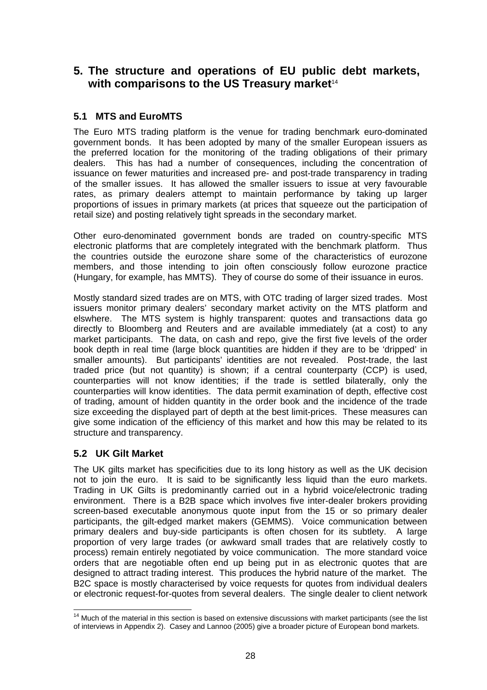# **5. The structure and operations of EU public debt markets,**  with comparisons to the US Treasury market<sup>14</sup>

# **5.1 MTS and EuroMTS**

The Euro MTS trading platform is the venue for trading benchmark euro-dominated government bonds. It has been adopted by many of the smaller European issuers as the preferred location for the monitoring of the trading obligations of their primary dealers. This has had a number of consequences, including the concentration of issuance on fewer maturities and increased pre- and post-trade transparency in trading of the smaller issues. It has allowed the smaller issuers to issue at very favourable rates, as primary dealers attempt to maintain performance by taking up larger proportions of issues in primary markets (at prices that squeeze out the participation of retail size) and posting relatively tight spreads in the secondary market.

Other euro-denominated government bonds are traded on country-specific MTS electronic platforms that are completely integrated with the benchmark platform. Thus the countries outside the eurozone share some of the characteristics of eurozone members, and those intending to join often consciously follow eurozone practice (Hungary, for example, has MMTS). They of course do some of their issuance in euros.

Mostly standard sized trades are on MTS, with OTC trading of larger sized trades. Most issuers monitor primary dealers' secondary market activity on the MTS platform and elswhere. The MTS system is highly transparent: quotes and transactions data go directly to Bloomberg and Reuters and are available immediately (at a cost) to any market participants. The data, on cash and repo, give the first five levels of the order book depth in real time (large block quantities are hidden if they are to be 'dripped' in smaller amounts). But participants' identities are not revealed. Post-trade, the last traded price (but not quantity) is shown; if a central counterparty (CCP) is used, counterparties will not know identities; if the trade is settled bilaterally, only the counterparties will know identities. The data permit examination of depth, effective cost of trading, amount of hidden quantity in the order book and the incidence of the trade size exceeding the displayed part of depth at the best limit-prices. These measures can give some indication of the efficiency of this market and how this may be related to its structure and transparency.

## **5.2 UK Gilt Market**

The UK gilts market has specificities due to its long history as well as the UK decision not to join the euro. It is said to be significantly less liquid than the euro markets. Trading in UK Gilts is predominantly carried out in a hybrid voice/electronic trading environment. There is a B2B space which involves five inter-dealer brokers providing screen-based executable anonymous quote input from the 15 or so primary dealer participants, the gilt-edged market makers (GEMMS). Voice communication between primary dealers and buy-side participants is often chosen for its subtlety. A large proportion of very large trades (or awkward small trades that are relatively costly to process) remain entirely negotiated by voice communication. The more standard voice orders that are negotiable often end up being put in as electronic quotes that are designed to attract trading interest. This produces the hybrid nature of the market. The B2C space is mostly characterised by voice requests for quotes from individual dealers or electronic request-for-quotes from several dealers. The single dealer to client network

  $14$  Much of the material in this section is based on extensive discussions with market participants (see the list of interviews in Appendix 2). Casey and Lannoo (2005) give a broader picture of European bond markets.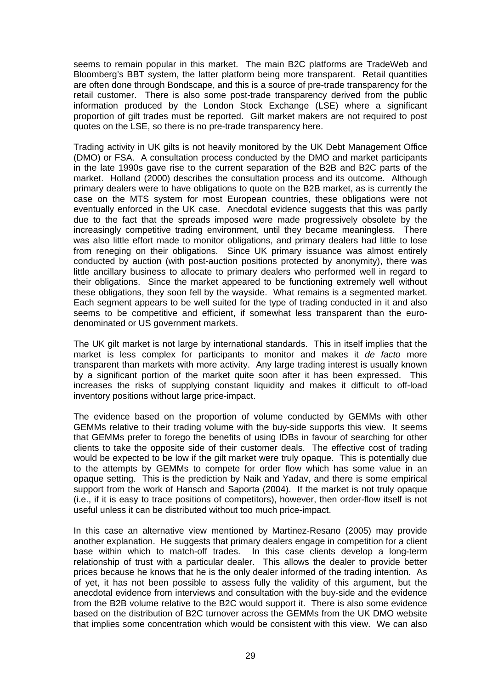seems to remain popular in this market. The main B2C platforms are TradeWeb and Bloomberg's BBT system, the latter platform being more transparent. Retail quantities are often done through Bondscape, and this is a source of pre-trade transparency for the retail customer. There is also some post-trade transparency derived from the public information produced by the London Stock Exchange (LSE) where a significant proportion of gilt trades must be reported. Gilt market makers are not required to post quotes on the LSE, so there is no pre-trade transparency here.

Trading activity in UK gilts is not heavily monitored by the UK Debt Management Office (DMO) or FSA. A consultation process conducted by the DMO and market participants in the late 1990s gave rise to the current separation of the B2B and B2C parts of the market. Holland (2000) describes the consultation process and its outcome. Although primary dealers were to have obligations to quote on the B2B market, as is currently the case on the MTS system for most European countries, these obligations were not eventually enforced in the UK case. Anecdotal evidence suggests that this was partly due to the fact that the spreads imposed were made progressively obsolete by the increasingly competitive trading environment, until they became meaningless. There was also little effort made to monitor obligations, and primary dealers had little to lose from reneging on their obligations. Since UK primary issuance was almost entirely conducted by auction (with post-auction positions protected by anonymity), there was little ancillary business to allocate to primary dealers who performed well in regard to their obligations. Since the market appeared to be functioning extremely well without these obligations, they soon fell by the wayside. What remains is a segmented market. Each segment appears to be well suited for the type of trading conducted in it and also seems to be competitive and efficient, if somewhat less transparent than the eurodenominated or US government markets.

The UK gilt market is not large by international standards. This in itself implies that the market is less complex for participants to monitor and makes it *de facto* more transparent than markets with more activity. Any large trading interest is usually known by a significant portion of the market quite soon after it has been expressed. This increases the risks of supplying constant liquidity and makes it difficult to off-load inventory positions without large price-impact.

The evidence based on the proportion of volume conducted by GEMMs with other GEMMs relative to their trading volume with the buy-side supports this view. It seems that GEMMs prefer to forego the benefits of using IDBs in favour of searching for other clients to take the opposite side of their customer deals. The effective cost of trading would be expected to be low if the gilt market were truly opaque. This is potentially due to the attempts by GEMMs to compete for order flow which has some value in an opaque setting. This is the prediction by Naik and Yadav, and there is some empirical support from the work of Hansch and Saporta (2004). If the market is not truly opaque (i.e., if it is easy to trace positions of competitors), however, then order-flow itself is not useful unless it can be distributed without too much price-impact.

In this case an alternative view mentioned by Martinez-Resano (2005) may provide another explanation. He suggests that primary dealers engage in competition for a client base within which to match-off trades. In this case clients develop a long-term relationship of trust with a particular dealer. This allows the dealer to provide better prices because he knows that he is the only dealer informed of the trading intention. As of yet, it has not been possible to assess fully the validity of this argument, but the anecdotal evidence from interviews and consultation with the buy-side and the evidence from the B2B volume relative to the B2C would support it. There is also some evidence based on the distribution of B2C turnover across the GEMMs from the UK DMO website that implies some concentration which would be consistent with this view. We can also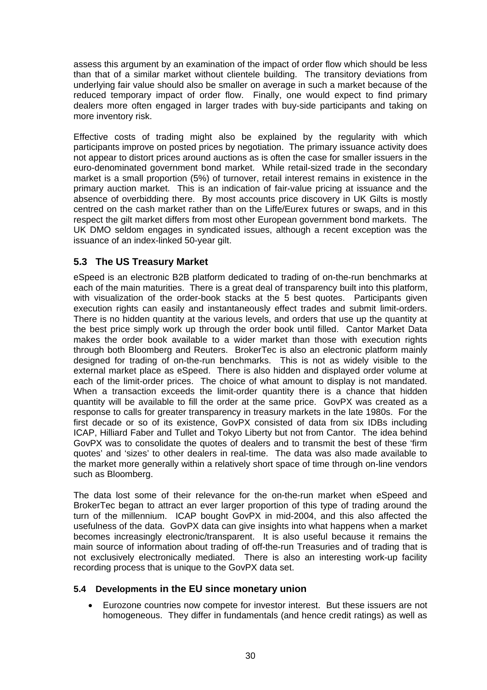assess this argument by an examination of the impact of order flow which should be less than that of a similar market without clientele building. The transitory deviations from underlying fair value should also be smaller on average in such a market because of the reduced temporary impact of order flow. Finally, one would expect to find primary dealers more often engaged in larger trades with buy-side participants and taking on more inventory risk.

Effective costs of trading might also be explained by the regularity with which participants improve on posted prices by negotiation. The primary issuance activity does not appear to distort prices around auctions as is often the case for smaller issuers in the euro-denominated government bond market. While retail-sized trade in the secondary market is a small proportion (5%) of turnover, retail interest remains in existence in the primary auction market. This is an indication of fair-value pricing at issuance and the absence of overbidding there. By most accounts price discovery in UK Gilts is mostly centred on the cash market rather than on the Liffe/Eurex futures or swaps, and in this respect the gilt market differs from most other European government bond markets. The UK DMO seldom engages in syndicated issues, although a recent exception was the issuance of an index-linked 50-year gilt.

# **5.3 The US Treasury Market**

eSpeed is an electronic B2B platform dedicated to trading of on-the-run benchmarks at each of the main maturities. There is a great deal of transparency built into this platform, with visualization of the order-book stacks at the 5 best quotes. Participants given execution rights can easily and instantaneously effect trades and submit limit-orders. There is no hidden quantity at the various levels, and orders that use up the quantity at the best price simply work up through the order book until filled. Cantor Market Data makes the order book available to a wider market than those with execution rights through both Bloomberg and Reuters. BrokerTec is also an electronic platform mainly designed for trading of on-the-run benchmarks. This is not as widely visible to the external market place as eSpeed. There is also hidden and displayed order volume at each of the limit-order prices. The choice of what amount to display is not mandated. When a transaction exceeds the limit-order quantity there is a chance that hidden quantity will be available to fill the order at the same price. GovPX was created as a response to calls for greater transparency in treasury markets in the late 1980s. For the first decade or so of its existence, GovPX consisted of data from six IDBs including ICAP, Hilliard Faber and Tullet and Tokyo Liberty but not from Cantor. The idea behind GovPX was to consolidate the quotes of dealers and to transmit the best of these 'firm quotes' and 'sizes' to other dealers in real-time. The data was also made available to the market more generally within a relatively short space of time through on-line vendors such as Bloomberg.

The data lost some of their relevance for the on-the-run market when eSpeed and BrokerTec began to attract an ever larger proportion of this type of trading around the turn of the millennium. ICAP bought GovPX in mid-2004, and this also affected the usefulness of the data. GovPX data can give insights into what happens when a market becomes increasingly electronic/transparent. It is also useful because it remains the main source of information about trading of off-the-run Treasuries and of trading that is not exclusively electronically mediated. There is also an interesting work-up facility recording process that is unique to the GovPX data set.

## **5.4 Developments in the EU since monetary union**

• Eurozone countries now compete for investor interest. But these issuers are not homogeneous. They differ in fundamentals (and hence credit ratings) as well as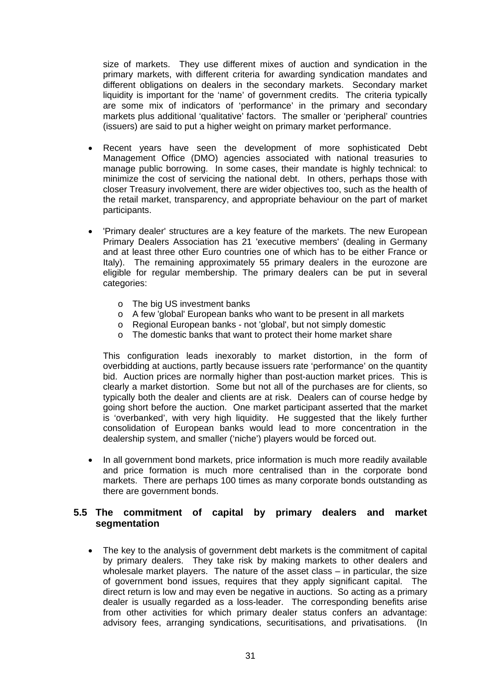size of markets. They use different mixes of auction and syndication in the primary markets, with different criteria for awarding syndication mandates and different obligations on dealers in the secondary markets. Secondary market liquidity is important for the 'name' of government credits. The criteria typically are some mix of indicators of 'performance' in the primary and secondary markets plus additional 'qualitative' factors. The smaller or 'peripheral' countries (issuers) are said to put a higher weight on primary market performance.

- Recent years have seen the development of more sophisticated Debt Management Office (DMO) agencies associated with national treasuries to manage public borrowing. In some cases, their mandate is highly technical: to minimize the cost of servicing the national debt. In others, perhaps those with closer Treasury involvement, there are wider objectives too, such as the health of the retail market, transparency, and appropriate behaviour on the part of market participants.
- 'Primary dealer' structures are a key feature of the markets. The new European Primary Dealers Association has 21 'executive members' (dealing in Germany and at least three other Euro countries one of which has to be either France or Italy). The remaining approximately 55 primary dealers in the eurozone are eligible for regular membership. The primary dealers can be put in several categories:
	- o The big US investment banks
	- o A few 'global' European banks who want to be present in all markets
	- o Regional European banks not 'global', but not simply domestic
	- o The domestic banks that want to protect their home market share

This configuration leads inexorably to market distortion, in the form of overbidding at auctions, partly because issuers rate 'performance' on the quantity bid. Auction prices are normally higher than post-auction market prices. This is clearly a market distortion. Some but not all of the purchases are for clients, so typically both the dealer and clients are at risk. Dealers can of course hedge by going short before the auction. One market participant asserted that the market is 'overbanked', with very high liquidity. He suggested that the likely further consolidation of European banks would lead to more concentration in the dealership system, and smaller ('niche') players would be forced out.

• In all government bond markets, price information is much more readily available and price formation is much more centralised than in the corporate bond markets. There are perhaps 100 times as many corporate bonds outstanding as there are government bonds.

#### **5.5 The commitment of capital by primary dealers and market segmentation**

• The key to the analysis of government debt markets is the commitment of capital by primary dealers. They take risk by making markets to other dealers and wholesale market players. The nature of the asset class – in particular, the size of government bond issues, requires that they apply significant capital. The direct return is low and may even be negative in auctions. So acting as a primary dealer is usually regarded as a loss-leader. The corresponding benefits arise from other activities for which primary dealer status confers an advantage: advisory fees, arranging syndications, securitisations, and privatisations. (In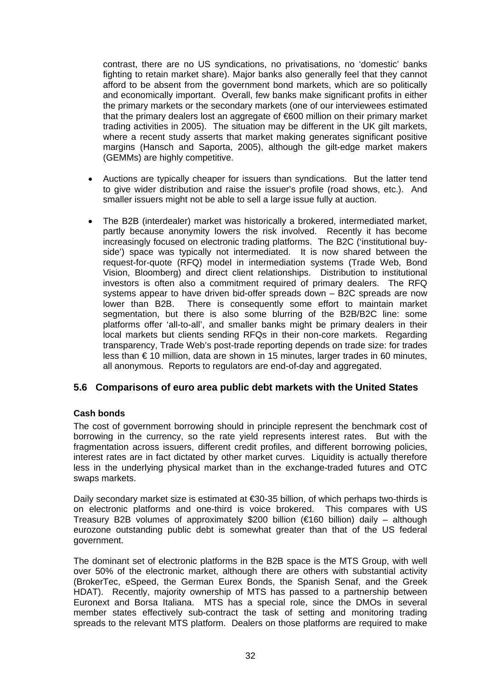contrast, there are no US syndications, no privatisations, no 'domestic' banks fighting to retain market share). Major banks also generally feel that they cannot afford to be absent from the government bond markets, which are so politically and economically important. Overall, few banks make significant profits in either the primary markets or the secondary markets (one of our interviewees estimated that the primary dealers lost an aggregate of €600 million on their primary market trading activities in 2005). The situation may be different in the UK gilt markets, where a recent study asserts that market making generates significant positive margins (Hansch and Saporta, 2005), although the gilt-edge market makers (GEMMs) are highly competitive.

- Auctions are typically cheaper for issuers than syndications. But the latter tend to give wider distribution and raise the issuer's profile (road shows, etc.). And smaller issuers might not be able to sell a large issue fully at auction.
- The B2B (interdealer) market was historically a brokered, intermediated market, partly because anonymity lowers the risk involved. Recently it has become increasingly focused on electronic trading platforms. The B2C ('institutional buyside') space was typically not intermediated. It is now shared between the request-for-quote (RFQ) model in intermediation systems (Trade Web, Bond Vision, Bloomberg) and direct client relationships. Distribution to institutional investors is often also a commitment required of primary dealers. The RFQ systems appear to have driven bid-offer spreads down – B2C spreads are now lower than B2B. There is consequently some effort to maintain market segmentation, but there is also some blurring of the B2B/B2C line: some platforms offer 'all-to-all', and smaller banks might be primary dealers in their local markets but clients sending RFQs in their non-core markets. Regarding transparency, Trade Web's post-trade reporting depends on trade size: for trades less than € 10 million, data are shown in 15 minutes, larger trades in 60 minutes, all anonymous. Reports to regulators are end-of-day and aggregated.

## **5.6 Comparisons of euro area public debt markets with the United States**

#### **Cash bonds**

The cost of government borrowing should in principle represent the benchmark cost of borrowing in the currency, so the rate yield represents interest rates. But with the fragmentation across issuers, different credit profiles, and different borrowing policies, interest rates are in fact dictated by other market curves. Liquidity is actually therefore less in the underlying physical market than in the exchange-traded futures and OTC swaps markets.

Daily secondary market size is estimated at €30-35 billion, of which perhaps two-thirds is on electronic platforms and one-third is voice brokered. This compares with US Treasury B2B volumes of approximately \$200 billion ( $\epsilon$ 160 billion) daily – although eurozone outstanding public debt is somewhat greater than that of the US federal government.

The dominant set of electronic platforms in the B2B space is the MTS Group, with well over 50% of the electronic market, although there are others with substantial activity (BrokerTec, eSpeed, the German Eurex Bonds, the Spanish Senaf, and the Greek HDAT). Recently, majority ownership of MTS has passed to a partnership between Euronext and Borsa Italiana. MTS has a special role, since the DMOs in several member states effectively sub-contract the task of setting and monitoring trading spreads to the relevant MTS platform. Dealers on those platforms are required to make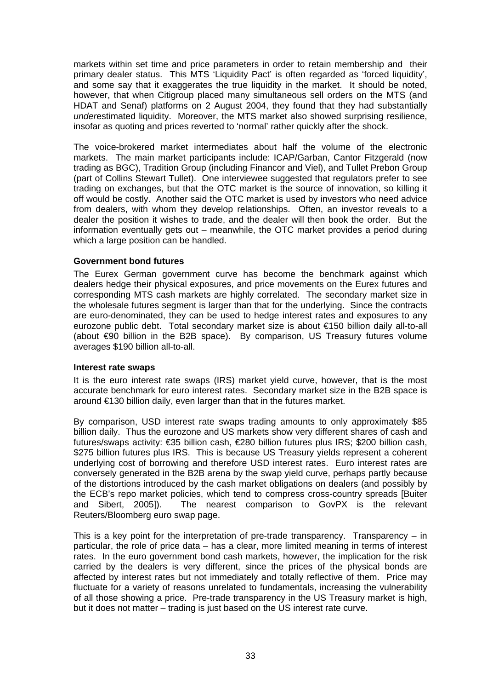markets within set time and price parameters in order to retain membership and their primary dealer status. This MTS 'Liquidity Pact' is often regarded as 'forced liquidity', and some say that it exaggerates the true liquidity in the market. It should be noted, however, that when Citigroup placed many simultaneous sell orders on the MTS (and HDAT and Senaf) platforms on 2 August 2004, they found that they had substantially *under*estimated liquidity. Moreover, the MTS market also showed surprising resilience, insofar as quoting and prices reverted to 'normal' rather quickly after the shock.

The voice-brokered market intermediates about half the volume of the electronic markets. The main market participants include: ICAP/Garban, Cantor Fitzgerald (now trading as BGC), Tradition Group (including Financor and Viel), and Tullet Prebon Group (part of Collins Stewart Tullet). One interviewee suggested that regulators prefer to see trading on exchanges, but that the OTC market is the source of innovation, so killing it off would be costly. Another said the OTC market is used by investors who need advice from dealers, with whom they develop relationships. Often, an investor reveals to a dealer the position it wishes to trade, and the dealer will then book the order. But the information eventually gets out – meanwhile, the OTC market provides a period during which a large position can be handled.

#### **Government bond futures**

The Eurex German government curve has become the benchmark against which dealers hedge their physical exposures, and price movements on the Eurex futures and corresponding MTS cash markets are highly correlated. The secondary market size in the wholesale futures segment is larger than that for the underlying. Since the contracts are euro-denominated, they can be used to hedge interest rates and exposures to any eurozone public debt. Total secondary market size is about €150 billion daily all-to-all (about €90 billion in the B2B space). By comparison, US Treasury futures volume averages \$190 billion all-to-all.

#### **Interest rate swaps**

It is the euro interest rate swaps (IRS) market yield curve, however, that is the most accurate benchmark for euro interest rates. Secondary market size in the B2B space is around €130 billion daily, even larger than that in the futures market.

By comparison, USD interest rate swaps trading amounts to only approximately \$85 billion daily. Thus the eurozone and US markets show very different shares of cash and futures/swaps activity: €35 billion cash, €280 billion futures plus IRS; \$200 billion cash, \$275 billion futures plus IRS. This is because US Treasury yields represent a coherent underlying cost of borrowing and therefore USD interest rates. Euro interest rates are conversely generated in the B2B arena by the swap yield curve, perhaps partly because of the distortions introduced by the cash market obligations on dealers (and possibly by the ECB's repo market policies, which tend to compress cross-country spreads [Buiter and Sibert, 2005]). The nearest comparison to GovPX is the relevant Reuters/Bloomberg euro swap page.

This is a key point for the interpretation of pre-trade transparency. Transparency – in particular, the role of price data – has a clear, more limited meaning in terms of interest rates. In the euro government bond cash markets, however, the implication for the risk carried by the dealers is very different, since the prices of the physical bonds are affected by interest rates but not immediately and totally reflective of them. Price may fluctuate for a variety of reasons unrelated to fundamentals, increasing the vulnerability of all those showing a price. Pre-trade transparency in the US Treasury market is high, but it does not matter – trading is just based on the US interest rate curve.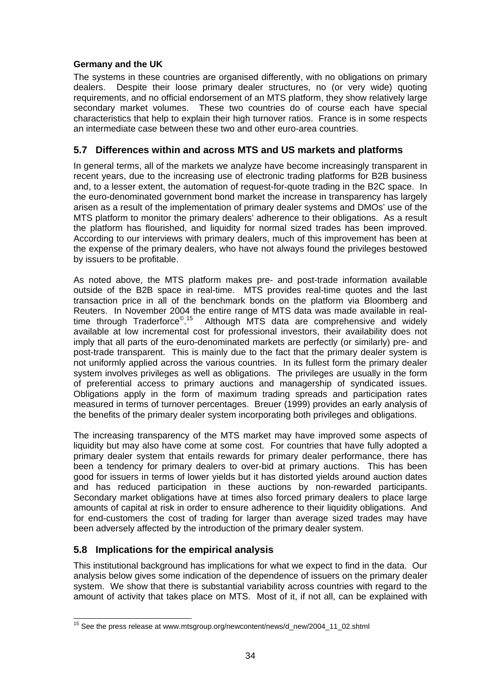#### **Germany and the UK**

The systems in these countries are organised differently, with no obligations on primary dealers. Despite their loose primary dealer structures, no (or very wide) quoting requirements, and no official endorsement of an MTS platform, they show relatively large secondary market volumes. These two countries do of course each have special characteristics that help to explain their high turnover ratios. France is in some respects an intermediate case between these two and other euro-area countries.

# **5.7 Differences within and across MTS and US markets and platforms**

In general terms, all of the markets we analyze have become increasingly transparent in recent years, due to the increasing use of electronic trading platforms for B2B business and, to a lesser extent, the automation of request-for-quote trading in the B2C space. In the euro-denominated government bond market the increase in transparency has largely arisen as a result of the implementation of primary dealer systems and DMOs' use of the MTS platform to monitor the primary dealers' adherence to their obligations. As a result the platform has flourished, and liquidity for normal sized trades has been improved. According to our interviews with primary dealers, much of this improvement has been at the expense of the primary dealers, who have not always found the privileges bestowed by issuers to be profitable.

As noted above, the MTS platform makes pre- and post-trade information available outside of the B2B space in real-time. MTS provides real-time quotes and the last transaction price in all of the benchmark bonds on the platform via Bloomberg and Reuters. In November 2004 the entire range of MTS data was made available in realtime through Traderforce<sup>© 15</sup> Although MTS data are comprehensive and widely available at low incremental cost for professional investors, their availability does not imply that all parts of the euro-denominated markets are perfectly (or similarly) pre- and post-trade transparent. This is mainly due to the fact that the primary dealer system is not uniformly applied across the various countries. In its fullest form the primary dealer system involves privileges as well as obligations. The privileges are usually in the form of preferential access to primary auctions and managership of syndicated issues. Obligations apply in the form of maximum trading spreads and participation rates measured in terms of turnover percentages. Breuer (1999) provides an early analysis of the benefits of the primary dealer system incorporating both privileges and obligations.

The increasing transparency of the MTS market may have improved some aspects of liquidity but may also have come at some cost. For countries that have fully adopted a primary dealer system that entails rewards for primary dealer performance, there has been a tendency for primary dealers to over-bid at primary auctions. This has been good for issuers in terms of lower yields but it has distorted yields around auction dates and has reduced participation in these auctions by non-rewarded participants. Secondary market obligations have at times also forced primary dealers to place large amounts of capital at risk in order to ensure adherence to their liquidity obligations. And for end-customers the cost of trading for larger than average sized trades may have been adversely affected by the introduction of the primary dealer system.

# **5.8 Implications for the empirical analysis**

This institutional background has implications for what we expect to find in the data. Our analysis below gives some indication of the dependence of issuers on the primary dealer system. We show that there is substantial variability across countries with regard to the amount of activity that takes place on MTS. Most of it, if not all, can be explained with

 $\overline{a}$ <sup>15</sup> See the press release at www.mtsgroup.org/newcontent/news/d\_new/2004\_11\_02.shtml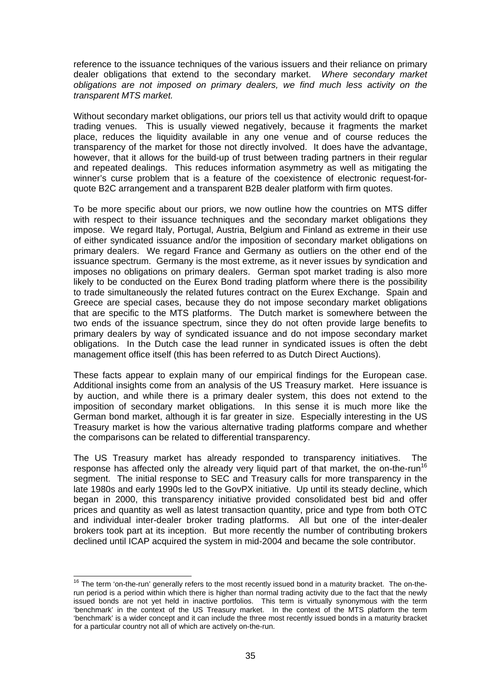reference to the issuance techniques of the various issuers and their reliance on primary dealer obligations that extend to the secondary market. *Where secondary market obligations are not imposed on primary dealers, we find much less activity on the transparent MTS market.*

Without secondary market obligations, our priors tell us that activity would drift to opaque trading venues. This is usually viewed negatively, because it fragments the market place, reduces the liquidity available in any one venue and of course reduces the transparency of the market for those not directly involved. It does have the advantage, however, that it allows for the build-up of trust between trading partners in their regular and repeated dealings. This reduces information asymmetry as well as mitigating the winner's curse problem that is a feature of the coexistence of electronic request-forquote B2C arrangement and a transparent B2B dealer platform with firm quotes.

To be more specific about our priors, we now outline how the countries on MTS differ with respect to their issuance techniques and the secondary market obligations they impose. We regard Italy, Portugal, Austria, Belgium and Finland as extreme in their use of either syndicated issuance and/or the imposition of secondary market obligations on primary dealers. We regard France and Germany as outliers on the other end of the issuance spectrum. Germany is the most extreme, as it never issues by syndication and imposes no obligations on primary dealers. German spot market trading is also more likely to be conducted on the Eurex Bond trading platform where there is the possibility to trade simultaneously the related futures contract on the Eurex Exchange. Spain and Greece are special cases, because they do not impose secondary market obligations that are specific to the MTS platforms. The Dutch market is somewhere between the two ends of the issuance spectrum, since they do not often provide large benefits to primary dealers by way of syndicated issuance and do not impose secondary market obligations. In the Dutch case the lead runner in syndicated issues is often the debt management office itself (this has been referred to as Dutch Direct Auctions).

These facts appear to explain many of our empirical findings for the European case. Additional insights come from an analysis of the US Treasury market. Here issuance is by auction, and while there is a primary dealer system, this does not extend to the imposition of secondary market obligations. In this sense it is much more like the German bond market, although it is far greater in size. Especially interesting in the US Treasury market is how the various alternative trading platforms compare and whether the comparisons can be related to differential transparency.

The US Treasury market has already responded to transparency initiatives. The response has affected only the already very liquid part of that market, the on-the-run<sup>16</sup> segment. The initial response to SEC and Treasury calls for more transparency in the late 1980s and early 1990s led to the GovPX initiative. Up until its steady decline, which began in 2000, this transparency initiative provided consolidated best bid and offer prices and quantity as well as latest transaction quantity, price and type from both OTC and individual inter-dealer broker trading platforms. All but one of the inter-dealer brokers took part at its inception. But more recently the number of contributing brokers declined until ICAP acquired the system in mid-2004 and became the sole contributor.

 $\overline{a}$ 

 $16$  The term 'on-the-run' generally refers to the most recently issued bond in a maturity bracket. The on-therun period is a period within which there is higher than normal trading activity due to the fact that the newly issued bonds are not yet held in inactive portfolios. This term is virtually synonymous with the term 'benchmark' in the context of the US Treasury market. In the context of the MTS platform the term 'benchmark' is a wider concept and it can include the three most recently issued bonds in a maturity bracket for a particular country not all of which are actively on-the-run.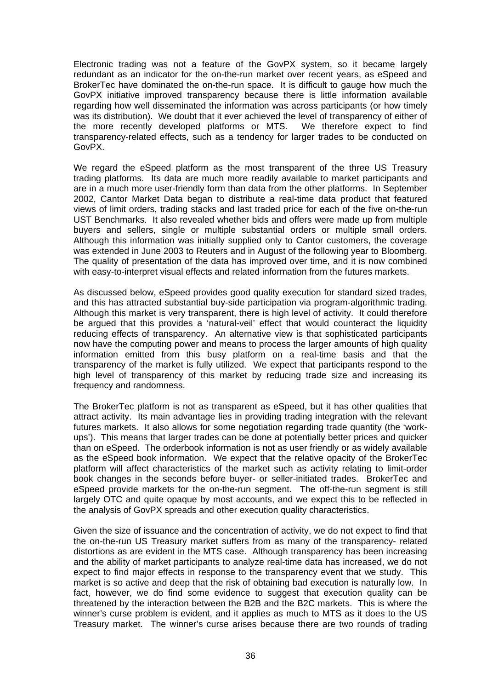Electronic trading was not a feature of the GovPX system, so it became largely redundant as an indicator for the on-the-run market over recent years, as eSpeed and BrokerTec have dominated the on-the-run space. It is difficult to gauge how much the GovPX initiative improved transparency because there is little information available regarding how well disseminated the information was across participants (or how timely was its distribution). We doubt that it ever achieved the level of transparency of either of the more recently developed platforms or MTS. We therefore expect to find transparency-related effects, such as a tendency for larger trades to be conducted on GovPX.

We regard the eSpeed platform as the most transparent of the three US Treasury trading platforms. Its data are much more readily available to market participants and are in a much more user-friendly form than data from the other platforms. In September 2002, Cantor Market Data began to distribute a real-time data product that featured views of limit orders, trading stacks and last traded price for each of the five on-the-run UST Benchmarks. It also revealed whether bids and offers were made up from multiple buyers and sellers, single or multiple substantial orders or multiple small orders. Although this information was initially supplied only to Cantor customers, the coverage was extended in June 2003 to Reuters and in August of the following year to Bloomberg. The quality of presentation of the data has improved over time, and it is now combined with easy-to-interpret visual effects and related information from the futures markets.

As discussed below, eSpeed provides good quality execution for standard sized trades, and this has attracted substantial buy-side participation via program-algorithmic trading. Although this market is very transparent, there is high level of activity. It could therefore be argued that this provides a 'natural-veil' effect that would counteract the liquidity reducing effects of transparency. An alternative view is that sophisticated participants now have the computing power and means to process the larger amounts of high quality information emitted from this busy platform on a real-time basis and that the transparency of the market is fully utilized. We expect that participants respond to the high level of transparency of this market by reducing trade size and increasing its frequency and randomness.

The BrokerTec platform is not as transparent as eSpeed, but it has other qualities that attract activity. Its main advantage lies in providing trading integration with the relevant futures markets. It also allows for some negotiation regarding trade quantity (the 'workups'). This means that larger trades can be done at potentially better prices and quicker than on eSpeed. The orderbook information is not as user friendly or as widely available as the eSpeed book information. We expect that the relative opacity of the BrokerTec platform will affect characteristics of the market such as activity relating to limit-order book changes in the seconds before buyer- or seller-initiated trades. BrokerTec and eSpeed provide markets for the on-the-run segment. The off-the-run segment is still largely OTC and quite opaque by most accounts, and we expect this to be reflected in the analysis of GovPX spreads and other execution quality characteristics.

Given the size of issuance and the concentration of activity, we do not expect to find that the on-the-run US Treasury market suffers from as many of the transparency- related distortions as are evident in the MTS case. Although transparency has been increasing and the ability of market participants to analyze real-time data has increased, we do not expect to find major effects in response to the transparency event that we study. This market is so active and deep that the risk of obtaining bad execution is naturally low. In fact, however, we do find some evidence to suggest that execution quality can be threatened by the interaction between the B2B and the B2C markets. This is where the winner's curse problem is evident, and it applies as much to MTS as it does to the US Treasury market. The winner's curse arises because there are two rounds of trading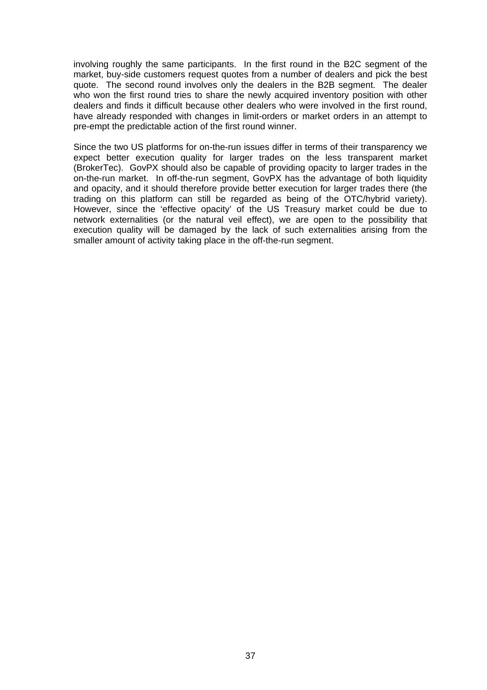involving roughly the same participants. In the first round in the B2C segment of the market, buy-side customers request quotes from a number of dealers and pick the best quote. The second round involves only the dealers in the B2B segment. The dealer who won the first round tries to share the newly acquired inventory position with other dealers and finds it difficult because other dealers who were involved in the first round, have already responded with changes in limit-orders or market orders in an attempt to pre-empt the predictable action of the first round winner.

Since the two US platforms for on-the-run issues differ in terms of their transparency we expect better execution quality for larger trades on the less transparent market (BrokerTec). GovPX should also be capable of providing opacity to larger trades in the on-the-run market. In off-the-run segment, GovPX has the advantage of both liquidity and opacity, and it should therefore provide better execution for larger trades there (the trading on this platform can still be regarded as being of the OTC/hybrid variety). However, since the 'effective opacity' of the US Treasury market could be due to network externalities (or the natural veil effect), we are open to the possibility that execution quality will be damaged by the lack of such externalities arising from the smaller amount of activity taking place in the off-the-run segment.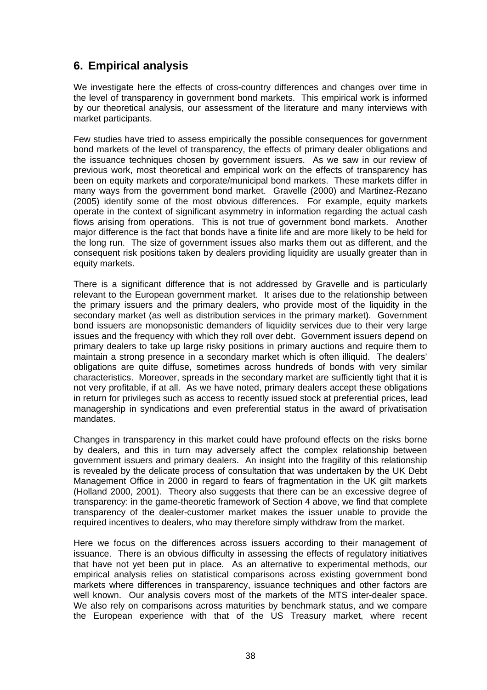# **6. Empirical analysis**

We investigate here the effects of cross-country differences and changes over time in the level of transparency in government bond markets. This empirical work is informed by our theoretical analysis, our assessment of the literature and many interviews with market participants.

Few studies have tried to assess empirically the possible consequences for government bond markets of the level of transparency, the effects of primary dealer obligations and the issuance techniques chosen by government issuers. As we saw in our review of previous work, most theoretical and empirical work on the effects of transparency has been on equity markets and corporate/municipal bond markets. These markets differ in many ways from the government bond market. Gravelle (2000) and Martinez-Rezano (2005) identify some of the most obvious differences. For example, equity markets operate in the context of significant asymmetry in information regarding the actual cash flows arising from operations. This is not true of government bond markets. Another major difference is the fact that bonds have a finite life and are more likely to be held for the long run. The size of government issues also marks them out as different, and the consequent risk positions taken by dealers providing liquidity are usually greater than in equity markets.

There is a significant difference that is not addressed by Gravelle and is particularly relevant to the European government market. It arises due to the relationship between the primary issuers and the primary dealers, who provide most of the liquidity in the secondary market (as well as distribution services in the primary market). Government bond issuers are monopsonistic demanders of liquidity services due to their very large issues and the frequency with which they roll over debt. Government issuers depend on primary dealers to take up large risky positions in primary auctions and require them to maintain a strong presence in a secondary market which is often illiquid. The dealers' obligations are quite diffuse, sometimes across hundreds of bonds with very similar characteristics. Moreover, spreads in the secondary market are sufficiently tight that it is not very profitable, if at all. As we have noted, primary dealers accept these obligations in return for privileges such as access to recently issued stock at preferential prices, lead managership in syndications and even preferential status in the award of privatisation mandates.

Changes in transparency in this market could have profound effects on the risks borne by dealers, and this in turn may adversely affect the complex relationship between government issuers and primary dealers. An insight into the fragility of this relationship is revealed by the delicate process of consultation that was undertaken by the UK Debt Management Office in 2000 in regard to fears of fragmentation in the UK gilt markets (Holland 2000, 2001). Theory also suggests that there can be an excessive degree of transparency: in the game-theoretic framework of Section 4 above, we find that complete transparency of the dealer-customer market makes the issuer unable to provide the required incentives to dealers, who may therefore simply withdraw from the market.

Here we focus on the differences across issuers according to their management of issuance. There is an obvious difficulty in assessing the effects of regulatory initiatives that have not yet been put in place. As an alternative to experimental methods, our empirical analysis relies on statistical comparisons across existing government bond markets where differences in transparency, issuance techniques and other factors are well known. Our analysis covers most of the markets of the MTS inter-dealer space. We also rely on comparisons across maturities by benchmark status, and we compare the European experience with that of the US Treasury market, where recent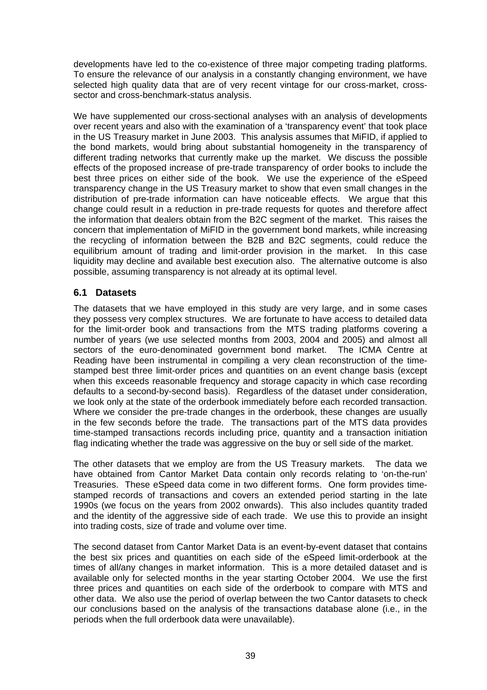developments have led to the co-existence of three major competing trading platforms. To ensure the relevance of our analysis in a constantly changing environment, we have selected high quality data that are of very recent vintage for our cross-market, crosssector and cross-benchmark-status analysis.

We have supplemented our cross-sectional analyses with an analysis of developments over recent years and also with the examination of a 'transparency event' that took place in the US Treasury market in June 2003. This analysis assumes that MiFID, if applied to the bond markets, would bring about substantial homogeneity in the transparency of different trading networks that currently make up the market. We discuss the possible effects of the proposed increase of pre-trade transparency of order books to include the best three prices on either side of the book. We use the experience of the eSpeed transparency change in the US Treasury market to show that even small changes in the distribution of pre-trade information can have noticeable effects. We argue that this change could result in a reduction in pre-trade requests for quotes and therefore affect the information that dealers obtain from the B2C segment of the market. This raises the concern that implementation of MiFID in the government bond markets, while increasing the recycling of information between the B2B and B2C segments, could reduce the equilibrium amount of trading and limit-order provision in the market. In this case liquidity may decline and available best execution also. The alternative outcome is also possible, assuming transparency is not already at its optimal level.

## **6.1 Datasets**

The datasets that we have employed in this study are very large, and in some cases they possess very complex structures. We are fortunate to have access to detailed data for the limit-order book and transactions from the MTS trading platforms covering a number of years (we use selected months from 2003, 2004 and 2005) and almost all sectors of the euro-denominated government bond market. The ICMA Centre at Reading have been instrumental in compiling a very clean reconstruction of the timestamped best three limit-order prices and quantities on an event change basis (except when this exceeds reasonable frequency and storage capacity in which case recording defaults to a second-by-second basis). Regardless of the dataset under consideration, we look only at the state of the orderbook immediately before each recorded transaction. Where we consider the pre-trade changes in the orderbook, these changes are usually in the few seconds before the trade. The transactions part of the MTS data provides time-stamped transactions records including price, quantity and a transaction initiation flag indicating whether the trade was aggressive on the buy or sell side of the market.

The other datasets that we employ are from the US Treasury markets. The data we have obtained from Cantor Market Data contain only records relating to 'on-the-run' Treasuries. These eSpeed data come in two different forms. One form provides timestamped records of transactions and covers an extended period starting in the late 1990s (we focus on the years from 2002 onwards). This also includes quantity traded and the identity of the aggressive side of each trade. We use this to provide an insight into trading costs, size of trade and volume over time.

The second dataset from Cantor Market Data is an event-by-event dataset that contains the best six prices and quantities on each side of the eSpeed limit-orderbook at the times of all/any changes in market information. This is a more detailed dataset and is available only for selected months in the year starting October 2004. We use the first three prices and quantities on each side of the orderbook to compare with MTS and other data. We also use the period of overlap between the two Cantor datasets to check our conclusions based on the analysis of the transactions database alone (i.e., in the periods when the full orderbook data were unavailable).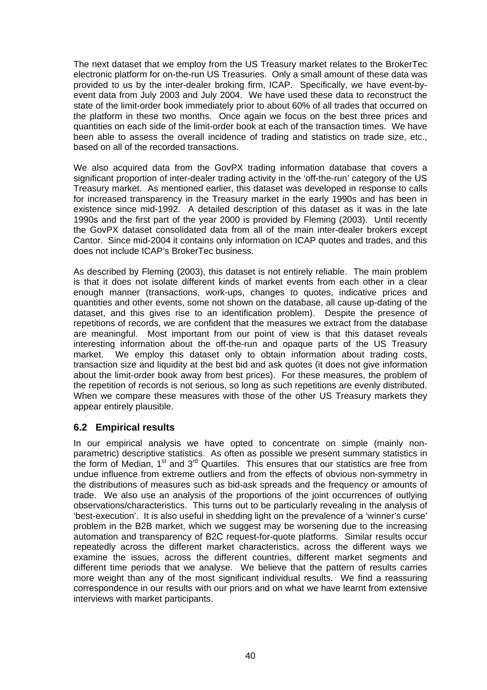The next dataset that we employ from the US Treasury market relates to the BrokerTec electronic platform for on-the-run US Treasuries. Only a small amount of these data was provided to us by the inter-dealer broking firm, ICAP. Specifically, we have event-byevent data from July 2003 and July 2004. We have used these data to reconstruct the state of the limit-order book immediately prior to about 60% of all trades that occurred on the platform in these two months. Once again we focus on the best three prices and quantities on each side of the limit-order book at each of the transaction times. We have been able to assess the overall incidence of trading and statistics on trade size, etc., based on all of the recorded transactions.

We also acquired data from the GovPX trading information database that covers a significant proportion of inter-dealer trading activity in the 'off-the-run' category of the US Treasury market. As mentioned earlier, this dataset was developed in response to calls for increased transparency in the Treasury market in the early 1990s and has been in existence since mid-1992. A detailed description of this dataset as it was in the late 1990s and the first part of the year 2000 is provided by Fleming (2003). Until recently the GovPX dataset consolidated data from all of the main inter-dealer brokers except Cantor. Since mid-2004 it contains only information on ICAP quotes and trades, and this does not include ICAP's BrokerTec business.

As described by Fleming (2003), this dataset is not entirely reliable. The main problem is that it does not isolate different kinds of market events from each other in a clear enough manner (transactions, work-ups, changes to quotes, indicative prices and quantities and other events, some not shown on the database, all cause up-dating of the dataset, and this gives rise to an identification problem). Despite the presence of repetitions of records, we are confident that the measures we extract from the database are meaningful. Most important from our point of view is that this dataset reveals interesting information about the off-the-run and opaque parts of the US Treasury market. We employ this dataset only to obtain information about trading costs, transaction size and liquidity at the best bid and ask quotes (it does not give information about the limit-order book away from best prices). For these measures, the problem of the repetition of records is not serious, so long as such repetitions are evenly distributed. When we compare these measures with those of the other US Treasury markets they appear entirely plausible.

## **6.2 Empirical results**

In our empirical analysis we have opted to concentrate on simple (mainly nonparametric) descriptive statistics. As often as possible we present summary statistics in the form of Median, 1<sup>st</sup> and 3<sup>rd</sup> Quartiles. This ensures that our statistics are free from undue influence from extreme outliers and from the effects of obvious non-symmetry in the distributions of measures such as bid-ask spreads and the frequency or amounts of trade. We also use an analysis of the proportions of the joint occurrences of outlying observations/characteristics. This turns out to be particularly revealing in the analysis of 'best-execution'. It is also useful in shedding light on the prevalence of a 'winner's curse' problem in the B2B market, which we suggest may be worsening due to the increasing automation and transparency of B2C request-for-quote platforms. Similar results occur repeatedly across the different market characteristics, across the different ways we examine the issues, across the different countries, different market segments and different time periods that we analyse. We believe that the pattern of results carries more weight than any of the most significant individual results. We find a reassuring correspondence in our results with our priors and on what we have learnt from extensive interviews with market participants.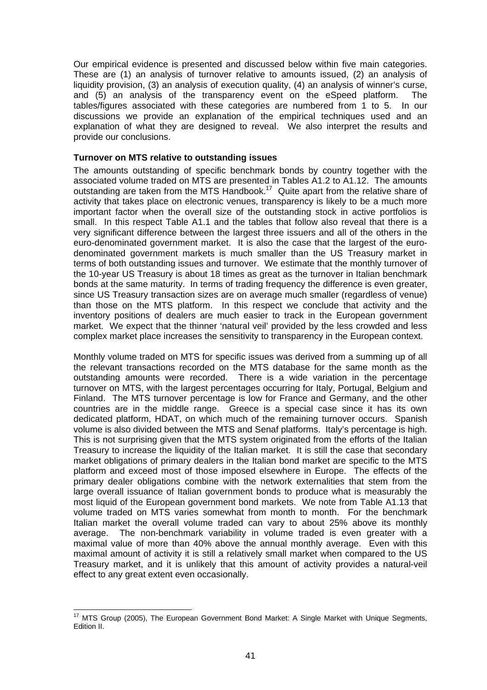Our empirical evidence is presented and discussed below within five main categories. These are (1) an analysis of turnover relative to amounts issued, (2) an analysis of liquidity provision, (3) an analysis of execution quality, (4) an analysis of winner's curse, and (5) an analysis of the transparency event on the eSpeed platform. The tables/figures associated with these categories are numbered from 1 to 5. In our discussions we provide an explanation of the empirical techniques used and an explanation of what they are designed to reveal. We also interpret the results and provide our conclusions.

### **Turnover on MTS relative to outstanding issues**

The amounts outstanding of specific benchmark bonds by country together with the associated volume traded on MTS are presented in Tables A1.2 to A1.12. The amounts outstanding are taken from the MTS Handbook.<sup>17</sup> Quite apart from the relative share of activity that takes place on electronic venues, transparency is likely to be a much more important factor when the overall size of the outstanding stock in active portfolios is small. In this respect Table A1.1 and the tables that follow also reveal that there is a very significant difference between the largest three issuers and all of the others in the euro-denominated government market. It is also the case that the largest of the eurodenominated government markets is much smaller than the US Treasury market in terms of both outstanding issues and turnover. We estimate that the monthly turnover of the 10-year US Treasury is about 18 times as great as the turnover in Italian benchmark bonds at the same maturity. In terms of trading frequency the difference is even greater, since US Treasury transaction sizes are on average much smaller (regardless of venue) than those on the MTS platform. In this respect we conclude that activity and the inventory positions of dealers are much easier to track in the European government market. We expect that the thinner 'natural veil' provided by the less crowded and less complex market place increases the sensitivity to transparency in the European context.

Monthly volume traded on MTS for specific issues was derived from a summing up of all the relevant transactions recorded on the MTS database for the same month as the outstanding amounts were recorded. There is a wide variation in the percentage turnover on MTS, with the largest percentages occurring for Italy, Portugal, Belgium and Finland. The MTS turnover percentage is low for France and Germany, and the other countries are in the middle range. Greece is a special case since it has its own dedicated platform, HDAT, on which much of the remaining turnover occurs. Spanish volume is also divided between the MTS and Senaf platforms. Italy's percentage is high. This is not surprising given that the MTS system originated from the efforts of the Italian Treasury to increase the liquidity of the Italian market. It is still the case that secondary market obligations of primary dealers in the Italian bond market are specific to the MTS platform and exceed most of those imposed elsewhere in Europe. The effects of the primary dealer obligations combine with the network externalities that stem from the large overall issuance of Italian government bonds to produce what is measurably the most liquid of the European government bond markets. We note from Table A1.13 that volume traded on MTS varies somewhat from month to month. For the benchmark Italian market the overall volume traded can vary to about 25% above its monthly average. The non-benchmark variability in volume traded is even greater with a maximal value of more than 40% above the annual monthly average. Even with this maximal amount of activity it is still a relatively small market when compared to the US Treasury market, and it is unlikely that this amount of activity provides a natural-veil effect to any great extent even occasionally.

  $17$  MTS Group (2005), The European Government Bond Market: A Single Market with Unique Segments, Edition II.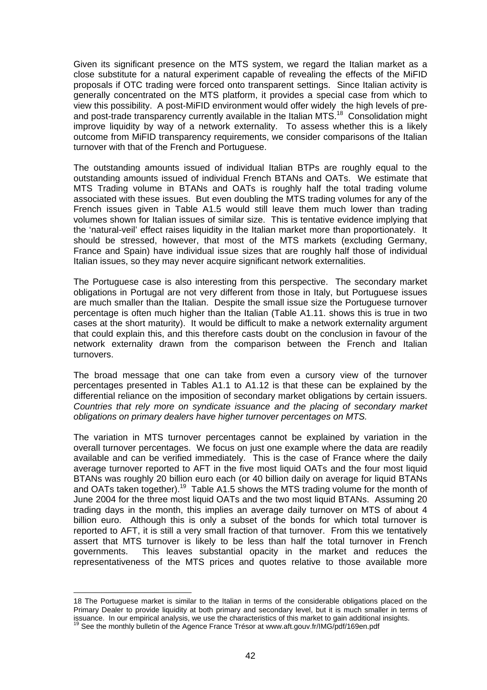Given its significant presence on the MTS system, we regard the Italian market as a close substitute for a natural experiment capable of revealing the effects of the MiFID proposals if OTC trading were forced onto transparent settings. Since Italian activity is generally concentrated on the MTS platform, it provides a special case from which to view this possibility. A post-MiFID environment would offer widely the high levels of preand post-trade transparency currently available in the Italian MTS.<sup>18</sup> Consolidation might improve liquidity by way of a network externality. To assess whether this is a likely outcome from MiFID transparency requirements, we consider comparisons of the Italian turnover with that of the French and Portuguese.

The outstanding amounts issued of individual Italian BTPs are roughly equal to the outstanding amounts issued of individual French BTANs and OATs. We estimate that MTS Trading volume in BTANs and OATs is roughly half the total trading volume associated with these issues. But even doubling the MTS trading volumes for any of the French issues given in Table A1.5 would still leave them much lower than trading volumes shown for Italian issues of similar size. This is tentative evidence implying that the 'natural-veil' effect raises liquidity in the Italian market more than proportionately. It should be stressed, however, that most of the MTS markets (excluding Germany, France and Spain) have individual issue sizes that are roughly half those of individual Italian issues, so they may never acquire significant network externalities.

The Portuguese case is also interesting from this perspective. The secondary market obligations in Portugal are not very different from those in Italy, but Portuguese issues are much smaller than the Italian. Despite the small issue size the Portuguese turnover percentage is often much higher than the Italian (Table A1.11. shows this is true in two cases at the short maturity). It would be difficult to make a network externality argument that could explain this, and this therefore casts doubt on the conclusion in favour of the network externality drawn from the comparison between the French and Italian turnovers.

The broad message that one can take from even a cursory view of the turnover percentages presented in Tables A1.1 to A1.12 is that these can be explained by the differential reliance on the imposition of secondary market obligations by certain issuers. *Countries that rely more on syndicate issuance and the placing of secondary market obligations on primary dealers have higher turnover percentages on MTS.* 

The variation in MTS turnover percentages cannot be explained by variation in the overall turnover percentages. We focus on just one example where the data are readily available and can be verified immediately. This is the case of France where the daily average turnover reported to AFT in the five most liquid OATs and the four most liquid BTANs was roughly 20 billion euro each (or 40 billion daily on average for liquid BTANs and OATs taken together).<sup>19</sup> Table A1.5 shows the MTS trading volume for the month of June 2004 for the three most liquid OATs and the two most liquid BTANs. Assuming 20 trading days in the month, this implies an average daily turnover on MTS of about 4 billion euro. Although this is only a subset of the bonds for which total turnover is reported to AFT, it is still a very small fraction of that turnover. From this we tentatively assert that MTS turnover is likely to be less than half the total turnover in French governments. This leaves substantial opacity in the market and reduces the representativeness of the MTS prices and quotes relative to those available more

 $\overline{a}$ 

<sup>18</sup> The Portuguese market is similar to the Italian in terms of the considerable obligations placed on the Primary Dealer to provide liquidity at both primary and secondary level, but it is much smaller in terms of issuance. In our empirical analysis, we use the characteristics of this market to gain additional insights.<br><sup>19</sup> See the monthly bulletin of the Agence France Trésor at www.aft.gouv.fr/IMG/pdf/169en.pdf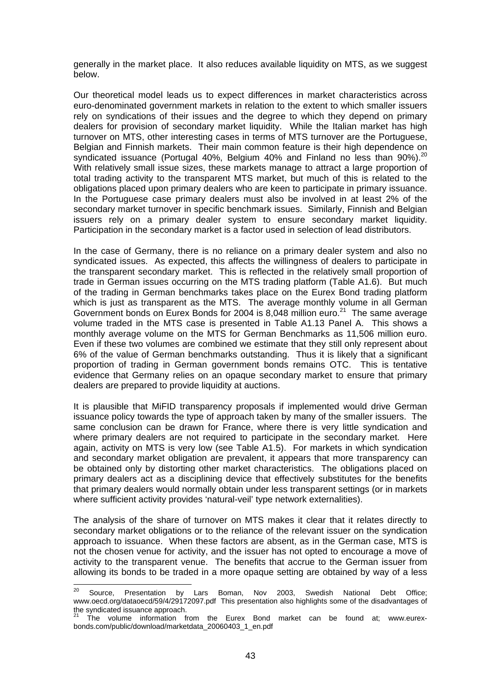generally in the market place. It also reduces available liquidity on MTS, as we suggest below.

Our theoretical model leads us to expect differences in market characteristics across euro-denominated government markets in relation to the extent to which smaller issuers rely on syndications of their issues and the degree to which they depend on primary dealers for provision of secondary market liquidity. While the Italian market has high turnover on MTS, other interesting cases in terms of MTS turnover are the Portuguese, Belgian and Finnish markets. Their main common feature is their high dependence on syndicated issuance (Portugal 40%, Belgium 40% and Finland no less than 90%).<sup>20</sup> With relatively small issue sizes, these markets manage to attract a large proportion of total trading activity to the transparent MTS market, but much of this is related to the obligations placed upon primary dealers who are keen to participate in primary issuance. In the Portuguese case primary dealers must also be involved in at least 2% of the secondary market turnover in specific benchmark issues. Similarly, Finnish and Belgian issuers rely on a primary dealer system to ensure secondary market liquidity. Participation in the secondary market is a factor used in selection of lead distributors.

In the case of Germany, there is no reliance on a primary dealer system and also no syndicated issues. As expected, this affects the willingness of dealers to participate in the transparent secondary market. This is reflected in the relatively small proportion of trade in German issues occurring on the MTS trading platform (Table A1.6). But much of the trading in German benchmarks takes place on the Eurex Bond trading platform which is just as transparent as the MTS. The average monthly volume in all German Government bonds on Eurex Bonds for 2004 is 8,048 million euro.<sup>21</sup> The same average volume traded in the MTS case is presented in Table A1.13 Panel A. This shows a monthly average volume on the MTS for German Benchmarks as 11,506 million euro. Even if these two volumes are combined we estimate that they still only represent about 6% of the value of German benchmarks outstanding. Thus it is likely that a significant proportion of trading in German government bonds remains OTC. This is tentative evidence that Germany relies on an opaque secondary market to ensure that primary dealers are prepared to provide liquidity at auctions.

It is plausible that MiFID transparency proposals if implemented would drive German issuance policy towards the type of approach taken by many of the smaller issuers. The same conclusion can be drawn for France, where there is very little syndication and where primary dealers are not required to participate in the secondary market. Here again, activity on MTS is very low (see Table A1.5). For markets in which syndication and secondary market obligation are prevalent, it appears that more transparency can be obtained only by distorting other market characteristics. The obligations placed on primary dealers act as a disciplining device that effectively substitutes for the benefits that primary dealers would normally obtain under less transparent settings (or in markets where sufficient activity provides 'natural-veil' type network externalities).

The analysis of the share of turnover on MTS makes it clear that it relates directly to secondary market obligations or to the reliance of the relevant issuer on the syndication approach to issuance. When these factors are absent, as in the German case, MTS is not the chosen venue for activity, and the issuer has not opted to encourage a move of activity to the transparent venue. The benefits that accrue to the German issuer from allowing its bonds to be traded in a more opaque setting are obtained by way of a less

 $20$ 20 Source, Presentation by Lars Boman, Nov 2003, Swedish National Debt Office; www.oecd.org/dataoecd/59/4/29172097.pdf This presentation also highlights some of the disadvantages of the syndicated issuance approach.

The volume information from the Eurex Bond market can be found at; www.eurexbonds.com/public/download/marketdata\_20060403\_1\_en.pdf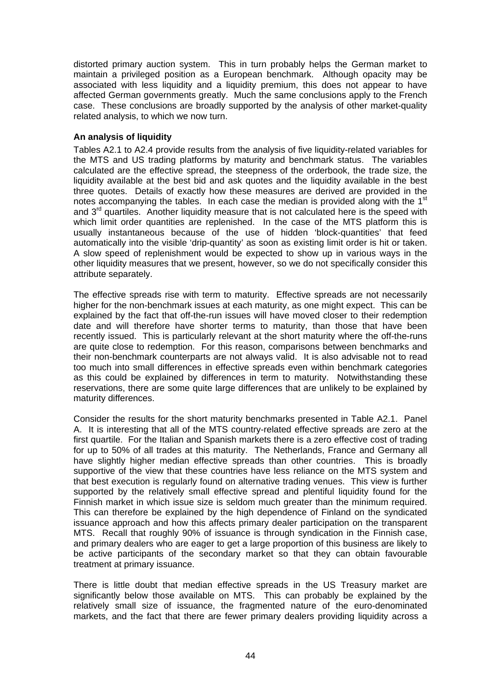distorted primary auction system. This in turn probably helps the German market to maintain a privileged position as a European benchmark. Although opacity may be associated with less liquidity and a liquidity premium, this does not appear to have affected German governments greatly. Much the same conclusions apply to the French case. These conclusions are broadly supported by the analysis of other market-quality related analysis, to which we now turn.

## **An analysis of liquidity**

Tables A2.1 to A2.4 provide results from the analysis of five liquidity-related variables for the MTS and US trading platforms by maturity and benchmark status. The variables calculated are the effective spread, the steepness of the orderbook, the trade size, the liquidity available at the best bid and ask quotes and the liquidity available in the best three quotes. Details of exactly how these measures are derived are provided in the notes accompanying the tables. In each case the median is provided along with the 1<sup>st</sup> and  $3<sup>rd</sup>$  quartiles. Another liquidity measure that is not calculated here is the speed with which limit order quantities are replenished. In the case of the MTS platform this is usually instantaneous because of the use of hidden 'block-quantities' that feed automatically into the visible 'drip-quantity' as soon as existing limit order is hit or taken. A slow speed of replenishment would be expected to show up in various ways in the other liquidity measures that we present, however, so we do not specifically consider this attribute separately.

The effective spreads rise with term to maturity. Effective spreads are not necessarily higher for the non-benchmark issues at each maturity, as one might expect. This can be explained by the fact that off-the-run issues will have moved closer to their redemption date and will therefore have shorter terms to maturity, than those that have been recently issued. This is particularly relevant at the short maturity where the off-the-runs are quite close to redemption. For this reason, comparisons between benchmarks and their non-benchmark counterparts are not always valid. It is also advisable not to read too much into small differences in effective spreads even within benchmark categories as this could be explained by differences in term to maturity. Notwithstanding these reservations, there are some quite large differences that are unlikely to be explained by maturity differences.

Consider the results for the short maturity benchmarks presented in Table A2.1. Panel A. It is interesting that all of the MTS country-related effective spreads are zero at the first quartile. For the Italian and Spanish markets there is a zero effective cost of trading for up to 50% of all trades at this maturity. The Netherlands, France and Germany all have slightly higher median effective spreads than other countries. This is broadly supportive of the view that these countries have less reliance on the MTS system and that best execution is regularly found on alternative trading venues. This view is further supported by the relatively small effective spread and plentiful liquidity found for the Finnish market in which issue size is seldom much greater than the minimum required. This can therefore be explained by the high dependence of Finland on the syndicated issuance approach and how this affects primary dealer participation on the transparent MTS. Recall that roughly 90% of issuance is through syndication in the Finnish case, and primary dealers who are eager to get a large proportion of this business are likely to be active participants of the secondary market so that they can obtain favourable treatment at primary issuance.

There is little doubt that median effective spreads in the US Treasury market are significantly below those available on MTS. This can probably be explained by the relatively small size of issuance, the fragmented nature of the euro-denominated markets, and the fact that there are fewer primary dealers providing liquidity across a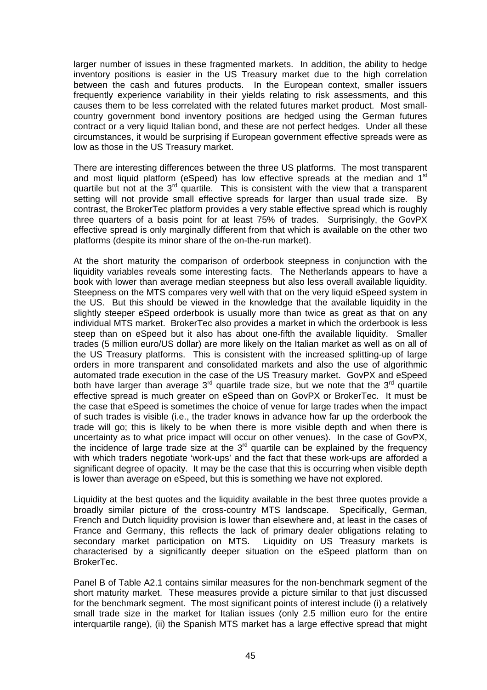larger number of issues in these fragmented markets. In addition, the ability to hedge inventory positions is easier in the US Treasury market due to the high correlation between the cash and futures products. In the European context, smaller issuers frequently experience variability in their yields relating to risk assessments, and this causes them to be less correlated with the related futures market product. Most smallcountry government bond inventory positions are hedged using the German futures contract or a very liquid Italian bond, and these are not perfect hedges. Under all these circumstances, it would be surprising if European government effective spreads were as low as those in the US Treasury market.

There are interesting differences between the three US platforms. The most transparent and most liquid platform (eSpeed) has low effective spreads at the median and 1<sup>st</sup> quartile but not at the  $3<sup>rd</sup>$  quartile. This is consistent with the view that a transparent setting will not provide small effective spreads for larger than usual trade size. By contrast, the BrokerTec platform provides a very stable effective spread which is roughly three quarters of a basis point for at least 75% of trades. Surprisingly, the GovPX effective spread is only marginally different from that which is available on the other two platforms (despite its minor share of the on-the-run market).

At the short maturity the comparison of orderbook steepness in conjunction with the liquidity variables reveals some interesting facts. The Netherlands appears to have a book with lower than average median steepness but also less overall available liquidity. Steepness on the MTS compares very well with that on the very liquid eSpeed system in the US. But this should be viewed in the knowledge that the available liquidity in the slightly steeper eSpeed orderbook is usually more than twice as great as that on any individual MTS market. BrokerTec also provides a market in which the orderbook is less steep than on eSpeed but it also has about one-fifth the available liquidity. Smaller trades (5 million euro/US dollar) are more likely on the Italian market as well as on all of the US Treasury platforms. This is consistent with the increased splitting-up of large orders in more transparent and consolidated markets and also the use of algorithmic automated trade execution in the case of the US Treasury market. GovPX and eSpeed both have larger than average  $3<sup>rd</sup>$  quartile trade size, but we note that the  $3<sup>rd</sup>$  quartile effective spread is much greater on eSpeed than on GovPX or BrokerTec. It must be the case that eSpeed is sometimes the choice of venue for large trades when the impact of such trades is visible (i.e., the trader knows in advance how far up the orderbook the trade will go; this is likely to be when there is more visible depth and when there is uncertainty as to what price impact will occur on other venues). In the case of GovPX, the incidence of large trade size at the  $3<sup>rd</sup>$  quartile can be explained by the frequency with which traders negotiate 'work-ups' and the fact that these work-ups are afforded a significant degree of opacity. It may be the case that this is occurring when visible depth is lower than average on eSpeed, but this is something we have not explored.

Liquidity at the best quotes and the liquidity available in the best three quotes provide a broadly similar picture of the cross-country MTS landscape. Specifically, German, French and Dutch liquidity provision is lower than elsewhere and, at least in the cases of France and Germany, this reflects the lack of primary dealer obligations relating to secondary market participation on MTS. Liquidity on US Treasury markets is characterised by a significantly deeper situation on the eSpeed platform than on BrokerTec.

Panel B of Table A2.1 contains similar measures for the non-benchmark segment of the short maturity market. These measures provide a picture similar to that just discussed for the benchmark segment. The most significant points of interest include (i) a relatively small trade size in the market for Italian issues (only 2.5 million euro for the entire interquartile range), (ii) the Spanish MTS market has a large effective spread that might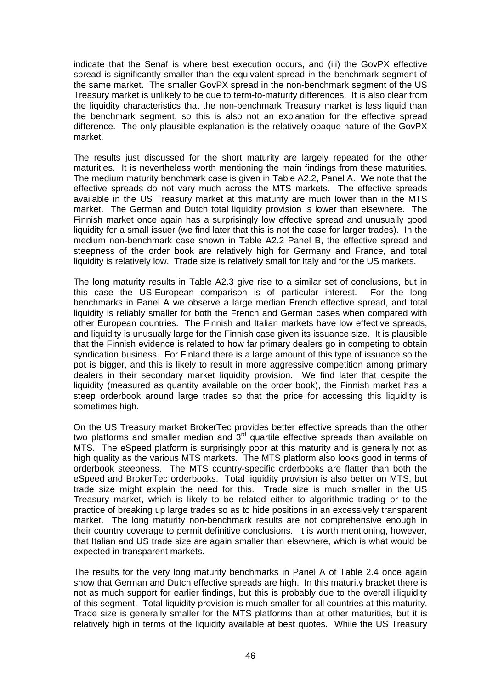indicate that the Senaf is where best execution occurs, and (iii) the GovPX effective spread is significantly smaller than the equivalent spread in the benchmark segment of the same market. The smaller GovPX spread in the non-benchmark segment of the US Treasury market is unlikely to be due to term-to-maturity differences. It is also clear from the liquidity characteristics that the non-benchmark Treasury market is less liquid than the benchmark segment, so this is also not an explanation for the effective spread difference. The only plausible explanation is the relatively opaque nature of the GovPX market.

The results just discussed for the short maturity are largely repeated for the other maturities. It is nevertheless worth mentioning the main findings from these maturities. The medium maturity benchmark case is given in Table A2.2, Panel A. We note that the effective spreads do not vary much across the MTS markets. The effective spreads available in the US Treasury market at this maturity are much lower than in the MTS market. The German and Dutch total liquidity provision is lower than elsewhere. The Finnish market once again has a surprisingly low effective spread and unusually good liquidity for a small issuer (we find later that this is not the case for larger trades). In the medium non-benchmark case shown in Table A2.2 Panel B, the effective spread and steepness of the order book are relatively high for Germany and France, and total liquidity is relatively low. Trade size is relatively small for Italy and for the US markets.

The long maturity results in Table A2.3 give rise to a similar set of conclusions, but in this case the US-European comparison is of particular interest. For the long benchmarks in Panel A we observe a large median French effective spread, and total liquidity is reliably smaller for both the French and German cases when compared with other European countries. The Finnish and Italian markets have low effective spreads, and liquidity is unusually large for the Finnish case given its issuance size. It is plausible that the Finnish evidence is related to how far primary dealers go in competing to obtain syndication business. For Finland there is a large amount of this type of issuance so the pot is bigger, and this is likely to result in more aggressive competition among primary dealers in their secondary market liquidity provision. We find later that despite the liquidity (measured as quantity available on the order book), the Finnish market has a steep orderbook around large trades so that the price for accessing this liquidity is sometimes high.

On the US Treasury market BrokerTec provides better effective spreads than the other two platforms and smaller median and  $3<sup>rd</sup>$  quartile effective spreads than available on MTS. The eSpeed platform is surprisingly poor at this maturity and is generally not as high quality as the various MTS markets. The MTS platform also looks good in terms of orderbook steepness. The MTS country-specific orderbooks are flatter than both the eSpeed and BrokerTec orderbooks. Total liquidity provision is also better on MTS, but trade size might explain the need for this. Trade size is much smaller in the US Treasury market, which is likely to be related either to algorithmic trading or to the practice of breaking up large trades so as to hide positions in an excessively transparent market. The long maturity non-benchmark results are not comprehensive enough in their country coverage to permit definitive conclusions. It is worth mentioning, however, that Italian and US trade size are again smaller than elsewhere, which is what would be expected in transparent markets.

The results for the very long maturity benchmarks in Panel A of Table 2.4 once again show that German and Dutch effective spreads are high. In this maturity bracket there is not as much support for earlier findings, but this is probably due to the overall illiquidity of this segment. Total liquidity provision is much smaller for all countries at this maturity. Trade size is generally smaller for the MTS platforms than at other maturities, but it is relatively high in terms of the liquidity available at best quotes. While the US Treasury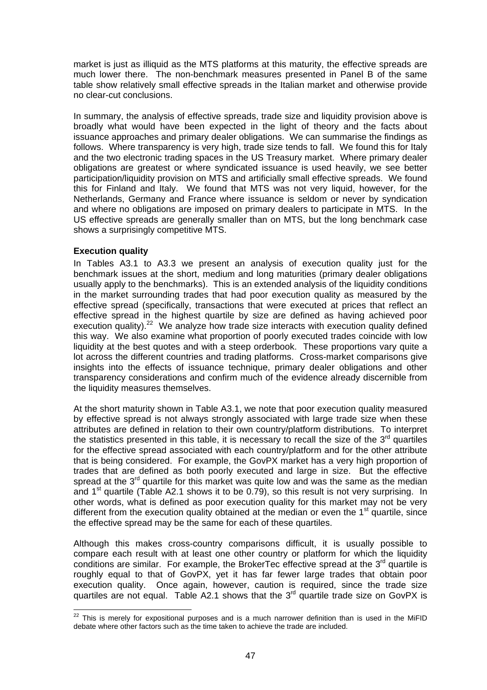market is just as illiquid as the MTS platforms at this maturity, the effective spreads are much lower there. The non-benchmark measures presented in Panel B of the same table show relatively small effective spreads in the Italian market and otherwise provide no clear-cut conclusions.

In summary, the analysis of effective spreads, trade size and liquidity provision above is broadly what would have been expected in the light of theory and the facts about issuance approaches and primary dealer obligations. We can summarise the findings as follows. Where transparency is very high, trade size tends to fall. We found this for Italy and the two electronic trading spaces in the US Treasury market. Where primary dealer obligations are greatest or where syndicated issuance is used heavily, we see better participation/liquidity provision on MTS and artificially small effective spreads. We found this for Finland and Italy. We found that MTS was not very liquid, however, for the Netherlands, Germany and France where issuance is seldom or never by syndication and where no obligations are imposed on primary dealers to participate in MTS. In the US effective spreads are generally smaller than on MTS, but the long benchmark case shows a surprisingly competitive MTS.

## **Execution quality**

In Tables A3.1 to A3.3 we present an analysis of execution quality just for the benchmark issues at the short, medium and long maturities (primary dealer obligations usually apply to the benchmarks). This is an extended analysis of the liquidity conditions in the market surrounding trades that had poor execution quality as measured by the effective spread (specifically, transactions that were executed at prices that reflect an effective spread in the highest quartile by size are defined as having achieved poor execution quality).<sup>22</sup> We analyze how trade size interacts with execution quality defined this way. We also examine what proportion of poorly executed trades coincide with low liquidity at the best quotes and with a steep orderbook. These proportions vary quite a lot across the different countries and trading platforms. Cross-market comparisons give insights into the effects of issuance technique, primary dealer obligations and other transparency considerations and confirm much of the evidence already discernible from the liquidity measures themselves.

At the short maturity shown in Table A3.1, we note that poor execution quality measured by effective spread is not always strongly associated with large trade size when these attributes are defined in relation to their own country/platform distributions. To interpret the statistics presented in this table, it is necessary to recall the size of the  $3<sup>rd</sup>$  quartiles for the effective spread associated with each country/platform and for the other attribute that is being considered. For example, the GovPX market has a very high proportion of trades that are defined as both poorly executed and large in size. But the effective spread at the  $3<sup>rd</sup>$  quartile for this market was quite low and was the same as the median and  $1<sup>st</sup>$  quartile (Table A2.1 shows it to be 0.79), so this result is not very surprising. In other words, what is defined as poor execution quality for this market may not be very different from the execution quality obtained at the median or even the  $1<sup>st</sup>$  quartile, since the effective spread may be the same for each of these quartiles.

Although this makes cross-country comparisons difficult, it is usually possible to compare each result with at least one other country or platform for which the liquidity conditions are similar. For example, the BrokerTec effective spread at the  $3<sup>rd</sup>$  quartile is roughly equal to that of GovPX, yet it has far fewer large trades that obtain poor execution quality. Once again, however, caution is required, since the trade size quartiles are not equal. Table A2.1 shows that the  $3<sup>rd</sup>$  quartile trade size on GovPX is

  $^{22}$  This is merely for expositional purposes and is a much narrower definition than is used in the MiFID debate where other factors such as the time taken to achieve the trade are included.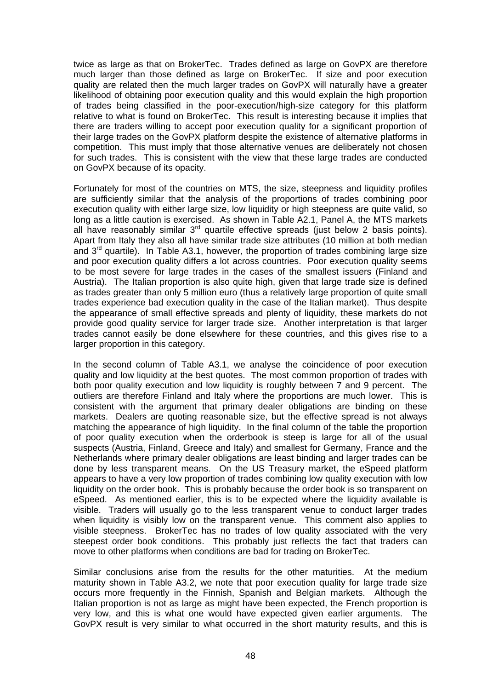twice as large as that on BrokerTec. Trades defined as large on GovPX are therefore much larger than those defined as large on BrokerTec. If size and poor execution quality are related then the much larger trades on GovPX will naturally have a greater likelihood of obtaining poor execution quality and this would explain the high proportion of trades being classified in the poor-execution/high-size category for this platform relative to what is found on BrokerTec. This result is interesting because it implies that there are traders willing to accept poor execution quality for a significant proportion of their large trades on the GovPX platform despite the existence of alternative platforms in competition. This must imply that those alternative venues are deliberately not chosen for such trades. This is consistent with the view that these large trades are conducted on GovPX because of its opacity.

Fortunately for most of the countries on MTS, the size, steepness and liquidity profiles are sufficiently similar that the analysis of the proportions of trades combining poor execution quality with either large size, low liquidity or high steepness are quite valid, so long as a little caution is exercised. As shown in Table A2.1, Panel A, the MTS markets all have reasonably similar  $3^{rd}$  quartile effective spreads (just below 2 basis points). Apart from Italy they also all have similar trade size attributes (10 million at both median and  $3<sup>rd</sup>$  quartile). In Table A3.1, however, the proportion of trades combining large size and poor execution quality differs a lot across countries. Poor execution quality seems to be most severe for large trades in the cases of the smallest issuers (Finland and Austria). The Italian proportion is also quite high, given that large trade size is defined as trades greater than only 5 million euro (thus a relatively large proportion of quite small trades experience bad execution quality in the case of the Italian market). Thus despite the appearance of small effective spreads and plenty of liquidity, these markets do not provide good quality service for larger trade size. Another interpretation is that larger trades cannot easily be done elsewhere for these countries, and this gives rise to a larger proportion in this category.

In the second column of Table A3.1, we analyse the coincidence of poor execution quality and low liquidity at the best quotes. The most common proportion of trades with both poor quality execution and low liquidity is roughly between 7 and 9 percent. The outliers are therefore Finland and Italy where the proportions are much lower. This is consistent with the argument that primary dealer obligations are binding on these markets. Dealers are quoting reasonable size, but the effective spread is not always matching the appearance of high liquidity. In the final column of the table the proportion of poor quality execution when the orderbook is steep is large for all of the usual suspects (Austria, Finland, Greece and Italy) and smallest for Germany, France and the Netherlands where primary dealer obligations are least binding and larger trades can be done by less transparent means. On the US Treasury market, the eSpeed platform appears to have a very low proportion of trades combining low quality execution with low liquidity on the order book. This is probably because the order book is so transparent on eSpeed. As mentioned earlier, this is to be expected where the liquidity available is visible. Traders will usually go to the less transparent venue to conduct larger trades when liquidity is visibly low on the transparent venue. This comment also applies to visible steepness. BrokerTec has no trades of low quality associated with the very steepest order book conditions. This probably just reflects the fact that traders can move to other platforms when conditions are bad for trading on BrokerTec.

Similar conclusions arise from the results for the other maturities. At the medium maturity shown in Table A3.2, we note that poor execution quality for large trade size occurs more frequently in the Finnish, Spanish and Belgian markets. Although the Italian proportion is not as large as might have been expected, the French proportion is very low, and this is what one would have expected given earlier arguments. The GovPX result is very similar to what occurred in the short maturity results, and this is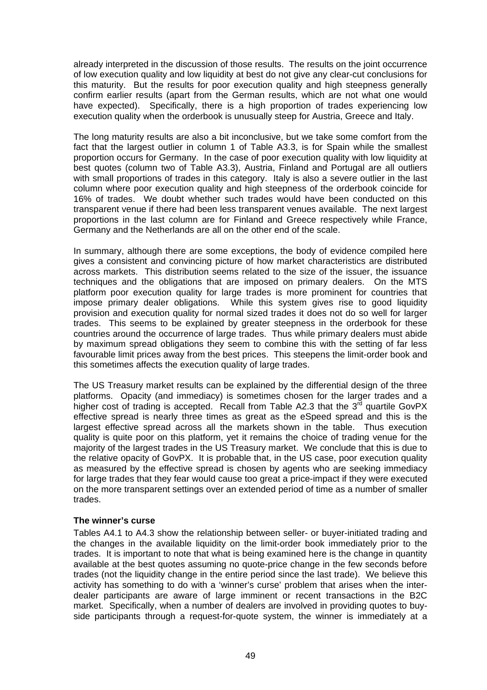already interpreted in the discussion of those results. The results on the joint occurrence of low execution quality and low liquidity at best do not give any clear-cut conclusions for this maturity. But the results for poor execution quality and high steepness generally confirm earlier results (apart from the German results, which are not what one would have expected). Specifically, there is a high proportion of trades experiencing low execution quality when the orderbook is unusually steep for Austria, Greece and Italy.

The long maturity results are also a bit inconclusive, but we take some comfort from the fact that the largest outlier in column 1 of Table A3.3, is for Spain while the smallest proportion occurs for Germany. In the case of poor execution quality with low liquidity at best quotes (column two of Table A3.3), Austria, Finland and Portugal are all outliers with small proportions of trades in this category. Italy is also a severe outlier in the last column where poor execution quality and high steepness of the orderbook coincide for 16% of trades. We doubt whether such trades would have been conducted on this transparent venue if there had been less transparent venues available. The next largest proportions in the last column are for Finland and Greece respectively while France, Germany and the Netherlands are all on the other end of the scale.

In summary, although there are some exceptions, the body of evidence compiled here gives a consistent and convincing picture of how market characteristics are distributed across markets. This distribution seems related to the size of the issuer, the issuance techniques and the obligations that are imposed on primary dealers. On the MTS platform poor execution quality for large trades is more prominent for countries that impose primary dealer obligations. While this system gives rise to good liquidity provision and execution quality for normal sized trades it does not do so well for larger trades. This seems to be explained by greater steepness in the orderbook for these countries around the occurrence of large trades. Thus while primary dealers must abide by maximum spread obligations they seem to combine this with the setting of far less favourable limit prices away from the best prices. This steepens the limit-order book and this sometimes affects the execution quality of large trades.

The US Treasury market results can be explained by the differential design of the three platforms. Opacity (and immediacy) is sometimes chosen for the larger trades and a higher cost of trading is accepted. Recall from Table A2.3 that the  $3<sup>rd</sup>$  quartile GovPX effective spread is nearly three times as great as the eSpeed spread and this is the largest effective spread across all the markets shown in the table. Thus execution quality is quite poor on this platform, yet it remains the choice of trading venue for the majority of the largest trades in the US Treasury market. We conclude that this is due to the relative opacity of GovPX. It is probable that, in the US case, poor execution quality as measured by the effective spread is chosen by agents who are seeking immediacy for large trades that they fear would cause too great a price-impact if they were executed on the more transparent settings over an extended period of time as a number of smaller trades.

## **The winner's curse**

Tables A4.1 to A4.3 show the relationship between seller- or buyer-initiated trading and the changes in the available liquidity on the limit-order book immediately prior to the trades. It is important to note that what is being examined here is the change in quantity available at the best quotes assuming no quote-price change in the few seconds before trades (not the liquidity change in the entire period since the last trade). We believe this activity has something to do with a 'winner's curse' problem that arises when the interdealer participants are aware of large imminent or recent transactions in the B2C market. Specifically, when a number of dealers are involved in providing quotes to buyside participants through a request-for-quote system, the winner is immediately at a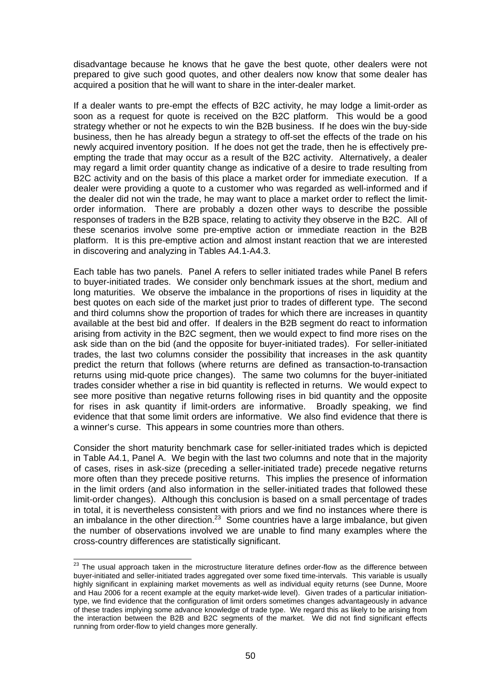disadvantage because he knows that he gave the best quote, other dealers were not prepared to give such good quotes, and other dealers now know that some dealer has acquired a position that he will want to share in the inter-dealer market.

If a dealer wants to pre-empt the effects of B2C activity, he may lodge a limit-order as soon as a request for quote is received on the B2C platform. This would be a good strategy whether or not he expects to win the B2B business. If he does win the buy-side business, then he has already begun a strategy to off-set the effects of the trade on his newly acquired inventory position. If he does not get the trade, then he is effectively preempting the trade that may occur as a result of the B2C activity. Alternatively, a dealer may regard a limit order quantity change as indicative of a desire to trade resulting from B2C activity and on the basis of this place a market order for immediate execution. If a dealer were providing a quote to a customer who was regarded as well-informed and if the dealer did not win the trade, he may want to place a market order to reflect the limitorder information. There are probably a dozen other ways to describe the possible responses of traders in the B2B space, relating to activity they observe in the B2C. All of these scenarios involve some pre-emptive action or immediate reaction in the B2B platform. It is this pre-emptive action and almost instant reaction that we are interested in discovering and analyzing in Tables A4.1-A4.3.

Each table has two panels. Panel A refers to seller initiated trades while Panel B refers to buyer-initiated trades. We consider only benchmark issues at the short, medium and long maturities. We observe the imbalance in the proportions of rises in liquidity at the best quotes on each side of the market just prior to trades of different type. The second and third columns show the proportion of trades for which there are increases in quantity available at the best bid and offer. If dealers in the B2B segment do react to information arising from activity in the B2C segment, then we would expect to find more rises on the ask side than on the bid (and the opposite for buyer-initiated trades). For seller-initiated trades, the last two columns consider the possibility that increases in the ask quantity predict the return that follows (where returns are defined as transaction-to-transaction returns using mid-quote price changes). The same two columns for the buyer-initiated trades consider whether a rise in bid quantity is reflected in returns. We would expect to see more positive than negative returns following rises in bid quantity and the opposite for rises in ask quantity if limit-orders are informative. Broadly speaking, we find evidence that that some limit orders are informative. We also find evidence that there is a winner's curse. This appears in some countries more than others.

Consider the short maturity benchmark case for seller-initiated trades which is depicted in Table A4.1, Panel A. We begin with the last two columns and note that in the majority of cases, rises in ask-size (preceding a seller-initiated trade) precede negative returns more often than they precede positive returns. This implies the presence of information in the limit orders (and also information in the seller-initiated trades that followed these limit-order changes). Although this conclusion is based on a small percentage of trades in total, it is nevertheless consistent with priors and we find no instances where there is an imbalance in the other direction.<sup>23</sup> Some countries have a large imbalance, but given the number of observations involved we are unable to find many examples where the cross-country differences are statistically significant.

 $23$  The usual approach taken in the microstructure literature defines order-flow as the difference between buyer-initiated and seller-initiated trades aggregated over some fixed time-intervals. This variable is usually highly significant in explaining market movements as well as individual equity returns (see Dunne, Moore and Hau 2006 for a recent example at the equity market-wide level). Given trades of a particular initiationtype, we find evidence that the configuration of limit orders sometimes changes advantageously in advance of these trades implying some advance knowledge of trade type. We regard this as likely to be arising from the interaction between the B2B and B2C segments of the market. We did not find significant effects running from order-flow to yield changes more generally.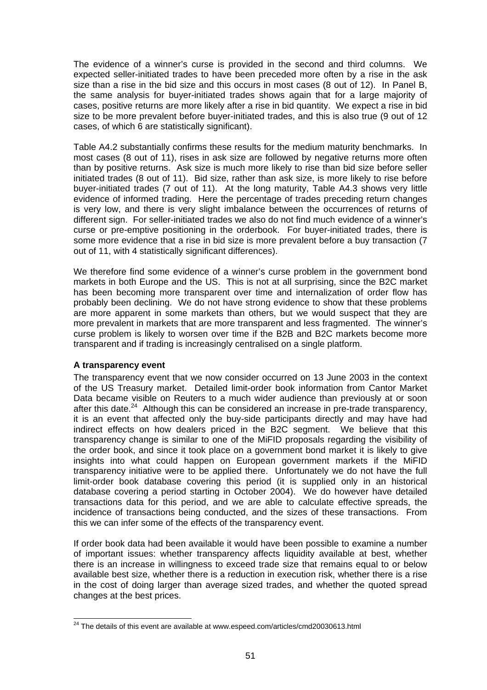The evidence of a winner's curse is provided in the second and third columns. We expected seller-initiated trades to have been preceded more often by a rise in the ask size than a rise in the bid size and this occurs in most cases (8 out of 12). In Panel B, the same analysis for buyer-initiated trades shows again that for a large majority of cases, positive returns are more likely after a rise in bid quantity. We expect a rise in bid size to be more prevalent before buyer-initiated trades, and this is also true (9 out of 12 cases, of which 6 are statistically significant).

Table A4.2 substantially confirms these results for the medium maturity benchmarks. In most cases (8 out of 11), rises in ask size are followed by negative returns more often than by positive returns. Ask size is much more likely to rise than bid size before seller initiated trades (8 out of 11). Bid size, rather than ask size, is more likely to rise before buyer-initiated trades (7 out of 11). At the long maturity, Table A4.3 shows very little evidence of informed trading. Here the percentage of trades preceding return changes is very low, and there is very slight imbalance between the occurrences of returns of different sign. For seller-initiated trades we also do not find much evidence of a winner's curse or pre-emptive positioning in the orderbook. For buyer-initiated trades, there is some more evidence that a rise in bid size is more prevalent before a buy transaction (7 out of 11, with 4 statistically significant differences).

We therefore find some evidence of a winner's curse problem in the government bond markets in both Europe and the US. This is not at all surprising, since the B2C market has been becoming more transparent over time and internalization of order flow has probably been declining. We do not have strong evidence to show that these problems are more apparent in some markets than others, but we would suspect that they are more prevalent in markets that are more transparent and less fragmented. The winner's curse problem is likely to worsen over time if the B2B and B2C markets become more transparent and if trading is increasingly centralised on a single platform.

## **A transparency event**

 $\overline{\phantom{a}}$ 

The transparency event that we now consider occurred on 13 June 2003 in the context of the US Treasury market. Detailed limit-order book information from Cantor Market Data became visible on Reuters to a much wider audience than previously at or soon after this date. $24$  Although this can be considered an increase in pre-trade transparency, it is an event that affected only the buy-side participants directly and may have had indirect effects on how dealers priced in the B2C segment. We believe that this transparency change is similar to one of the MiFID proposals regarding the visibility of the order book, and since it took place on a government bond market it is likely to give insights into what could happen on European government markets if the MiFID transparency initiative were to be applied there. Unfortunately we do not have the full limit-order book database covering this period (it is supplied only in an historical database covering a period starting in October 2004). We do however have detailed transactions data for this period, and we are able to calculate effective spreads, the incidence of transactions being conducted, and the sizes of these transactions. From this we can infer some of the effects of the transparency event.

If order book data had been available it would have been possible to examine a number of important issues: whether transparency affects liquidity available at best, whether there is an increase in willingness to exceed trade size that remains equal to or below available best size, whether there is a reduction in execution risk, whether there is a rise in the cost of doing larger than average sized trades, and whether the quoted spread changes at the best prices.

 $24$  The details of this event are available at www.espeed.com/articles/cmd20030613.html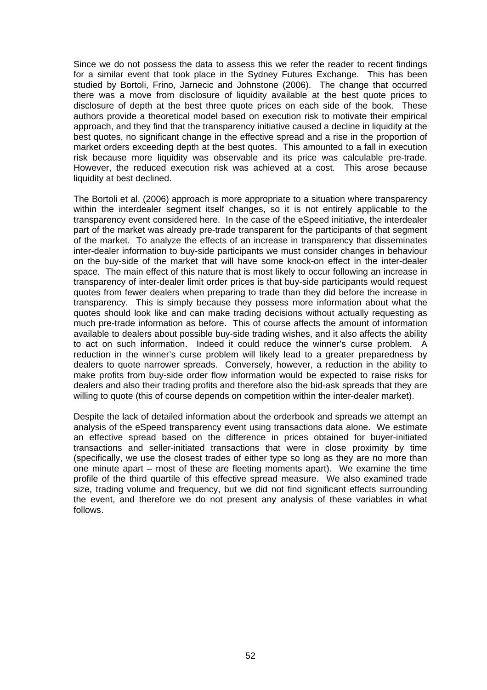Since we do not possess the data to assess this we refer the reader to recent findings for a similar event that took place in the Sydney Futures Exchange. This has been studied by Bortoli, Frino, Jarnecic and Johnstone (2006). The change that occurred there was a move from disclosure of liquidity available at the best quote prices to disclosure of depth at the best three quote prices on each side of the book. These authors provide a theoretical model based on execution risk to motivate their empirical approach, and they find that the transparency initiative caused a decline in liquidity at the best quotes, no significant change in the effective spread and a rise in the proportion of market orders exceeding depth at the best quotes. This amounted to a fall in execution risk because more liquidity was observable and its price was calculable pre-trade. However, the reduced execution risk was achieved at a cost. This arose because liquidity at best declined.

The Bortoli et al. (2006) approach is more appropriate to a situation where transparency within the interdealer segment itself changes, so it is not entirely applicable to the transparency event considered here. In the case of the eSpeed initiative, the interdealer part of the market was already pre-trade transparent for the participants of that segment of the market. To analyze the effects of an increase in transparency that disseminates inter-dealer information to buy-side participants we must consider changes in behaviour on the buy-side of the market that will have some knock-on effect in the inter-dealer space. The main effect of this nature that is most likely to occur following an increase in transparency of inter-dealer limit order prices is that buy-side participants would request quotes from fewer dealers when preparing to trade than they did before the increase in transparency. This is simply because they possess more information about what the quotes should look like and can make trading decisions without actually requesting as much pre-trade information as before. This of course affects the amount of information available to dealers about possible buy-side trading wishes, and it also affects the ability to act on such information. Indeed it could reduce the winner's curse problem. A reduction in the winner's curse problem will likely lead to a greater preparedness by dealers to quote narrower spreads. Conversely, however, a reduction in the ability to make profits from buy-side order flow information would be expected to raise risks for dealers and also their trading profits and therefore also the bid-ask spreads that they are willing to quote (this of course depends on competition within the inter-dealer market).

Despite the lack of detailed information about the orderbook and spreads we attempt an analysis of the eSpeed transparency event using transactions data alone. We estimate an effective spread based on the difference in prices obtained for buyer-initiated transactions and seller-initiated transactions that were in close proximity by time (specifically, we use the closest trades of either type so long as they are no more than one minute apart – most of these are fleeting moments apart). We examine the time profile of the third quartile of this effective spread measure. We also examined trade size, trading volume and frequency, but we did not find significant effects surrounding the event, and therefore we do not present any analysis of these variables in what follows.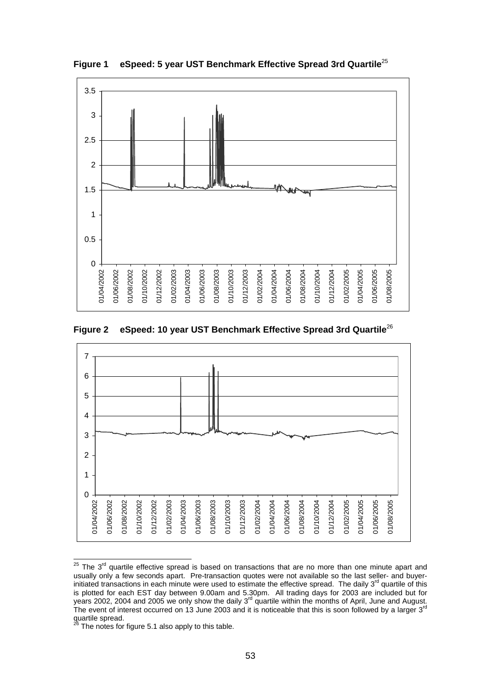

**Figure 1 eSpeed: 5 year UST Benchmark Effective Spread 3rd Quartile**<sup>25</sup>

**Figure 2 eSpeed: 10 year UST Benchmark Effective Spread 3rd Quartile**<sup>26</sup>



  $25$  The  $3<sup>rd</sup>$  quartile effective spread is based on transactions that are no more than one minute apart and usually only a few seconds apart. Pre-transaction quotes were not available so the last seller- and buyerinitiated transactions in each minute were used to estimate the effective spread. The daily  $3^{rd}$  quartile of this is plotted for each EST day between 9.00am and 5.30pm. All trading days for 2003 are included but for years 2002, 2004 and 2005 we only show the daily 3<sup>rd</sup> quartile within the months of April, June and August. The event of interest occurred on 13 June 2003 and it is noticeable that this is soon followed by a larger 3<sup>rd</sup> quartile spread.

The notes for figure 5.1 also apply to this table.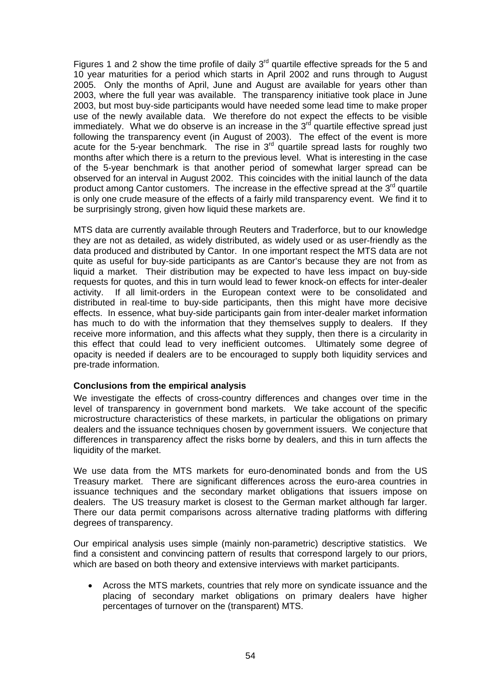Figures 1 and 2 show the time profile of daily  $3<sup>rd</sup>$  quartile effective spreads for the 5 and 10 year maturities for a period which starts in April 2002 and runs through to August 2005. Only the months of April, June and August are available for years other than 2003, where the full year was available. The transparency initiative took place in June 2003, but most buy-side participants would have needed some lead time to make proper use of the newly available data. We therefore do not expect the effects to be visible immediately. What we do observe is an increase in the  $3<sup>rd</sup>$  quartile effective spread just following the transparency event (in August of 2003). The effect of the event is more acute for the 5-year benchmark. The rise in  $3<sup>rd</sup>$  quartile spread lasts for roughly two months after which there is a return to the previous level. What is interesting in the case of the 5-year benchmark is that another period of somewhat larger spread can be observed for an interval in August 2002. This coincides with the initial launch of the data product among Cantor customers. The increase in the effective spread at the 3<sup>rd</sup> quartile is only one crude measure of the effects of a fairly mild transparency event. We find it to be surprisingly strong, given how liquid these markets are.

MTS data are currently available through Reuters and Traderforce, but to our knowledge they are not as detailed, as widely distributed, as widely used or as user-friendly as the data produced and distributed by Cantor. In one important respect the MTS data are not quite as useful for buy-side participants as are Cantor's because they are not from as liquid a market. Their distribution may be expected to have less impact on buy-side requests for quotes, and this in turn would lead to fewer knock-on effects for inter-dealer activity. If all limit-orders in the European context were to be consolidated and distributed in real-time to buy-side participants, then this might have more decisive effects. In essence, what buy-side participants gain from inter-dealer market information has much to do with the information that they themselves supply to dealers. If they receive more information, and this affects what they supply, then there is a circularity in this effect that could lead to very inefficient outcomes. Ultimately some degree of opacity is needed if dealers are to be encouraged to supply both liquidity services and pre-trade information.

#### **Conclusions from the empirical analysis**

We investigate the effects of cross-country differences and changes over time in the level of transparency in government bond markets. We take account of the specific microstructure characteristics of these markets, in particular the obligations on primary dealers and the issuance techniques chosen by government issuers. We conjecture that differences in transparency affect the risks borne by dealers, and this in turn affects the liquidity of the market.

We use data from the MTS markets for euro-denominated bonds and from the US Treasury market. There are significant differences across the euro-area countries in issuance techniques and the secondary market obligations that issuers impose on dealers. The US treasury market is closest to the German market although far larger. There our data permit comparisons across alternative trading platforms with differing degrees of transparency.

Our empirical analysis uses simple (mainly non-parametric) descriptive statistics. We find a consistent and convincing pattern of results that correspond largely to our priors, which are based on both theory and extensive interviews with market participants.

• Across the MTS markets, countries that rely more on syndicate issuance and the placing of secondary market obligations on primary dealers have higher percentages of turnover on the (transparent) MTS.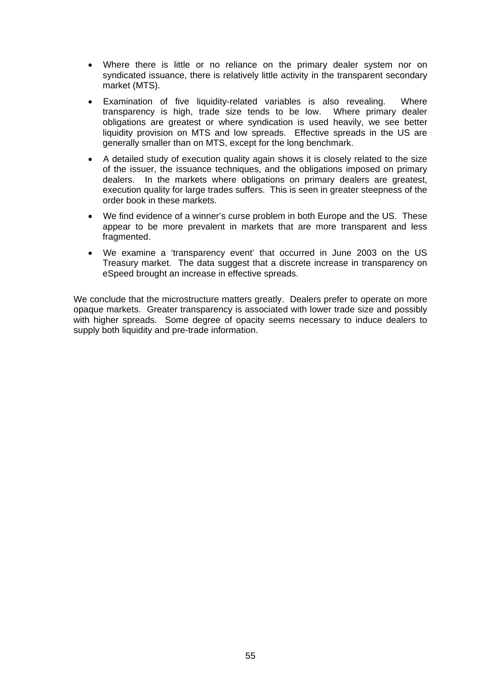- Where there is little or no reliance on the primary dealer system nor on syndicated issuance, there is relatively little activity in the transparent secondary market (MTS).
- Examination of five liquidity-related variables is also revealing. Where transparency is high, trade size tends to be low. Where primary dealer obligations are greatest or where syndication is used heavily, we see better liquidity provision on MTS and low spreads. Effective spreads in the US are generally smaller than on MTS, except for the long benchmark.
- A detailed study of execution quality again shows it is closely related to the size of the issuer, the issuance techniques, and the obligations imposed on primary dealers. In the markets where obligations on primary dealers are greatest, execution quality for large trades suffers. This is seen in greater steepness of the order book in these markets.
- We find evidence of a winner's curse problem in both Europe and the US. These appear to be more prevalent in markets that are more transparent and less fragmented.
- We examine a 'transparency event' that occurred in June 2003 on the US Treasury market. The data suggest that a discrete increase in transparency on eSpeed brought an increase in effective spreads.

We conclude that the microstructure matters greatly. Dealers prefer to operate on more opaque markets. Greater transparency is associated with lower trade size and possibly with higher spreads. Some degree of opacity seems necessary to induce dealers to supply both liquidity and pre-trade information.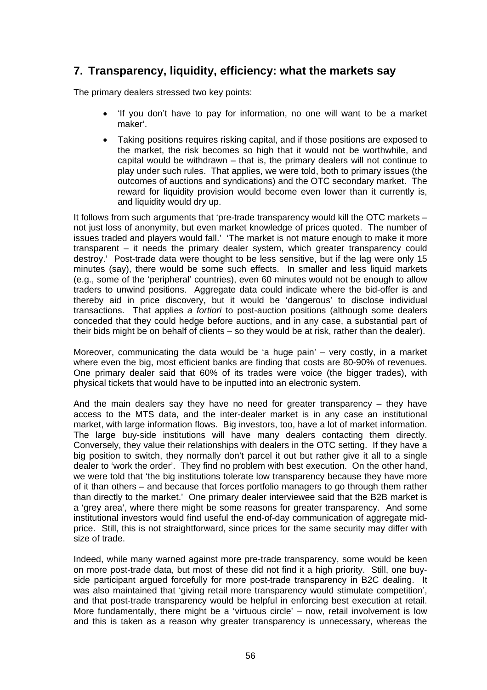# **7. Transparency, liquidity, efficiency: what the markets say**

The primary dealers stressed two key points:

- 'If you don't have to pay for information, no one will want to be a market maker'.
- Taking positions requires risking capital, and if those positions are exposed to the market, the risk becomes so high that it would not be worthwhile, and capital would be withdrawn – that is, the primary dealers will not continue to play under such rules. That applies, we were told, both to primary issues (the outcomes of auctions and syndications) and the OTC secondary market. The reward for liquidity provision would become even lower than it currently is, and liquidity would dry up.

It follows from such arguments that 'pre-trade transparency would kill the OTC markets – not just loss of anonymity, but even market knowledge of prices quoted. The number of issues traded and players would fall.' 'The market is not mature enough to make it more transparent – it needs the primary dealer system, which greater transparency could destroy.' Post-trade data were thought to be less sensitive, but if the lag were only 15 minutes (say), there would be some such effects. In smaller and less liquid markets (e.g., some of the 'peripheral' countries), even 60 minutes would not be enough to allow traders to unwind positions. Aggregate data could indicate where the bid-offer is and thereby aid in price discovery, but it would be 'dangerous' to disclose individual transactions. That applies *a fortiori* to post-auction positions (although some dealers conceded that they could hedge before auctions, and in any case, a substantial part of their bids might be on behalf of clients – so they would be at risk, rather than the dealer).

Moreover, communicating the data would be 'a huge pain' – very costly, in a market where even the big, most efficient banks are finding that costs are 80-90% of revenues. One primary dealer said that 60% of its trades were voice (the bigger trades), with physical tickets that would have to be inputted into an electronic system.

And the main dealers say they have no need for greater transparency – they have access to the MTS data, and the inter-dealer market is in any case an institutional market, with large information flows. Big investors, too, have a lot of market information. The large buy-side institutions will have many dealers contacting them directly. Conversely, they value their relationships with dealers in the OTC setting. If they have a big position to switch, they normally don't parcel it out but rather give it all to a single dealer to 'work the order'. They find no problem with best execution. On the other hand, we were told that 'the big institutions tolerate low transparency because they have more of it than others – and because that forces portfolio managers to go through them rather than directly to the market.' One primary dealer interviewee said that the B2B market is a 'grey area', where there might be some reasons for greater transparency. And some institutional investors would find useful the end-of-day communication of aggregate midprice. Still, this is not straightforward, since prices for the same security may differ with size of trade.

Indeed, while many warned against more pre-trade transparency, some would be keen on more post-trade data, but most of these did not find it a high priority. Still, one buyside participant argued forcefully for more post-trade transparency in B2C dealing. It was also maintained that 'giving retail more transparency would stimulate competition', and that post-trade transparency would be helpful in enforcing best execution at retail. More fundamentally, there might be a 'virtuous circle' – now, retail involvement is low and this is taken as a reason why greater transparency is unnecessary, whereas the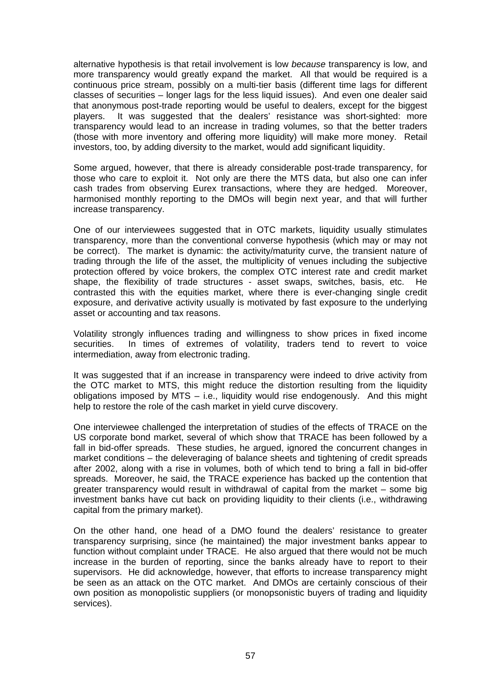alternative hypothesis is that retail involvement is low *because* transparency is low, and more transparency would greatly expand the market. All that would be required is a continuous price stream, possibly on a multi-tier basis (different time lags for different classes of securities – longer lags for the less liquid issues). And even one dealer said that anonymous post-trade reporting would be useful to dealers, except for the biggest players. It was suggested that the dealers' resistance was short-sighted: more transparency would lead to an increase in trading volumes, so that the better traders (those with more inventory and offering more liquidity) will make more money. Retail investors, too, by adding diversity to the market, would add significant liquidity.

Some argued, however, that there is already considerable post-trade transparency, for those who care to exploit it. Not only are there the MTS data, but also one can infer cash trades from observing Eurex transactions, where they are hedged. Moreover, harmonised monthly reporting to the DMOs will begin next year, and that will further increase transparency.

One of our interviewees suggested that in OTC markets, liquidity usually stimulates transparency, more than the conventional converse hypothesis (which may or may not be correct). The market is dynamic: the activity/maturity curve, the transient nature of trading through the life of the asset, the multiplicity of venues including the subjective protection offered by voice brokers, the complex OTC interest rate and credit market shape, the flexibility of trade structures - asset swaps, switches, basis, etc. He contrasted this with the equities market, where there is ever-changing single credit exposure, and derivative activity usually is motivated by fast exposure to the underlying asset or accounting and tax reasons.

Volatility strongly influences trading and willingness to show prices in fixed income securities. In times of extremes of volatility, traders tend to revert to voice intermediation, away from electronic trading.

It was suggested that if an increase in transparency were indeed to drive activity from the OTC market to MTS, this might reduce the distortion resulting from the liquidity obligations imposed by MTS – i.e., liquidity would rise endogenously. And this might help to restore the role of the cash market in yield curve discovery.

One interviewee challenged the interpretation of studies of the effects of TRACE on the US corporate bond market, several of which show that TRACE has been followed by a fall in bid-offer spreads. These studies, he argued, ignored the concurrent changes in market conditions – the deleveraging of balance sheets and tightening of credit spreads after 2002, along with a rise in volumes, both of which tend to bring a fall in bid-offer spreads. Moreover, he said, the TRACE experience has backed up the contention that greater transparency would result in withdrawal of capital from the market – some big investment banks have cut back on providing liquidity to their clients (i.e., withdrawing capital from the primary market).

On the other hand, one head of a DMO found the dealers' resistance to greater transparency surprising, since (he maintained) the major investment banks appear to function without complaint under TRACE. He also argued that there would not be much increase in the burden of reporting, since the banks already have to report to their supervisors. He did acknowledge, however, that efforts to increase transparency might be seen as an attack on the OTC market. And DMOs are certainly conscious of their own position as monopolistic suppliers (or monopsonistic buyers of trading and liquidity services).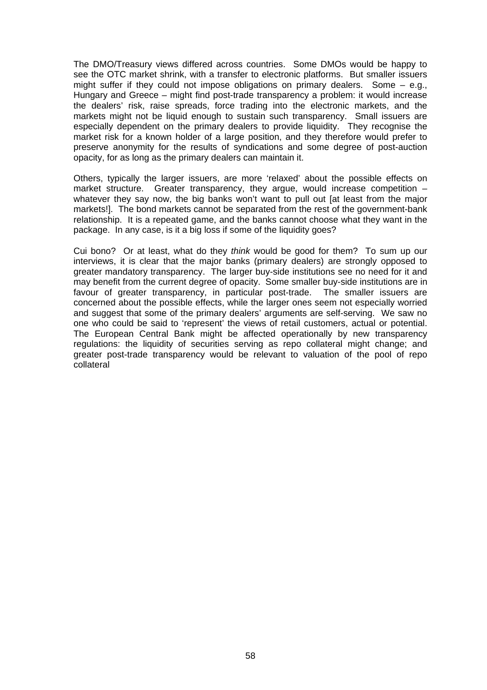The DMO/Treasury views differed across countries. Some DMOs would be happy to see the OTC market shrink, with a transfer to electronic platforms. But smaller issuers might suffer if they could not impose obligations on primary dealers. Some – e.g., Hungary and Greece – might find post-trade transparency a problem: it would increase the dealers' risk, raise spreads, force trading into the electronic markets, and the markets might not be liquid enough to sustain such transparency. Small issuers are especially dependent on the primary dealers to provide liquidity. They recognise the market risk for a known holder of a large position, and they therefore would prefer to preserve anonymity for the results of syndications and some degree of post-auction opacity, for as long as the primary dealers can maintain it.

Others, typically the larger issuers, are more 'relaxed' about the possible effects on market structure. Greater transparency, they argue, would increase competition whatever they say now, the big banks won't want to pull out [at least from the major markets!]. The bond markets cannot be separated from the rest of the government-bank relationship. It is a repeated game, and the banks cannot choose what they want in the package. In any case, is it a big loss if some of the liquidity goes?

Cui bono? Or at least, what do they *think* would be good for them? To sum up our interviews, it is clear that the major banks (primary dealers) are strongly opposed to greater mandatory transparency. The larger buy-side institutions see no need for it and may benefit from the current degree of opacity. Some smaller buy-side institutions are in favour of greater transparency, in particular post-trade. The smaller issuers are concerned about the possible effects, while the larger ones seem not especially worried and suggest that some of the primary dealers' arguments are self-serving. We saw no one who could be said to 'represent' the views of retail customers, actual or potential. The European Central Bank might be affected operationally by new transparency regulations: the liquidity of securities serving as repo collateral might change; and greater post-trade transparency would be relevant to valuation of the pool of repo collateral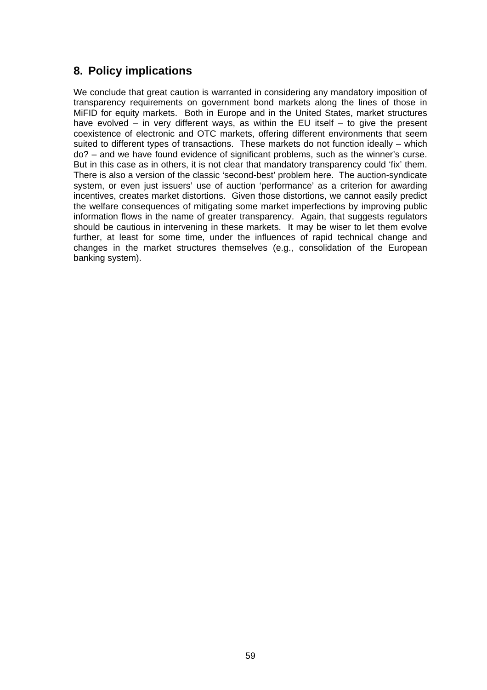# **8. Policy implications**

We conclude that great caution is warranted in considering any mandatory imposition of transparency requirements on government bond markets along the lines of those in MiFID for equity markets. Both in Europe and in the United States, market structures have evolved – in very different ways, as within the EU itself – to give the present coexistence of electronic and OTC markets, offering different environments that seem suited to different types of transactions. These markets do not function ideally – which do? – and we have found evidence of significant problems, such as the winner's curse. But in this case as in others, it is not clear that mandatory transparency could 'fix' them. There is also a version of the classic 'second-best' problem here. The auction-syndicate system, or even just issuers' use of auction 'performance' as a criterion for awarding incentives, creates market distortions. Given those distortions, we cannot easily predict the welfare consequences of mitigating some market imperfections by improving public information flows in the name of greater transparency. Again, that suggests regulators should be cautious in intervening in these markets. It may be wiser to let them evolve further, at least for some time, under the influences of rapid technical change and changes in the market structures themselves (e.g., consolidation of the European banking system).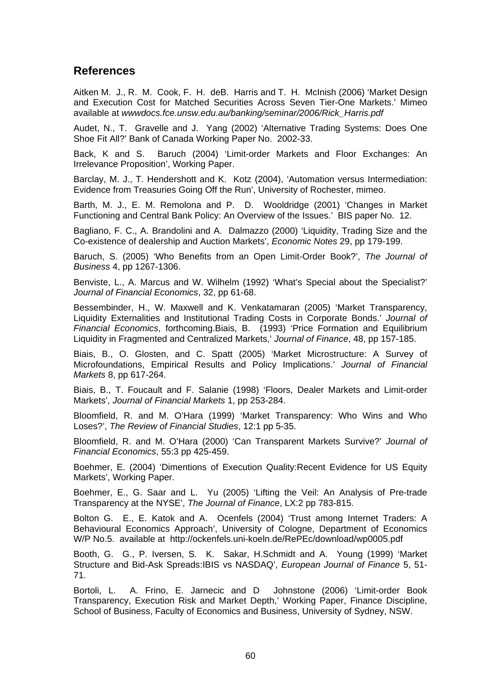## **References**

Aitken M. J., R. M. Cook, F. H. deB. Harris and T. H. McInish (2006) 'Market Design and Execution Cost for Matched Securities Across Seven Tier-One Markets.' Mimeo available at *wwwdocs.fce.unsw.edu.au/banking/seminar/2006/Rick\_Harris.pdf*

Audet, N., T. Gravelle and J. Yang (2002) 'Alternative Trading Systems: Does One Shoe Fit All?' Bank of Canada Working Paper No. 2002-33.

Back, K and S. Baruch (2004) 'Limit-order Markets and Floor Exchanges: An Irrelevance Proposition', Working Paper.

Barclay, M. J., T. Hendershott and K. Kotz (2004), 'Automation versus Intermediation: Evidence from Treasuries Going Off the Run', University of Rochester, mimeo.

Barth, M. J., E. M. Remolona and P. D. Wooldridge (2001) 'Changes in Market Functioning and Central Bank Policy: An Overview of the Issues.' BIS paper No. 12.

Bagliano, F. C., A. Brandolini and A. Dalmazzo (2000) 'Liquidity, Trading Size and the Co-existence of dealership and Auction Markets', *Economic Notes* 29, pp 179-199.

Baruch, S. (2005) 'Who Benefits from an Open Limit-Order Book?', *The Journal of Business* 4, pp 1267-1306.

Benviste, L., A. Marcus and W. Wilhelm (1992) 'What's Special about the Specialist?' *Journal of Financial Economics*, 32, pp 61-68.

Bessembinder, H., W. Maxwell and K. Venkatamaran (2005) 'Market Transparency, Liquidity Externalities and Institutional Trading Costs in Corporate Bonds.' *Journal of Financial Economics*, forthcoming.Biais, B. (1993) 'Price Formation and Equilibrium Liquidity in Fragmented and Centralized Markets,' *Journal of Finance*, 48, pp 157-185.

Biais, B., O. Glosten, and C. Spatt (2005) 'Market Microstructure: A Survey of Microfoundations, Empirical Results and Policy Implications.' *Journal of Financial Markets* 8, pp 617-264.

Biais, B., T. Foucault and F. Salanie (1998) 'Floors, Dealer Markets and Limit-order Markets', *Journal of Financial Markets* 1, pp 253-284.

Bloomfield, R. and M. O'Hara (1999) 'Market Transparency: Who Wins and Who Loses?', *The Review of Financial Studies*, 12:1 pp 5-35.

Bloomfield, R. and M. O'Hara (2000) 'Can Transparent Markets Survive?' *Journal of Financial Economics*, 55:3 pp 425-459.

Boehmer, E. (2004) 'Dimentions of Execution Quality:Recent Evidence for US Equity Markets', Working Paper.

Boehmer, E., G. Saar and L. Yu (2005) 'Lifting the Veil: An Analysis of Pre-trade Transparency at the NYSE', *The Journal of Finance*, LX:2 pp 783-815.

Bolton G. E., E. Katok and A. Ocenfels (2004) 'Trust among Internet Traders: A Behavioural Economics Approach', University of Cologne, Department of Economics W/P No.5. available at http://ockenfels.uni-koeln.de/RePEc/download/wp0005.pdf

Booth, G. G., P. Iversen, S. K. Sakar, H.Schmidt and A. Young (1999) 'Market Structure and Bid-Ask Spreads:IBIS vs NASDAQ', *European Journal of Finance* 5, 51- 71.

Bortoli, L. A. Frino, E. Jarnecic and D Johnstone (2006) 'Limit-order Book Transparency, Execution Risk and Market Depth,' Working Paper, Finance Discipline, School of Business, Faculty of Economics and Business, University of Sydney, NSW.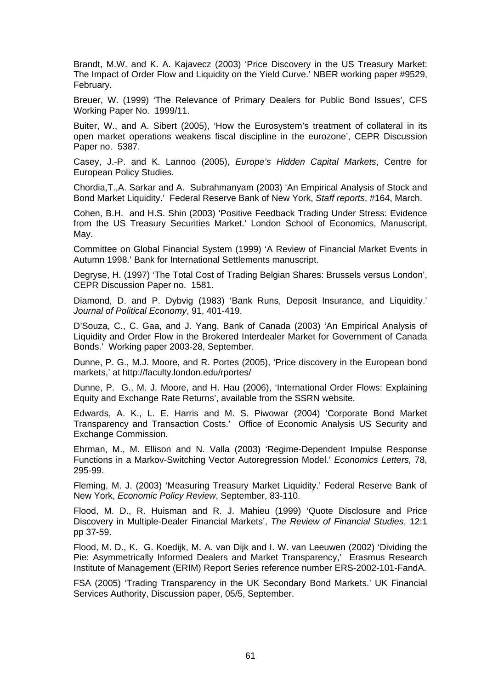Brandt, M.W. and K. A. Kajavecz (2003) 'Price Discovery in the US Treasury Market: The Impact of Order Flow and Liquidity on the Yield Curve.' NBER working paper #9529, February.

Breuer, W. (1999) 'The Relevance of Primary Dealers for Public Bond Issues', CFS Working Paper No. 1999/11.

Buiter, W., and A. Sibert (2005), 'How the Eurosystem's treatment of collateral in its open market operations weakens fiscal discipline in the eurozone', CEPR Discussion Paper no. 5387.

Casey, J.-P. and K. Lannoo (2005), *Europe's Hidden Capital Markets*, Centre for European Policy Studies.

Chordia,T.,A. Sarkar and A. Subrahmanyam (2003) 'An Empirical Analysis of Stock and Bond Market Liquidity.' Federal Reserve Bank of New York, *Staff reports*, #164, March.

Cohen, B.H. and H.S. Shin (2003) 'Positive Feedback Trading Under Stress: Evidence from the US Treasury Securities Market.' London School of Economics, Manuscript, May.

Committee on Global Financial System (1999) 'A Review of Financial Market Events in Autumn 1998.' Bank for International Settlements manuscript.

Degryse, H. (1997) 'The Total Cost of Trading Belgian Shares: Brussels versus London', CEPR Discussion Paper no. 1581.

Diamond, D. and P. Dybvig (1983) 'Bank Runs, Deposit Insurance, and Liquidity.' *Journal of Political Economy*, 91, 401-419.

D'Souza, C., C. Gaa, and J. Yang, Bank of Canada (2003) 'An Empirical Analysis of Liquidity and Order Flow in the Brokered Interdealer Market for Government of Canada Bonds.' Working paper 2003-28, September.

Dunne, P. G., M.J. Moore, and R. Portes (2005), 'Price discovery in the European bond markets,' at http://faculty.london.edu/rportes/

Dunne, P. G., M. J. Moore, and H. Hau (2006), 'International Order Flows: Explaining Equity and Exchange Rate Returns', available from the SSRN website.

Edwards, A. K., L. E. Harris and M. S. Piwowar (2004) 'Corporate Bond Market Transparency and Transaction Costs.' Office of Economic Analysis US Security and Exchange Commission.

Ehrman, M., M. Ellison and N. Valla (2003) 'Regime-Dependent Impulse Response Functions in a Markov-Switching Vector Autoregression Model.' *Economics Letters,* 78, 295-99.

Fleming, M. J. (2003) 'Measuring Treasury Market Liquidity.' Federal Reserve Bank of New York, *Economic Policy Review*, September, 83-110.

Flood, M. D., R. Huisman and R. J. Mahieu (1999) 'Quote Disclosure and Price Discovery in Multiple-Dealer Financial Markets', *The Review of Financial Studies*, 12:1 pp 37-59.

Flood, M. D., K. G. Koedijk, M. A. van Dijk and I. W. van Leeuwen (2002) 'Dividing the Pie: Asymmetrically Informed Dealers and Market Transparency,' Erasmus Research Institute of Management (ERIM) Report Series reference number ERS-2002-101-FandA.

FSA (2005) 'Trading Transparency in the UK Secondary Bond Markets.' UK Financial Services Authority, Discussion paper, 05/5, September.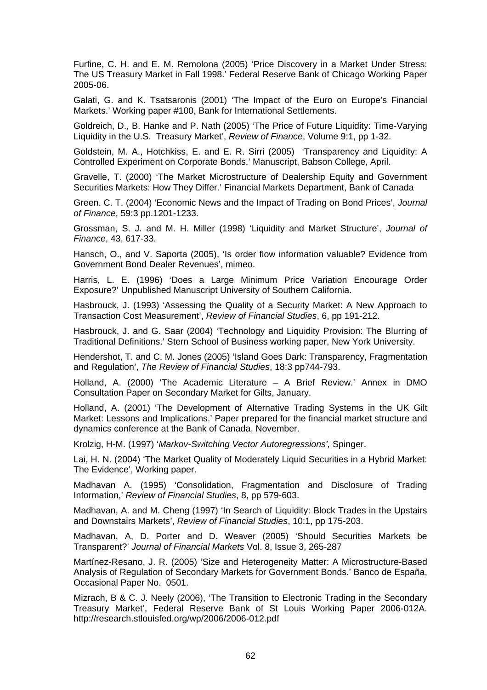Furfine, C. H. and E. M. Remolona (2005) 'Price Discovery in a Market Under Stress: The US Treasury Market in Fall 1998.' Federal Reserve Bank of Chicago Working Paper 2005-06.

Galati, G. and K. Tsatsaronis (2001) 'The Impact of the Euro on Europe's Financial Markets.' Working paper #100, Bank for International Settlements.

Goldreich, D., B. Hanke and P. Nath (2005) 'The Price of Future Liquidity: Time-Varying Liquidity in the U.S. Treasury Market', *Review of Finance*, Volume 9:1, pp 1-32.

Goldstein, M. A., Hotchkiss, E. and E. R. Sirri (2005) 'Transparency and Liquidity: A Controlled Experiment on Corporate Bonds.' Manuscript, Babson College, April.

Gravelle, T. (2000) 'The Market Microstructure of Dealership Equity and Government Securities Markets: How They Differ.' Financial Markets Department, Bank of Canada

Green. C. T. (2004) 'Economic News and the Impact of Trading on Bond Prices', *Journal of Finance*, 59:3 pp.1201-1233.

Grossman, S. J. and M. H. Miller (1998) 'Liquidity and Market Structure', *Journal of Finance*, 43, 617-33.

Hansch, O., and V. Saporta (2005), 'Is order flow information valuable? Evidence from Government Bond Dealer Revenues', mimeo.

Harris, L. E. (1996) 'Does a Large Minimum Price Variation Encourage Order Exposure?' Unpublished Manuscript University of Southern California.

Hasbrouck, J. (1993) 'Assessing the Quality of a Security Market: A New Approach to Transaction Cost Measurement', *Review of Financial Studies*, 6, pp 191-212.

Hasbrouck, J. and G. Saar (2004) 'Technology and Liquidity Provision: The Blurring of Traditional Definitions.' Stern School of Business working paper, New York University.

Hendershot, T. and C. M. Jones (2005) 'Island Goes Dark: Transparency, Fragmentation and Regulation', *The Review of Financial Studies*, 18:3 pp744-793.

Holland, A. (2000) 'The Academic Literature – A Brief Review.' Annex in DMO Consultation Paper on Secondary Market for Gilts, January.

Holland, A. (2001) 'The Development of Alternative Trading Systems in the UK Gilt Market: Lessons and Implications.' Paper prepared for the financial market structure and dynamics conference at the Bank of Canada, November.

Krolzig, H-M. (1997) '*Markov-Switching Vector Autoregressions',* Spinger.

Lai, H. N. (2004) 'The Market Quality of Moderately Liquid Securities in a Hybrid Market: The Evidence', Working paper.

Madhavan A. (1995) 'Consolidation, Fragmentation and Disclosure of Trading Information,' *Review of Financial Studies*, 8, pp 579-603.

Madhavan, A. and M. Cheng (1997) 'In Search of Liquidity: Block Trades in the Upstairs and Downstairs Markets', *Review of Financial Studies*, 10:1, pp 175-203.

Madhavan, A, D. Porter and D. Weaver (2005) 'Should Securities Markets be Transparent?' *Journal of Financial Markets* Vol. 8, Issue 3, 265-287

Martínez-Resano, J. R. (2005) 'Size and Heterogeneity Matter: A Microstructure-Based Analysis of Regulation of Secondary Markets for Government Bonds.' Banco de España, Occasional Paper No. 0501.

Mizrach, B & C. J. Neely (2006), 'The Transition to Electronic Trading in the Secondary Treasury Market', Federal Reserve Bank of St Louis Working Paper 2006-012A. http://research.stlouisfed.org/wp/2006/2006-012.pdf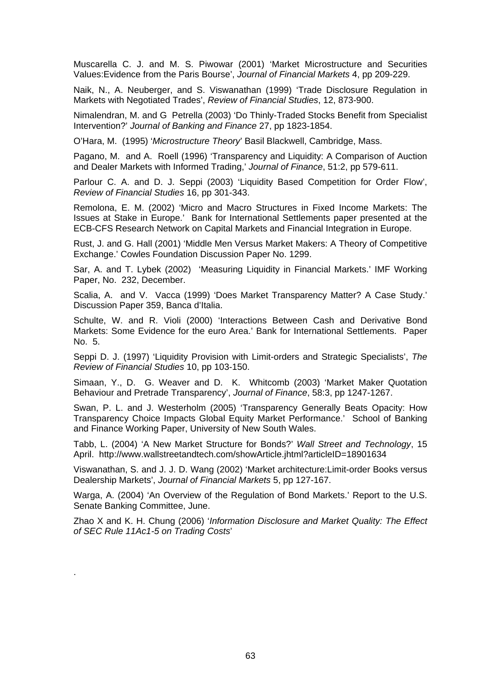Muscarella C. J. and M. S. Piwowar (2001) 'Market Microstructure and Securities Values:Evidence from the Paris Bourse', *Journal of Financial Markets* 4, pp 209-229.

Naik, N., A. Neuberger, and S. Viswanathan (1999) 'Trade Disclosure Regulation in Markets with Negotiated Trades', *Review of Financial Studies*, 12, 873-900.

Nimalendran, M. and G Petrella (2003) 'Do Thinly-Traded Stocks Benefit from Specialist Intervention?' *Journal of Banking and Finance* 27, pp 1823-1854.

O'Hara, M. (1995) '*Microstructure Theory*' Basil Blackwell, Cambridge, Mass.

Pagano, M. and A. Roell (1996) 'Transparency and Liquidity: A Comparison of Auction and Dealer Markets with Informed Trading,' *Journal of Finance*, 51:2, pp 579-611.

Parlour C. A. and D. J. Seppi (2003) 'Liquidity Based Competition for Order Flow', *Review of Financial Studies* 16, pp 301-343.

Remolona, E. M. (2002) 'Micro and Macro Structures in Fixed Income Markets: The Issues at Stake in Europe.' Bank for International Settlements paper presented at the ECB-CFS Research Network on Capital Markets and Financial Integration in Europe.

Rust, J. and G. Hall (2001) 'Middle Men Versus Market Makers: A Theory of Competitive Exchange.' Cowles Foundation Discussion Paper No. 1299.

Sar, A. and T. Lybek (2002) 'Measuring Liquidity in Financial Markets.' IMF Working Paper, No. 232, December.

Scalia, A. and V. Vacca (1999) 'Does Market Transparency Matter? A Case Study.' Discussion Paper 359, Banca d'Italia.

Schulte, W. and R. Violi (2000) 'Interactions Between Cash and Derivative Bond Markets: Some Evidence for the euro Area.' Bank for International Settlements. Paper No. 5.

Seppi D. J. (1997) 'Liquidity Provision with Limit-orders and Strategic Specialists', *The Review of Financial Studies* 10, pp 103-150.

Simaan, Y., D. G. Weaver and D. K. Whitcomb (2003) 'Market Maker Quotation Behaviour and Pretrade Transparency', *Journal of Finance*, 58:3, pp 1247-1267.

Swan, P. L. and J. Westerholm (2005) 'Transparency Generally Beats Opacity: How Transparency Choice Impacts Global Equity Market Performance.' School of Banking and Finance Working Paper, University of New South Wales.

Tabb, L. (2004) 'A New Market Structure for Bonds?' *Wall Street and Technology*, 15 April. http://www.wallstreetandtech.com/showArticle.jhtml?articleID=18901634

Viswanathan, S. and J. J. D. Wang (2002) 'Market architecture:Limit-order Books versus Dealership Markets', *Journal of Financial Markets* 5, pp 127-167.

Warga, A. (2004) 'An Overview of the Regulation of Bond Markets.' Report to the U.S. Senate Banking Committee, June.

Zhao X and K. H. Chung (2006) '*Information Disclosure and Market Quality: The Effect of SEC Rule 11Ac1-5 on Trading Costs*'

.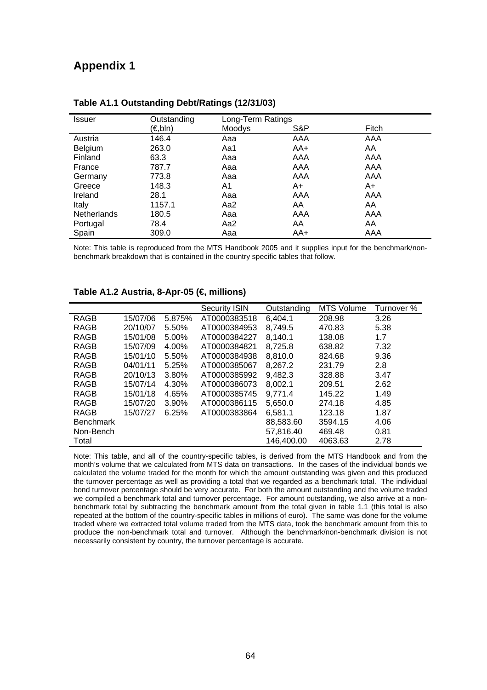# **Appendix 1**

| <b>Issuer</b>      | Outstanding | Long-Term Ratings |     |       |  |
|--------------------|-------------|-------------------|-----|-------|--|
|                    | (€,bln)     | Moodys            | S&P | Fitch |  |
| Austria            | 146.4       | Aaa               | AAA | AAA   |  |
| Belgium            | 263.0       | Aa1               | AA+ | AA    |  |
| Finland            | 63.3        | Aaa               | AAA | AAA   |  |
| France             | 787.7       | Aaa               | AAA | AAA   |  |
| Germany            | 773.8       | Aaa               | AAA | AAA   |  |
| Greece             | 148.3       | A1                | A+  | A+    |  |
| Ireland            | 28.1        | Aaa               | AAA | AAA   |  |
| Italy              | 1157.1      | Aa2               | AA  | AA    |  |
| <b>Netherlands</b> | 180.5       | Aaa               | AAA | AAA   |  |
| Portugal           | 78.4        | Aa2               | AA  | AA    |  |
| Spain              | 309.0       | Aaa               | AA+ | AAA   |  |

### **Table A1.1 Outstanding Debt/Ratings (12/31/03)**

Note: This table is reproduced from the MTS Handbook 2005 and it supplies input for the benchmark/nonbenchmark breakdown that is contained in the country specific tables that follow.

|                  |          |        | Security ISIN | Outstanding | <b>MTS Volume</b> | Turnover % |
|------------------|----------|--------|---------------|-------------|-------------------|------------|
| <b>RAGB</b>      | 15/07/06 | 5.875% | AT0000383518  | 6.404.1     | 208.98            | 3.26       |
| RAGB             | 20/10/07 | 5.50%  | AT0000384953  | 8,749.5     | 470.83            | 5.38       |
| <b>RAGB</b>      | 15/01/08 | 5.00%  | AT0000384227  | 8,140.1     | 138.08            | 1.7        |
| RAGB             | 15/07/09 | 4.00%  | AT0000384821  | 8,725.8     | 638.82            | 7.32       |
| <b>RAGB</b>      | 15/01/10 | 5.50%  | AT0000384938  | 8,810.0     | 824.68            | 9.36       |
| RAGB             | 04/01/11 | 5.25%  | AT0000385067  | 8.267.2     | 231.79            | 2.8        |
| <b>RAGB</b>      | 20/10/13 | 3.80%  | AT0000385992  | 9,482.3     | 328.88            | 3.47       |
| <b>RAGB</b>      | 15/07/14 | 4.30%  | AT0000386073  | 8,002.1     | 209.51            | 2.62       |
| <b>RAGB</b>      | 15/01/18 | 4.65%  | AT0000385745  | 9.771.4     | 145.22            | 1.49       |
| RAGB             | 15/07/20 | 3.90%  | AT0000386115  | 5,650.0     | 274.18            | 4.85       |
| RAGB             | 15/07/27 | 6.25%  | AT0000383864  | 6,581.1     | 123.18            | 1.87       |
| <b>Benchmark</b> |          |        |               | 88,583.60   | 3594.15           | 4.06       |
| Non-Bench        |          |        |               | 57,816.40   | 469.48            | 0.81       |
| Total            |          |        |               | 146,400.00  | 4063.63           | 2.78       |

### **Table A1.2 Austria, 8-Apr-05 (€, millions)**

Note: This table, and all of the country-specific tables, is derived from the MTS Handbook and from the month's volume that we calculated from MTS data on transactions. In the cases of the individual bonds we calculated the volume traded for the month for which the amount outstanding was given and this produced the turnover percentage as well as providing a total that we regarded as a benchmark total. The individual bond turnover percentage should be very accurate. For both the amount outstanding and the volume traded we compiled a benchmark total and turnover percentage. For amount outstanding, we also arrive at a nonbenchmark total by subtracting the benchmark amount from the total given in table 1.1 (this total is also repeated at the bottom of the country-specific tables in millions of euro). The same was done for the volume traded where we extracted total volume traded from the MTS data, took the benchmark amount from this to produce the non-benchmark total and turnover. Although the benchmark/non-benchmark division is not necessarily consistent by country, the turnover percentage is accurate.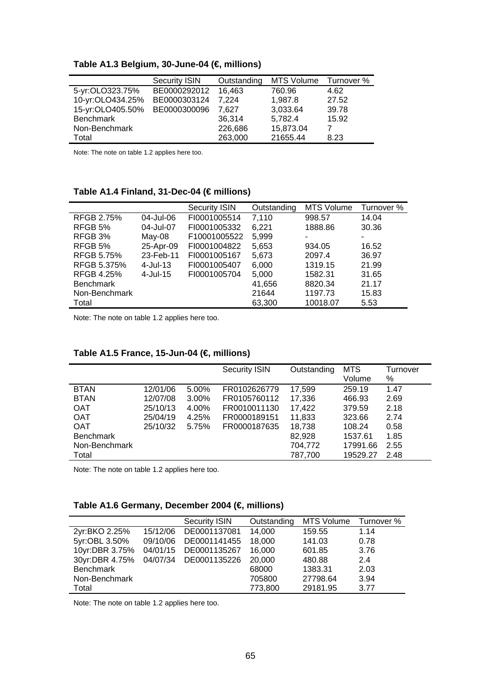|                  | <b>Security ISIN</b> | Outstanding | <b>MTS Volume</b> | Turnover % |
|------------------|----------------------|-------------|-------------------|------------|
| 5-yr:OLO323.75%  | BE0000292012         | 16.463      | 760.96            | 4.62       |
| 10-yr:OLO434.25% | BE0000303124         | 7.224       | 1,987.8           | 27.52      |
| 15-yr:OLO405.50% | BE0000300096         | 7.627       | 3,033.64          | 39.78      |
| <b>Benchmark</b> |                      | 36,314      | 5,782.4           | 15.92      |
| Non-Benchmark    |                      | 226,686     | 15,873.04         |            |
| Total            |                      | 263,000     | 21655.44          | 8.23       |

**Table A1.3 Belgium, 30-June-04 (€, millions)** 

### **Table A1.4 Finland, 31-Dec-04 (€ millions)**

|                   |             | <b>Security ISIN</b> | Outstanding | <b>MTS Volume</b> | Turnover % |
|-------------------|-------------|----------------------|-------------|-------------------|------------|
| RFGB 2.75%        | 04-Jul-06   | FI0001005514         | 7.110       | 998.57            | 14.04      |
| RFGB 5%           | 04-Jul-07   | FI0001005332         | 6,221       | 1888.86           | 30.36      |
| RFGB 3%           | May-08      | F10001005522         | 5,999       | -                 | ۰          |
| RFGB 5%           | 25-Apr-09   | FI0001004822         | 5,653       | 934.05            | 16.52      |
| <b>RFGB 5.75%</b> | 23-Feb-11   | FI0001005167         | 5,673       | 2097.4            | 36.97      |
| RFGB 5.375%       | $4$ -Jul-13 | FI0001005407         | 6.000       | 1319.15           | 21.99      |
| <b>RFGB 4.25%</b> | $4$ -Jul-15 | FI0001005704         | 5,000       | 1582.31           | 31.65      |
| <b>Benchmark</b>  |             |                      | 41.656      | 8820.34           | 21.17      |
| Non-Benchmark     |             |                      | 21644       | 1197.73           | 15.83      |
| Total             |             |                      | 63,300      | 10018.07          | 5.53       |

Note: The note on table 1.2 applies here too.

|                  |          |       | <b>Security ISIN</b> | Outstanding | <b>MTS</b><br>Volume | Turnover<br>% |
|------------------|----------|-------|----------------------|-------------|----------------------|---------------|
| <b>BTAN</b>      | 12/01/06 | 5.00% | FR0102626779         | 17,599      | 259.19               | 1.47          |
| <b>BTAN</b>      | 12/07/08 | 3.00% | FR0105760112         | 17,336      | 466.93               | 2.69          |
| <b>OAT</b>       | 25/10/13 | 4.00% | FR0010011130         | 17,422      | 379.59               | 2.18          |
| <b>OAT</b>       | 25/04/19 | 4.25% | FR0000189151         | 11,833      | 323.66               | 2.74          |
| <b>OAT</b>       | 25/10/32 | 5.75% | FR0000187635         | 18,738      | 108.24               | 0.58          |
| <b>Benchmark</b> |          |       |                      | 82,928      | 1537.61              | 1.85          |
| Non-Benchmark    |          |       |                      | 704,772     | 17991.66             | 2.55          |
| Total            |          |       |                      | 787,700     | 19529.27             | 2.48          |

## **Table A1.5 France, 15-Jun-04 (€, millions)**

Note: The note on table 1.2 applies here too.

## **Table A1.6 Germany, December 2004 (€, millions)**

|                  |          | <b>Security ISIN</b> | Outstanding | <b>MTS Volume</b> | Turnover % |
|------------------|----------|----------------------|-------------|-------------------|------------|
| 2yr:BKO 2.25%    | 15/12/06 | DE0001137081         | 14,000      | 159.55            | 1.14       |
| 5yr:OBL 3.50%    | 09/10/06 | DE0001141455         | 18,000      | 141.03            | 0.78       |
| 10yr:DBR 3.75%   | 04/01/15 | DE0001135267         | 16.000      | 601.85            | 3.76       |
| 30yr:DBR 4.75%   | 04/07/34 | DE0001135226         | 20,000      | 480.88            | 2.4        |
| <b>Benchmark</b> |          |                      | 68000       | 1383.31           | 2.03       |
| Non-Benchmark    |          |                      | 705800      | 27798.64          | 3.94       |
| Total            |          |                      | 773,800     | 29181.95          | 3.77       |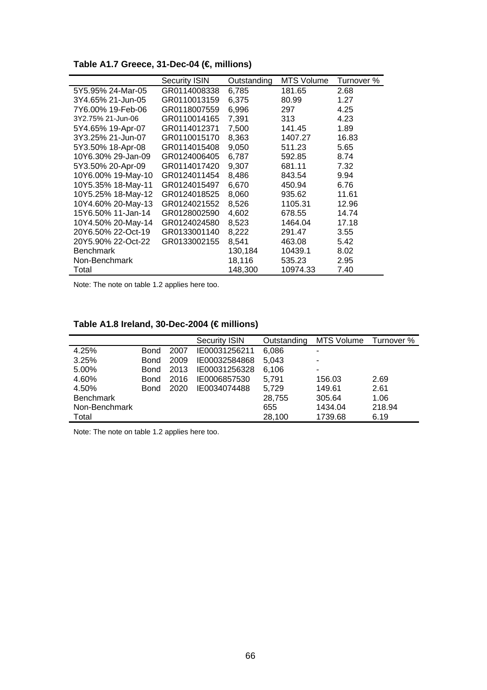**Table A1.7 Greece, 31-Dec-04 (€, millions)** 

|                    | <b>Security ISIN</b> | Outstanding | <b>MTS Volume</b> | Turnover % |
|--------------------|----------------------|-------------|-------------------|------------|
| 5Y5.95% 24-Mar-05  | GR0114008338         | 6,785       | 181.65            | 2.68       |
| 3Y4.65% 21-Jun-05  | GR0110013159         | 6,375       | 80.99             | 1.27       |
| 7Y6.00% 19-Feb-06  | GR0118007559         | 6,996       | 297               | 4.25       |
| 3Y2.75% 21-Jun-06  | GR0110014165         | 7,391       | 313               | 4.23       |
| 5Y4.65% 19-Apr-07  | GR0114012371         | 7,500       | 141.45            | 1.89       |
| 3Y3.25% 21-Jun-07  | GR0110015170         | 8,363       | 1407.27           | 16.83      |
| 5Y3.50% 18-Apr-08  | GR0114015408         | 9,050       | 511.23            | 5.65       |
| 10Y6.30% 29-Jan-09 | GR0124006405         | 6,787       | 592.85            | 8.74       |
| 5Y3.50% 20-Apr-09  | GR0114017420         | 9,307       | 681.11            | 7.32       |
| 10Y6.00% 19-May-10 | GR0124011454         | 8,486       | 843.54            | 9.94       |
| 10Y5.35% 18-May-11 | GR0124015497         | 6,670       | 450.94            | 6.76       |
| 10Y5.25% 18-May-12 | GR0124018525         | 8,060       | 935.62            | 11.61      |
| 10Y4.60% 20-May-13 | GR0124021552         | 8,526       | 1105.31           | 12.96      |
| 15Y6.50% 11-Jan-14 | GR0128002590         | 4,602       | 678.55            | 14.74      |
| 10Y4.50% 20-May-14 | GR0124024580         | 8,523       | 1464.04           | 17.18      |
| 20Y6.50% 22-Oct-19 | GR0133001140         | 8,222       | 291.47            | 3.55       |
| 20Y5.90% 22-Oct-22 | GR0133002155         | 8,541       | 463.08            | 5.42       |
| <b>Benchmark</b>   |                      | 130,184     | 10439.1           | 8.02       |
| Non-Benchmark      |                      | 18,116      | 535.23            | 2.95       |
| Total              |                      | 148,300     | 10974.33          | 7.40       |
|                    |                      |             |                   |            |

## **Table A1.8 Ireland, 30-Dec-2004 (€ millions)**

|                  |             |      | <b>Security ISIN</b> | Outstanding | MTS Volume | Turnover % |
|------------------|-------------|------|----------------------|-------------|------------|------------|
| 4.25%            | <b>Bond</b> | 2007 | IE00031256211        | 6,086       |            |            |
| 3.25%            | <b>Bond</b> | 2009 | IE00032584868        | 5,043       |            |            |
| 5.00%            | <b>Bond</b> | 2013 | IE00031256328        | 6,106       |            |            |
| 4.60%            | <b>Bond</b> | 2016 | IE0006857530         | 5.791       | 156.03     | 2.69       |
| 4.50%            | <b>Bond</b> | 2020 | IE0034074488         | 5,729       | 149.61     | 2.61       |
| <b>Benchmark</b> |             |      |                      | 28,755      | 305.64     | 1.06       |
| Non-Benchmark    |             |      |                      | 655         | 1434.04    | 218.94     |
| Total            |             |      |                      | 28,100      | 1739.68    | 6.19       |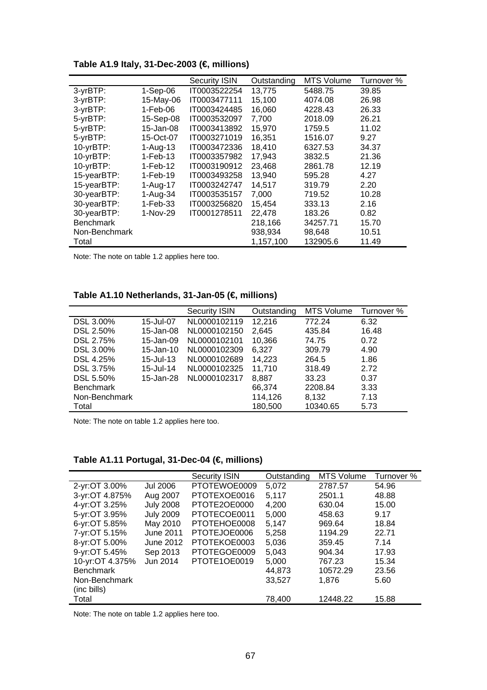**Table A1.9 Italy, 31-Dec-2003 (€, millions)** 

|                  |            | <b>Security ISIN</b> | Outstanding | <b>MTS Volume</b> | Turnover % |
|------------------|------------|----------------------|-------------|-------------------|------------|
| 3-yrBTP:         | $1-Sep-06$ | IT0003522254         | 13,775      | 5488.75           | 39.85      |
| 3-yrBTP:         | 15-May-06  | IT0003477111         | 15,100      | 4074.08           | 26.98      |
| 3-yrBTP:         | 1-Feb-06   | IT0003424485         | 16,060      | 4228.43           | 26.33      |
| 5-yrBTP:         | 15-Sep-08  | IT0003532097         | 7,700       | 2018.09           | 26.21      |
| 5-yrBTP:         | 15-Jan-08  | IT0003413892         | 15,970      | 1759.5            | 11.02      |
| 5-yrBTP:         | 15-Oct-07  | IT0003271019         | 16,351      | 1516.07           | 9.27       |
| 10-yrBTP:        | $1-Auq-13$ | IT0003472336         | 18,410      | 6327.53           | 34.37      |
| 10-yrBTP:        | $1-Feb-13$ | IT0003357982         | 17,943      | 3832.5            | 21.36      |
| 10-yrBTP:        | $1-Feb-12$ | IT0003190912         | 23,468      | 2861.78           | 12.19      |
| 15-yearBTP:      | $1-Feb-19$ | IT0003493258         | 13,940      | 595.28            | 4.27       |
| 15-yearBTP:      | 1-Aug-17   | IT0003242747         | 14,517      | 319.79            | 2.20       |
| 30-yearBTP:      | 1-Aug-34   | IT0003535157         | 7,000       | 719.52            | 10.28      |
| 30-yearBTP:      | $1-Feb-33$ | IT0003256820         | 15,454      | 333.13            | 2.16       |
| 30-yearBTP:      | 1-Nov-29   | IT0001278511         | 22,478      | 183.26            | 0.82       |
| <b>Benchmark</b> |            |                      | 218,166     | 34257.71          | 15.70      |
| Non-Benchmark    |            |                      | 938,934     | 98,648            | 10.51      |
| Total            |            |                      | 1,157,100   | 132905.6          | 11.49      |

**Table A1.10 Netherlands, 31-Jan-05 (€, millions)** 

|                  |                  | <b>Security ISIN</b> | Outstanding | <b>MTS Volume</b> | Turnover % |
|------------------|------------------|----------------------|-------------|-------------------|------------|
| DSL 3.00%        | 15-Jul-07        | NL0000102119         | 12,216      | 772.24            | 6.32       |
| DSL 2.50%        | 15-Jan-08        | NL0000102150         | 2,645       | 435.84            | 16.48      |
| DSL 2.75%        | 15-Jan-09        | NL0000102101         | 10.366      | 74.75             | 0.72       |
| DSL 3.00%        | 15-Jan-10        | NL0000102309         | 6.327       | 309.79            | 4.90       |
| DSL 4.25%        | $15 -$ Jul $-13$ | NL0000102689         | 14,223      | 264.5             | 1.86       |
| DSL 3.75%        | 15-Jul-14        | NL0000102325         | 11.710      | 318.49            | 2.72       |
| DSL 5.50%        | 15-Jan-28        | NL0000102317         | 8,887       | 33.23             | 0.37       |
| <b>Benchmark</b> |                  |                      | 66,374      | 2208.84           | 3.33       |
| Non-Benchmark    |                  |                      | 114,126     | 8.132             | 7.13       |
| Total            |                  |                      | 180,500     | 10340.65          | 5.73       |

Note: The note on table 1.2 applies here too.

| Table A1.11 Portugal, 31-Dec-04 (€ millions) |  |  |
|----------------------------------------------|--|--|
|----------------------------------------------|--|--|

|                  |                  | <b>Security ISIN</b> | Outstanding | <b>MTS Volume</b> | Turnover % |
|------------------|------------------|----------------------|-------------|-------------------|------------|
| 2-yr:OT 3.00%    | <b>Jul 2006</b>  | PTOTEWOE0009         | 5.072       | 2787.57           | 54.96      |
| 3-yr:OT 4.875%   | Aug 2007         | PTOTEXOE0016         | 5.117       | 2501.1            | 48.88      |
| 4-yr:OT 3.25%    | <b>July 2008</b> | PTOTE2OE0000         | 4.200       | 630.04            | 15.00      |
| 5-yr:OT 3.95%    | <b>July 2009</b> | PTOTECOE0011         | 5.000       | 458.63            | 9.17       |
| 6-yr:OT 5.85%    | May 2010         | PTOTEHOE0008         | 5.147       | 969.64            | 18.84      |
| 7-yr:OT 5.15%    | <b>June 2011</b> | PTOTEJOE0006         | 5,258       | 1194.29           | 22.71      |
| 8-yr:OT 5.00%    | June 2012        | PTOTEKOE0003         | 5.036       | 359.45            | 7.14       |
| 9-yr:OT 5.45%    | Sep 2013         | PTOTEGOE0009         | 5.043       | 904.34            | 17.93      |
| 10-yr:OT 4.375%  | Jun 2014         | PTOTE1OE0019         | 5.000       | 767.23            | 15.34      |
| <b>Benchmark</b> |                  |                      | 44.873      | 10572.29          | 23.56      |
| Non-Benchmark    |                  |                      | 33,527      | 1.876             | 5.60       |
| (inc bills)      |                  |                      |             |                   |            |
| Total            |                  |                      | 78,400      | 12448.22          | 15.88      |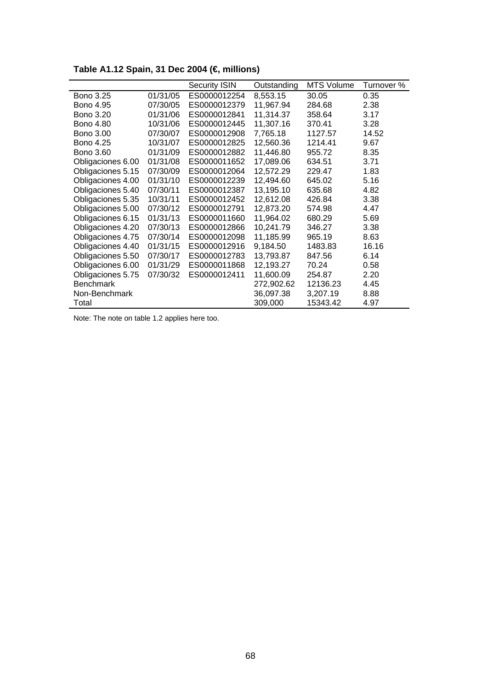|                   |          | <b>Security ISIN</b> | Outstanding | <b>MTS Volume</b> | Turnover % |
|-------------------|----------|----------------------|-------------|-------------------|------------|
| <b>Bono 3.25</b>  | 01/31/05 | ES0000012254         | 8,553.15    | 30.05             | 0.35       |
| <b>Bono 4.95</b>  | 07/30/05 | ES0000012379         | 11,967.94   | 284.68            | 2.38       |
| <b>Bono 3.20</b>  | 01/31/06 | ES0000012841         | 11,314.37   | 358.64            | 3.17       |
| <b>Bono 4.80</b>  | 10/31/06 | ES0000012445         | 11,307.16   | 370.41            | 3.28       |
| <b>Bono 3.00</b>  | 07/30/07 | ES0000012908         | 7,765.18    | 1127.57           | 14.52      |
| <b>Bono 4.25</b>  | 10/31/07 | ES0000012825         | 12,560.36   | 1214.41           | 9.67       |
| <b>Bono 3.60</b>  | 01/31/09 | ES0000012882         | 11,446.80   | 955.72            | 8.35       |
| Obligaciones 6.00 | 01/31/08 | ES0000011652         | 17,089.06   | 634.51            | 3.71       |
| Obligaciones 5.15 | 07/30/09 | ES0000012064         | 12,572.29   | 229.47            | 1.83       |
| Obligaciones 4.00 | 01/31/10 | ES0000012239         | 12,494.60   | 645.02            | 5.16       |
| Obligaciones 5.40 | 07/30/11 | ES0000012387         | 13,195.10   | 635.68            | 4.82       |
| Obligaciones 5.35 | 10/31/11 | ES0000012452         | 12,612.08   | 426.84            | 3.38       |
| Obligaciones 5.00 | 07/30/12 | ES0000012791         | 12,873.20   | 574.98            | 4.47       |
| Obligaciones 6.15 | 01/31/13 | ES0000011660         | 11,964.02   | 680.29            | 5.69       |
| Obligaciones 4.20 | 07/30/13 | ES0000012866         | 10,241.79   | 346.27            | 3.38       |
| Obligaciones 4.75 | 07/30/14 | ES0000012098         | 11,185.99   | 965.19            | 8.63       |
| Obligaciones 4.40 | 01/31/15 | ES0000012916         | 9,184.50    | 1483.83           | 16.16      |
| Obligaciones 5.50 | 07/30/17 | ES0000012783         | 13,793.87   | 847.56            | 6.14       |
| Obligaciones 6.00 | 01/31/29 | ES0000011868         | 12,193.27   | 70.24             | 0.58       |
| Obligaciones 5.75 | 07/30/32 | ES0000012411         | 11,600.09   | 254.87            | 2.20       |
| <b>Benchmark</b>  |          |                      | 272,902.62  | 12136.23          | 4.45       |
| Non-Benchmark     |          |                      | 36,097.38   | 3,207.19          | 8.88       |
| Total             |          |                      | 309,000     | 15343.42          | 4.97       |

**Table A1.12 Spain, 31 Dec 2004 (€, millions)**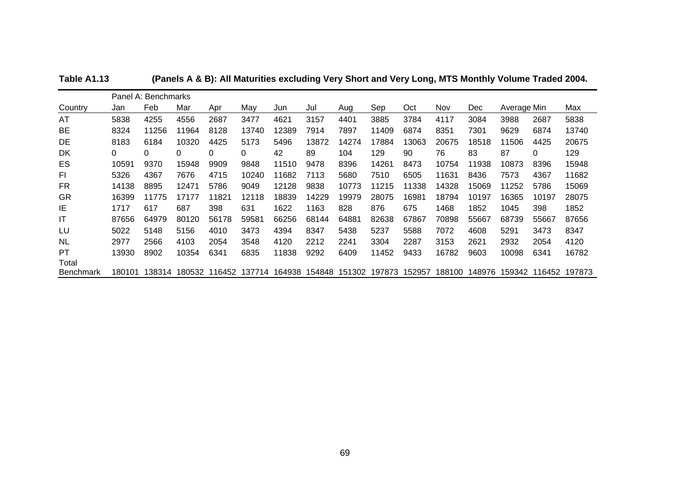|                  | Panel A: Benchmarks |        |        |        |        |        |        |        |        |        |        |            |             |        |        |
|------------------|---------------------|--------|--------|--------|--------|--------|--------|--------|--------|--------|--------|------------|-------------|--------|--------|
| Country          | Jan                 | Feb    | Mar    | Apr    | Mav    | Jun    | Jul    | Aug    | Sep    | Oct    | Nov    | <b>Dec</b> | Average Min |        | Max    |
| AT               | 5838                | 4255   | 4556   | 2687   | 3477   | 4621   | 3157   | 4401   | 3885   | 3784   | 4117   | 3084       | 3988        | 2687   | 5838   |
| BE               | 8324                | 11256  | 11964  | 8128   | 13740  | 12389  | 7914   | 7897   | 11409  | 6874   | 8351   | 7301       | 9629        | 6874   | 13740  |
| DE               | 8183                | 6184   | 10320  | 4425   | 5173   | 5496   | 13872  | 14274  | 17884  | 13063  | 20675  | 18518      | 11506       | 4425   | 20675  |
| <b>DK</b>        | 0                   | 0      | 0      | 0      | 0      | 42     | 89     | 104    | 129    | 90     | 76     | 83         | 87          | 0      | 129    |
| ES               | 10591               | 9370   | 15948  | 9909   | 9848   | 11510  | 9478   | 8396   | 14261  | 8473   | 10754  | 11938      | 10873       | 8396   | 15948  |
| FI.              | 5326                | 4367   | 7676   | 4715   | 10240  | 11682  | 7113   | 5680   | 7510   | 6505   | 11631  | 8436       | 7573        | 4367   | 11682  |
| FR               | 14138               | 8895   | 12471  | 5786   | 9049   | 12128  | 9838   | 10773  | 11215  | 11338  | 14328  | 15069      | 11252       | 5786   | 15069  |
| <b>GR</b>        | 16399               | 11775  | 17177  | 11821  | 12118  | 18839  | 14229  | 19979  | 28075  | 16981  | 18794  | 10197      | 16365       | 10197  | 28075  |
| IE               | 1717                | 617    | 687    | 398    | 631    | 1622   | 1163   | 828    | 876    | 675    | 1468   | 1852       | 1045        | 398    | 1852   |
| IT               | 87656               | 64979  | 80120  | 56178  | 59581  | 66256  | 68144  | 64881  | 82638  | 67867  | 70898  | 55667      | 68739       | 55667  | 87656  |
| LU               | 5022                | 5148   | 5156   | 4010   | 3473   | 4394   | 8347   | 5438   | 5237   | 5588   | 7072   | 4608       | 5291        | 3473   | 8347   |
| <b>NL</b>        | 2977                | 2566   | 4103   | 2054   | 3548   | 4120   | 2212   | 2241   | 3304   | 2287   | 3153   | 2621       | 2932        | 2054   | 4120   |
| <b>PT</b>        | 13930               | 8902   | 10354  | 6341   | 6835   | 11838  | 9292   | 6409   | 11452  | 9433   | 16782  | 9603       | 10098       | 6341   | 16782  |
| Total            |                     |        |        |        |        |        |        |        |        |        |        |            |             |        |        |
| <b>Benchmark</b> | 180101              | 138314 | 180532 | 116452 | 137714 | 164938 | 154848 | 151302 | 197873 | 152957 | 188100 | 148976     | 159342      | 116452 | 197873 |

**Table A1.13 (Panels A & B): All Maturities excluding Very Short and Very Long, MTS Monthly Volume Traded 2004.**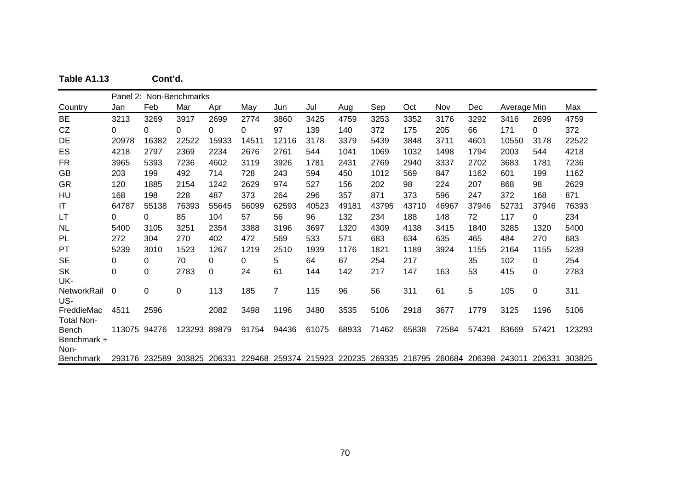|  |  | Table A1.13 |  | Cont'd. |
|--|--|-------------|--|---------|
|--|--|-------------|--|---------|

|                        |              |             | Panel 2: Non-Benchmarks                                                                    |       |       |       |       |       |       |       |       |       |             |             |        |
|------------------------|--------------|-------------|--------------------------------------------------------------------------------------------|-------|-------|-------|-------|-------|-------|-------|-------|-------|-------------|-------------|--------|
| Country                | Jan          | Feb         | Mar                                                                                        | Apr   | May   | Jun   | Jul   | Aug   | Sep   | Oct   | Nov   | Dec   | Average Min |             | Max    |
| BE                     | 3213         | 3269        | 3917                                                                                       | 2699  | 2774  | 3860  | 3425  | 4759  | 3253  | 3352  | 3176  | 3292  | 3416        | 2699        | 4759   |
| CZ                     | 0            | 0           | 0                                                                                          | 0     | 0     | 97    | 139   | 140   | 372   | 175   | 205   | 66    | 171         | 0           | 372    |
| DE                     | 20978        | 16382       | 22522                                                                                      | 15933 | 14511 | 12116 | 3178  | 3379  | 5439  | 3848  | 3711  | 4601  | 10550       | 3178        | 22522  |
| ES                     | 4218         | 2797        | 2369                                                                                       | 2234  | 2676  | 2761  | 544   | 1041  | 1069  | 1032  | 1498  | 1794  | 2003        | 544         | 4218   |
| <b>FR</b>              | 3965         | 5393        | 7236                                                                                       | 4602  | 3119  | 3926  | 1781  | 2431  | 2769  | 2940  | 3337  | 2702  | 3683        | 1781        | 7236   |
| <b>GB</b>              | 203          | 199         | 492                                                                                        | 714   | 728   | 243   | 594   | 450   | 1012  | 569   | 847   | 1162  | 601         | 199         | 1162   |
| <b>GR</b>              | 120          | 1885        | 2154                                                                                       | 1242  | 2629  | 974   | 527   | 156   | 202   | 98    | 224   | 207   | 868         | 98          | 2629   |
| HU                     | 168          | 198         | 228                                                                                        | 487   | 373   | 264   | 296   | 357   | 871   | 373   | 596   | 247   | 372         | 168         | 871    |
| $\mathsf{I}\mathsf{T}$ | 64787        | 55138       | 76393                                                                                      | 55645 | 56099 | 62593 | 40523 | 49181 | 43795 | 43710 | 46967 | 37946 | 52731       | 37946       | 76393  |
| LТ                     | 0            | 0           | 85                                                                                         | 104   | 57    | 56    | 96    | 132   | 234   | 188   | 148   | 72    | 117         | 0           | 234    |
| <b>NL</b>              | 5400         | 3105        | 3251                                                                                       | 2354  | 3388  | 3196  | 3697  | 1320  | 4309  | 4138  | 3415  | 1840  | 3285        | 1320        | 5400   |
| PL                     | 272          | 304         | 270                                                                                        | 402   | 472   | 569   | 533   | 571   | 683   | 634   | 635   | 465   | 484         | 270         | 683    |
| PT                     | 5239         | 3010        | 1523                                                                                       | 1267  | 1219  | 2510  | 1939  | 1176  | 1821  | 1189  | 3924  | 1155  | 2164        | 1155        | 5239   |
| <b>SE</b>              | 0            | 0           | 70                                                                                         | 0     | 0     | 5     | 64    | 67    | 254   | 217   |       | 35    | 102         | 0           | 254    |
| <b>SK</b>              | 0            | 0           | 2783                                                                                       | 0     | 24    | 61    | 144   | 142   | 217   | 147   | 163   | 53    | 415         | 0           | 2783   |
| UK-                    |              |             |                                                                                            |       |       |       |       |       |       |       |       |       |             |             |        |
| <b>NetworkRail</b>     | 0            | $\mathbf 0$ | $\Omega$                                                                                   | 113   | 185   | 7     | 115   | 96    | 56    | 311   | 61    | 5     | 105         | $\mathbf 0$ | 311    |
| US-                    |              |             |                                                                                            |       |       |       |       |       |       |       |       |       |             |             |        |
| FreddieMac             | 4511         | 2596        |                                                                                            | 2082  | 3498  | 1196  | 3480  | 3535  | 5106  | 2918  | 3677  | 1779  | 3125        | 1196        | 5106   |
| <b>Total Non-</b>      |              |             |                                                                                            |       |       |       |       |       |       |       |       |       |             |             |        |
| Bench                  | 113075 94276 |             | 123293 89879                                                                               |       | 91754 | 94436 | 61075 | 68933 | 71462 | 65838 | 72584 | 57421 | 83669       | 57421       | 123293 |
| Benchmark +<br>Non-    |              |             |                                                                                            |       |       |       |       |       |       |       |       |       |             |             |        |
| <b>Benchmark</b>       |              |             | 293176 232589 303825 206331 229468 259374 215923 220235 269335 218795 260684 206398 243011 |       |       |       |       |       |       |       |       |       |             | 206331      | 303825 |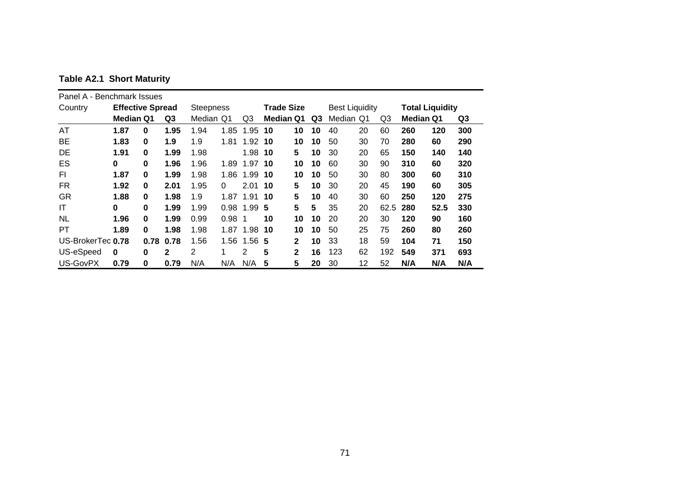|  |  |  | <b>Table A2.1 Short Maturity</b> |
|--|--|--|----------------------------------|
|--|--|--|----------------------------------|

| Panel A - Benchmark Issues |                         |          |      |                  |          |                |                   |              |    |                       |    |                |                  |                        |     |
|----------------------------|-------------------------|----------|------|------------------|----------|----------------|-------------------|--------------|----|-----------------------|----|----------------|------------------|------------------------|-----|
| Country                    | <b>Effective Spread</b> |          |      | <b>Steepness</b> |          |                | <b>Trade Size</b> |              |    | <b>Best Liquidity</b> |    |                |                  | <b>Total Liquidity</b> |     |
|                            | <b>Median Q1</b>        |          | Q3   | Median           | Q1       | Q <sub>3</sub> | <b>Median Q1</b>  |              | Q3 | Median Q1             |    | Q <sub>3</sub> | <b>Median Q1</b> |                        | Q3  |
| AT                         | 1.87                    | 0        | 1.95 | 1.94             | 1.85     | 1.95           | 10                | 10           | 10 | 40                    | 20 | 60             | 260              | 120                    | 300 |
| <b>BE</b>                  | 1.83                    | 0        | 1.9  | 1.9              | 1.81     | 1.92 10        |                   | 10           | 10 | 50                    | 30 | 70             | 280              | 60                     | 290 |
| DE                         | 1.91                    | $\bf{0}$ | 1.99 | 1.98             |          | 1.98 10        |                   | 5            | 10 | 30                    | 20 | 65             | 150              | 140                    | 140 |
| ES                         | 0                       | 0        | 1.96 | 1.96             | 1.89     | 1.97 10        |                   | 10           | 10 | 60                    | 30 | 90             | 310              | 60                     | 320 |
| FI                         | 1.87                    | 0        | 1.99 | 1.98             | 1.86     | 1.99           | 10                | 10           | 10 | 50                    | 30 | 80             | 300              | 60                     | 310 |
| FR                         | 1.92                    | $\bf{0}$ | 2.01 | 1.95             | $\Omega$ | $2.01$ 10      |                   | 5            | 10 | 30                    | 20 | 45             | 190              | 60                     | 305 |
| GR                         | 1.88                    | $\bf{0}$ | 1.98 | 1.9              | 1.87     | 1.91 10        |                   | 5            | 10 | 40                    | 30 | 60             | 250              | 120                    | 275 |
| IT                         | $\bf{0}$                | $\bf{0}$ | 1.99 | 1.99             | 0.98     | 1.99           | -5                | 5            | 5  | 35                    | 20 | 62.5           | 280              | 52.5                   | 330 |
| <b>NL</b>                  | 1.96                    | $\bf{0}$ | 1.99 | 0.99             | $0.98$ 1 |                | 10                | 10           | 10 | 20                    | 20 | 30             | 120              | 90                     | 160 |
| PT                         | 1.89                    | $\bf{0}$ | 1.98 | 1.98             |          | 1.87 1.98 10   |                   | 10           | 10 | 50                    | 25 | 75             | 260              | 80                     | 260 |
| US-BrokerTec 0.78          |                         | 0.78     | 0.78 | 1.56             | 1.56     | $1.56$ 5       |                   | $\mathbf{2}$ | 10 | 33                    | 18 | 59             | 104              | 71                     | 150 |
| US-eSpeed                  | $\bf{0}$                | 0        | 2    | $\overline{2}$   | 1        | 2              | 5                 | $\mathbf{2}$ | 16 | 123                   | 62 | 192            | 549              | 371                    | 693 |
| US-GovPX                   | 0.79                    | 0        | 0.79 | N/A              | N/A      | N/A            | 5                 | 5            | 20 | 30                    | 12 | 52             | N/A              | N/A                    | N/A |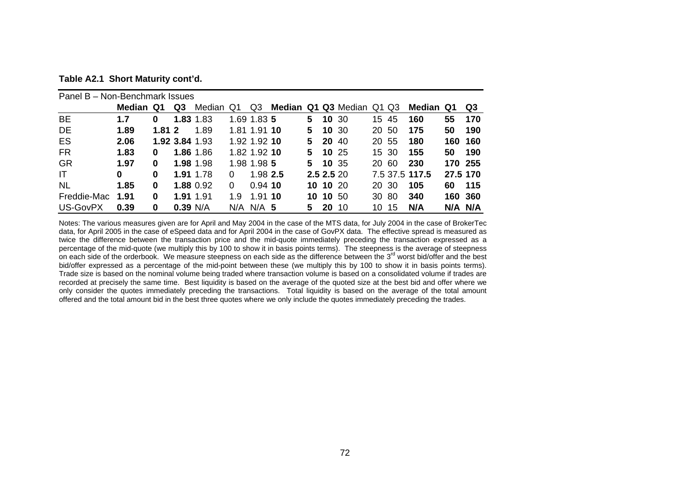| Table A2.1 Short Maturity cont'd. |  |  |  |
|-----------------------------------|--|--|--|
|-----------------------------------|--|--|--|

| Panel B – Non-Benchmark Issues |           |       |            |                |          |               |                           |            |              |       |       |                |          |     |
|--------------------------------|-----------|-------|------------|----------------|----------|---------------|---------------------------|------------|--------------|-------|-------|----------------|----------|-----|
|                                | Median Q1 |       | Q3         | Median Q1      |          | Q3            | Median Q1 Q3 Median Q1 Q3 |            |              |       |       | Median Q1      |          | Q3  |
| <b>BE</b>                      | 1.7       | 0     |            | 1.83 1.83      |          | 1.69 1.83 5   |                           |            | 5 10 30      |       | 15 45 | 160            | 55       | 170 |
| DE                             | 1.89      | 1.812 |            | 1.89           |          | 1.81 1.91 10  |                           | 5.         | <b>10</b> 30 | 20 50 |       | 175            | 50       | 190 |
| ES                             | 2.06      |       |            | 1.92 3.84 1.93 |          | 1.92 1.92 10  |                           | 5.         | <b>20</b> 40 |       | 20 55 | 180            | 160 160  |     |
| <b>FR</b>                      | 1.83      | 0     |            | 1.86 1.86      |          | 1.82 1.92 10  |                           |            | 5 10 25      |       | 15 30 | 155            | 50       | 190 |
| <b>GR</b>                      | 1.97      | 0     |            | 1.98 1.98      |          | 1.98 1.98 5   |                           |            | 5 10 35      |       | 20 60 | 230            | 170 255  |     |
| -IT                            | 0         | 0     |            | 1.91 1.78      | 0        | 1.98 2.5      |                           | 2.5 2.5 20 |              |       |       | 7.5 37.5 117.5 | 27.5 170 |     |
| <b>NL</b>                      | 1.85      | 0     |            | 1.88 0.92      | $\Omega$ | $0.94$ 10     |                           |            | 10 10 20     |       | 20 30 | 105            | 60       | 115 |
| Freddie-Mac                    | 1.91      | 0     |            | 1.91 1.91      | 1.9      | 1.91 10       |                           |            | 10 10 50     |       | 30 80 | 340            | 160 360  |     |
| US-GovPX                       | 0.39      | 0     | $0.39$ N/A |                |          | $N/A$ $N/A$ 5 |                           | 5.         | <b>20</b> 10 | 10 -  | 15    | N/A            | N/A N/A  |     |

Notes: The various measures given are for April and May 2004 in the case of the MTS data, for July 2004 in the case of BrokerTec data, for April 2005 in the case of eSpeed data and for April 2004 in the case of GovPX data. The effective spread is measured as twice the difference between the transaction price and the mid-quote immediately preceding the transaction expressed as a percentage of the mid-quote (we multiply this by 100 to show it in basis points terms). The steepness is the average of steepness on each side of the orderbook. We measure steepness on each side as the difference between the 3rd worst bid/offer and the best bid/offer expressed as a percentage of the mid-point between these (we multiply this by 100 to show it in basis points terms). Trade size is based on the nominal volume being traded where transaction volume is based on a consolidated volume if trades are recorded at precisely the same time. Best liquidity is based on the average of the quoted size at the best bid and offer where we only consider the quotes immediately preceding the transactions. Total liquidity is based on the average of the total amount offered and the total amount bid in the best three quotes where we only include the quotes immediately preceding the trades.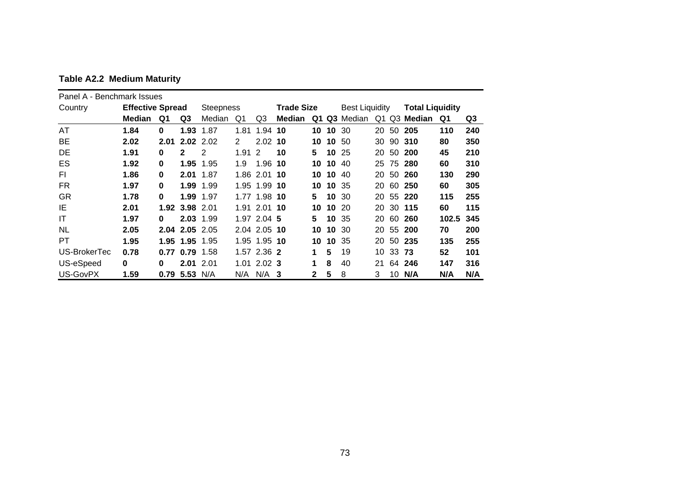| Panel A - Benchmark Issues |                         |          |                 |                  |                      |                |                   |              |          |                       |    |          |                        |       |     |
|----------------------------|-------------------------|----------|-----------------|------------------|----------------------|----------------|-------------------|--------------|----------|-----------------------|----|----------|------------------------|-------|-----|
| Country                    | <b>Effective Spread</b> |          |                 | <b>Steepness</b> |                      |                | <b>Trade Size</b> |              |          | <b>Best Liquidity</b> |    |          | <b>Total Liquidity</b> |       |     |
|                            | <b>Median</b>           | Q1       | Q3              | Median           | Q1                   | Q <sub>3</sub> | Median            | Q1           |          | Q3 Median             |    |          | Q1 Q3 Median           | Q1    | Q3  |
| AT                         | 1.84                    | $\bf{0}$ | 1.93            | 1.87             | 1.81                 | 1.94 10        |                   |              | 10 10 30 |                       |    | 20 50    | 205                    | 110   | 240 |
| <b>BE</b>                  | 2.02                    | 2.01     |                 | $2.02$ 2.02      | $\mathbf{2}^{\circ}$ | $2.02$ 10      |                   |              | 10 10 50 |                       |    |          | 30 90 310              | 80    | 350 |
| DE                         | 1.91                    | 0        | $\mathbf{2}$    | 2                | $1.91\,2$            |                | 10                | 5.           |          | 10 25                 |    |          | 20 50 200              | 45    | 210 |
| ES                         | 1.92                    | 0        | 1.95            | 1.95             | 1.9                  | 1.96 10        |                   | 10           | 10       | 40                    |    |          | 25 75 280              | 60    | 310 |
| FI.                        | 1.86                    | 0        |                 | 2.01 1.87        |                      | 1.86 2.01 10   |                   |              | 10 10    | 40                    |    |          | 20 50 260              | 130   | 290 |
| FR.                        | 1.97                    | 0        |                 | 1.99 1.99        |                      | 1.95 1.99 10   |                   | 10           |          | 10 35                 |    |          | 20 60 250              | 60    | 305 |
| GR                         | 1.78                    | 0        |                 | 1.99 1.97        |                      | 1.77 1.98 10   |                   | 5.           |          | 10 30                 |    |          | 20 55 220              | 115   | 255 |
| IE                         | 2.01                    |          | 1.92 3.98 2.01  |                  |                      | 1.91 2.01 10   |                   | 10           |          | 10, 20                |    |          | 20 30 115              | 60    | 115 |
| IT                         | 1.97                    | 0        |                 | 2.03 1.99        |                      | 1.97 2.04 5    |                   | 5.           | 10       | -35                   | 20 | 60       | 260                    | 102.5 | 345 |
| <b>NL</b>                  | 2.05                    |          |                 | 2.04 2.05 2.05   |                      | 2.04 2.05 10   |                   | 10           |          | 10 30                 |    |          | 20 55 200              | 70    | 200 |
| <b>PT</b>                  | 1.95                    |          |                 | 1.95 1.95 1.95   |                      | 1.95 1.95 10   |                   | 10           | 10       | -35                   |    |          | 20 50 235              | 135   | 255 |
| US-BrokerTec               | 0.78                    |          |                 | $0.77$ 0.79 1.58 |                      | 1.57 2.36 2    |                   | 1            | 5        | 19                    |    | 10 33 73 |                        | 52    | 101 |
| US-eSpeed                  | 0                       | 0        |                 | $2.01$ 2.01      |                      | 1.01 2.02 3    |                   | 1            | 8        | 40                    | 21 |          | 64 246                 | 147   | 316 |
| US-GovPX                   | 1.59                    |          | $0.79$ 5.53 N/A |                  | N/A                  | N/A            | -3                | $\mathbf{2}$ | 5        | 8                     | 3  | 10       | N/A                    | N/A   | N/A |

**Table A2.2 Medium Maturity**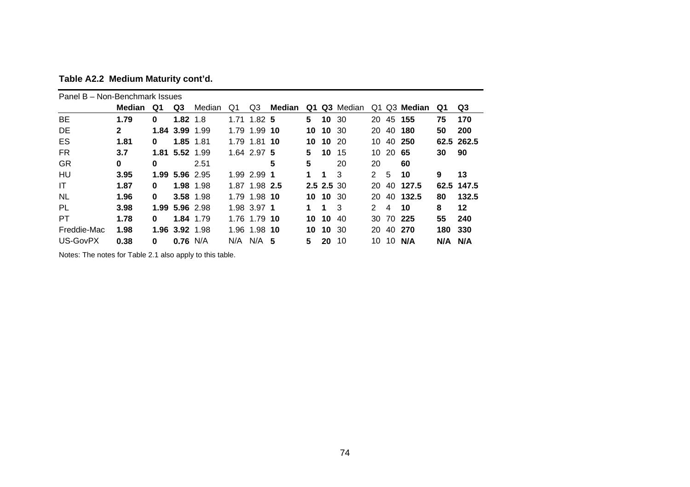| Panel B - Non-Benchmark Issues |              |          |                |           |    |               |        |    |            |           |               |                |           |         |            |
|--------------------------------|--------------|----------|----------------|-----------|----|---------------|--------|----|------------|-----------|---------------|----------------|-----------|---------|------------|
|                                | Median       | Q1       | Q3             | Median    | Q1 | Q3            | Median | Q1 |            | Q3 Median | Q1.           |                | Q3 Median | Q1      | Q3         |
| <b>BE</b>                      | 1.79         | 0        | $1.82 \; 1.8$  |           |    | 1.71 1.82 5   |        | 5  | 10 30      |           | 20            |                | 45 155    | 75      | 170        |
| DE.                            | $\mathbf{2}$ |          | 1.84 3.99 1.99 |           |    | 1.79 1.99 10  |        | 10 | 10 30      |           | 20            | 40             | 180       | 50      | <b>200</b> |
| ES                             | 1.81         | 0        |                | 1.85 1.81 |    | 1.79 1.81 10  |        |    | 10 10 20   |           | 10            |                | 40 250    |         | 62.5 262.5 |
| <b>FR</b>                      | 3.7          |          | 1.81 5.52 1.99 |           |    | 1.64 2.97 5   |        | 5. | 10         | -15       | 10            | 20             | -65       | 30      | 90         |
| GR                             | 0            | 0        |                | 2.51      |    |               | 5      | 5  |            | 20        | 20            |                | 60        |         |            |
| HU                             | 3.95         |          | 1.99 5.96 2.95 |           |    | 1.99 2.99 1   |        | 1. | 1          | 3         | 2             | 5              | 10        | 9       | 13         |
| IT                             | 1.87         | 0        |                | 1.98 1.98 |    | 1.87 1.98 2.5 |        |    | 2.5 2.5 30 |           | 20            |                | 40 127.5  |         | 62.5 147.5 |
| <b>NL</b>                      | 1.96         | $\bf{0}$ |                | 3.58 1.98 |    | 1.79 1.98 10  |        |    | 10 10 30   |           | 20            |                | 40 132.5  | 80      | 132.5      |
| <b>PL</b>                      | 3.98         |          | 1.99 5.96 2.98 |           |    | 1.98 3.97 1   |        | 1  | 1.         | -3        | $\mathcal{P}$ | $\overline{4}$ | 10        | 8       | 12         |
| PT                             | 1.78         | 0        |                | 1.84 1.79 |    | 1.76 1.79 10  |        |    | 10 10 40   |           |               |                | 30 70 225 | 55      | 240        |
| Freddie-Mac                    | 1.98         |          | 1.96 3.92 1.98 |           |    | 1.96 1.98 10  |        | 10 | 10 30      |           | 20            | 40             | -270      | 180     | 330        |
| US-GovPX                       | 0.38         | 0        | $0.76$ N/A     |           |    | $N/A$ $N/A$ 5 |        | 5  | 20         | 10        | 10            | 10             | N/A       | N/A N/A |            |

**Table A2.2 Medium Maturity cont'd.** 

Notes: The notes for Table 2.1 also apply to this table.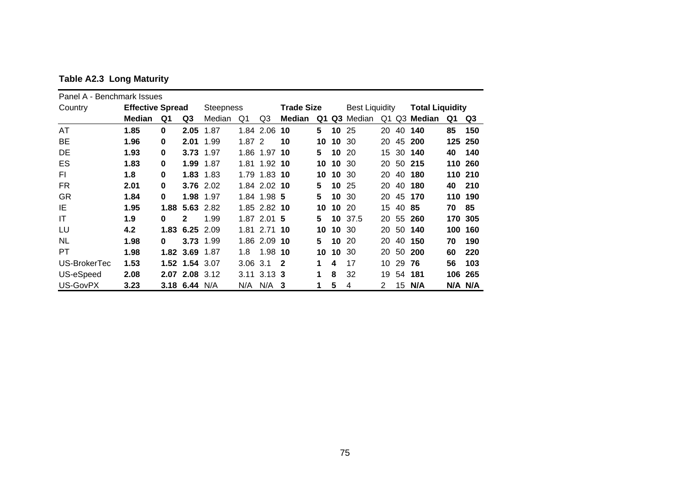| Panel A - Benchmark Issues |                         |          |                |                  |       |               |                   |    |    |                       |    |       |                        |     |         |
|----------------------------|-------------------------|----------|----------------|------------------|-------|---------------|-------------------|----|----|-----------------------|----|-------|------------------------|-----|---------|
| Country                    | <b>Effective Spread</b> |          |                | <b>Steepness</b> |       |               | <b>Trade Size</b> |    |    | <b>Best Liquidity</b> |    |       | <b>Total Liquidity</b> |     |         |
|                            | <b>Median</b>           | Q1       | Q3             | Median           | Q1    | Q3            | <b>Median</b>     | Q1 |    | Q3 Median             |    |       | Q1 Q3 Median           | Q1  | Q3      |
| AT                         | 1.85                    | $\bf{0}$ | 2.05           | 1.87             |       | 1.84 2.06     | 10                | 5  | 10 | 25                    | 20 |       | 40 140                 | 85  | 150     |
| <b>BE</b>                  | 1.96                    | $\bf{0}$ | 2.01           | 1.99             | 1.872 |               | 10                | 10 | 10 | 30                    | 20 | 45    | 200                    | 125 | 250     |
| DE                         | 1.93                    | $\bf{0}$ |                | 3.73 1.97        |       | 1.86 1.97     | 10                | 5  | 10 | -20                   | 15 |       | 30 140                 | 40  | 140     |
| ES                         | 1.83                    | $\bf{0}$ | 1.99           | 1.87             |       | 1.81 1.92 10  |                   | 10 | 10 | 30                    | 20 |       | 50 215                 | 110 | 260     |
| FI.                        | 1.8                     | $\bf{0}$ |                | 1.83 1.83        |       | 1.79 1.83 10  |                   | 10 | 10 | -30                   | 20 | 40    | 180                    | 110 | 210     |
| FR.                        | 2.01                    | $\bf{0}$ |                | 3.76 2.02        |       | 1.84 2.02 10  |                   | 5  | 10 | -25                   | 20 |       | 40 180                 | 40  | 210     |
| <b>GR</b>                  | 1.84                    | $\bf{0}$ |                | 1.98 1.97        |       | 1.84 1.98 5   |                   | 5  | 10 | -30                   | 20 |       | 45 170                 |     | 110 190 |
| IE                         | 1.95                    |          |                | 1.88 5.63 2.82   |       | 1.85 2.82 10  |                   | 10 | 10 | -20                   | 15 | 40 85 |                        | 70  | 85      |
| IT                         | 1.9                     | $\bf{0}$ | $\mathbf{2}$   | 1.99             |       | 1.87 2.01 5   |                   | 5  |    | 10 37.5               |    |       | 20 55 260              | 170 | 305     |
| LU                         | 4.2                     |          | 1.83 6.25 2.09 |                  |       | 1.81 2.71 10  |                   | 10 | 10 | -30                   | 20 |       | 50 140                 | 100 | 160     |
| <b>NL</b>                  | 1.98                    | $\bf{0}$ |                | 3.73 1.99        |       | 1.86 2.09 10  |                   | 5  | 10 | -20                   | 20 | 40    | 150                    | 70  | 190     |
| PT                         | 1.98                    | 1.82     | 3.69           | 1.87             | 1.8   | 1.98          | 10                | 10 | 10 | 30                    | 20 | 50    | 200                    | 60  | 220     |
| US-BrokerTec               | 1.53                    |          | 1.52 1.54 3.07 |                  | 3.06  | 3.1           | 2                 | 1  | 4  | 17                    | 10 | 29    | 76                     | 56  | 103     |
| US-eSpeed                  | 2.08                    |          | 2.07 2.08 3.12 |                  | 3.11  | $3.13 \, 3$   |                   | 1  | 8  | 32                    | 19 | 54    | 181                    | 106 | 265     |
| US-GovPX                   | 3.23                    |          | 3.18 6.44 N/A  |                  |       | $N/A$ $N/A$ 3 |                   | 1  | 5  | 4                     | 2  |       | 15 N/A                 |     | N/A N/A |

**Table A2.3 Long Maturity**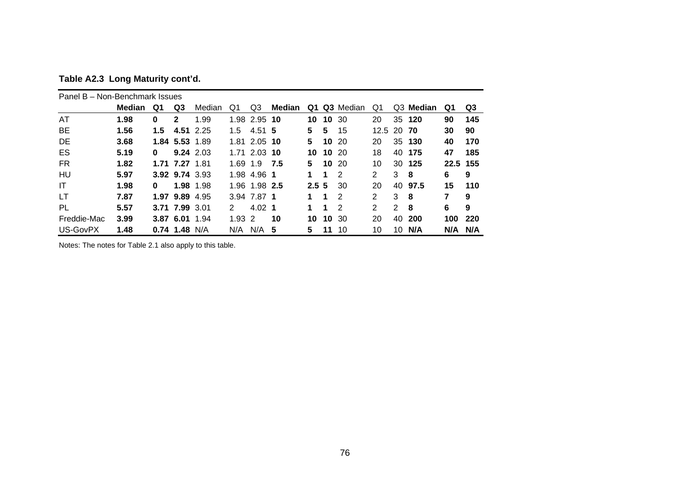| Table A2.3 Long Maturity cont'd. |  |  |  |
|----------------------------------|--|--|--|
|----------------------------------|--|--|--|

|             | Panel B - Non-Benchmark Issues |          |                 |           |             |                   |        |                  |          |           |                |    |                       |      |     |
|-------------|--------------------------------|----------|-----------------|-----------|-------------|-------------------|--------|------------------|----------|-----------|----------------|----|-----------------------|------|-----|
|             | Median                         | Q1       | Q3              | Median    | Q1          | Q3                | Median | Q1               |          | Q3 Median | Q1             |    | Q <sub>3</sub> Median | Q1   | Q3  |
| AT          | 1.98                           | 0        | 2               | 1.99      |             | 1.98 2.95 10      |        |                  | 10 10 30 |           | 20             |    | 35 120                | 90   | 145 |
| BE          | 1.56                           | 1.5      |                 | 4.51 2.25 | 1.5         | 4.51 5            |        | 5.               | 5        | 15        | 12.5 20 70     |    |                       | 30   | 90  |
| DE          | 3.68                           |          | 1.84 5.53 1.89  |           |             | 1.81 2.05 10      |        | 5.               |          | $10^{20}$ | 20             |    | 35 130                | 40   | 170 |
| ES          | 5.19                           | $\bf{0}$ |                 | 9.24 2.03 |             | $1.71$ 2.03 10    |        | 10               | 10 20    |           | 18             | 40 | 175                   | 47   | 185 |
| <b>FR</b>   | 1.82                           |          | 1.71 7.27 1.81  |           | 1.69 1.9    |                   | 7.5    | 5.               | 10       | -20       | 10             | 30 | 125                   | 22.5 | 155 |
| HU          | 5.97                           |          | 3.92 9.74 3.93  |           | 1.98        | 4.96 1            |        | 1.               | 1        | -2        | 2              | 3  | -8                    | 6    | 9   |
| IT          | 1.98                           | $\bf{0}$ |                 | 1.98 1.98 |             | 1.96 1.98 2.5     |        | 2.5 <sub>5</sub> |          | 30        | 20             |    | 40 97.5               | 15   | 110 |
| LT          | 7.87                           |          | 1.97 9.89 4.95  |           |             | 3.94 7.87 1       |        | 1                | 1        | 2         | $\overline{2}$ | 3  | -8                    | 7    | 9   |
| PL          | 5.57                           |          | 3.71 7.99 3.01  |           | 2           | $4.02 \text{ } 1$ |        | 1                | 1        | 2         | $\overline{2}$ | 2  | -8                    | 6    | 9   |
| Freddie-Mac | 3.99                           |          | 3.87 6.01 1.94  |           | $1.93 \, 2$ |                   | 10     | 10               | 10       | -30       | 20             | 40 | 200                   | 100  | 220 |
| US-GovPX    | 1.48                           |          | $0.74$ 1.48 N/A |           | N/A         | N/A               | 5      | 5.               | 11       | 10        | 10             | 10 | N/A                   | N/A  | N/A |

Notes: The notes for Table 2.1 also apply to this table.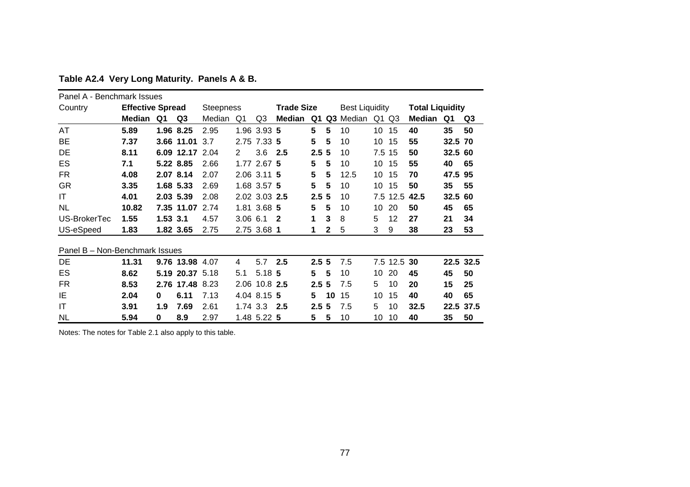| Panel A - Benchmark Issues     |                         |          |                 |                  |              |               |                         |                  |    |                       |     |               |                        |         |           |
|--------------------------------|-------------------------|----------|-----------------|------------------|--------------|---------------|-------------------------|------------------|----|-----------------------|-----|---------------|------------------------|---------|-----------|
| Country                        | <b>Effective Spread</b> |          |                 | <b>Steepness</b> |              |               | <b>Trade Size</b>       |                  |    | <b>Best Liquidity</b> |     |               | <b>Total Liquidity</b> |         |           |
|                                | Median Q1               |          | Q3              | Median           | Q1           | Q3            | Median Q1               |                  |    | Q3 Median             |     | $Q1$ $Q3$     | Median                 | Q1      | Q3        |
| <b>AT</b>                      | 5.89                    |          | 1.96 8.25       | 2.95             |              | 1.96 3.93 5   |                         | $5\phantom{1}$   | 5  | 10                    | 10  | 15            | 40                     | 35      | 50        |
| BE                             | 7.37                    |          | 3.66 11.01      | 3.7              |              | 2.75 7.33 5   |                         | 5                | 5  | 10                    | 10  | 15            | 55                     | 32.5 70 |           |
| DE                             | 8.11                    |          | 6.09 12.17      | 2.04             | 2            | 3.6           | 2.5                     | 2.5              | -5 | 10                    | 7.5 | 15            | 50                     | 32.5 60 |           |
| ES                             | 7.1                     |          | 5.22 8.85       | 2.66             |              | 1.77 2.67 5   |                         | 5                | 5  | 10                    | 10  | 15            | 55                     | 40      | 65        |
| FR.                            | 4.08                    |          | 2.07 8.14       | 2.07             |              | 2.06 3.11 5   |                         | 5                | 5  | 12.5                  | 10  | 15            | 70                     | 47.5 95 |           |
| <b>GR</b>                      | 3.35                    |          | 1.68 5.33       | 2.69             |              | 1.68 3.57 5   |                         | 5                | 5  | 10                    | 10  | 15            | 50                     | 35      | 55        |
| IT                             | 4.01                    |          | 2.03 5.39       | 2.08             |              | 2.02 3.03 2.5 |                         | 2.5 <sub>5</sub> |    | 10                    |     | 7.5 12.5 42.5 |                        | 32.5 60 |           |
| <b>NL</b>                      | 10.82                   |          | 7.35 11.07      | 2.74             |              | 1.81 3.68 5   |                         | 5                | 5  | 10                    | 10  | 20            | 50                     | 45      | 65        |
| US-BrokerTec                   | 1.55                    | 1.53 3.1 |                 | 4.57             | $3.06$ $6.1$ |               | $\overline{\mathbf{2}}$ | 1                | 3  | 8                     | 5   | 12            | 27                     | 21      | 34        |
| US-eSpeed                      | 1.83                    |          | 1.82 3.65       | 2.75             |              | 2.75 3.68 1   |                         | 1                | 2  | 5                     | 3   | 9             | 38                     | 23      | 53        |
| Panel B - Non-Benchmark Issues |                         |          |                 |                  |              |               |                         |                  |    |                       |     |               |                        |         |           |
| DE                             | 11.31                   |          | 9.76 13.98 4.07 |                  | 4            | 5.7           | 2.5                     | 2.55             |    | 7.5                   |     | 7.5 12.5 30   |                        |         | 22.5 32.5 |
| <b>ES</b>                      | 8.62                    |          | 5.19 20.37 5.18 |                  | 5.1          | 5.18 5        |                         | 5                | 5  | 10                    | 10  | 20            | 45                     | 45      | 50        |
| <b>FR</b>                      | 8.53                    |          | 2.76 17.48 8.23 |                  |              | 2.06 10.8 2.5 |                         | 2.5              | -5 | 7.5                   | 5   | 10            | 20                     | 15      | 25        |
| ΙE                             | 2.04                    | 0        | 6.11            | 7.13             |              | 4.04 8.15 5   |                         | 5                | 10 | 15                    | 10  | 15            | 40                     | 40      | 65        |
| ΙT                             | 3.91                    | 1.9      | 7.69            | 2.61             |              | 1.74 3.3      | 2.5                     | 2.5 <sub>5</sub> |    | 7.5                   | 5.  | 10            | 32.5                   |         | 22.5 37.5 |
| NL                             | 5.94                    | $\bf{0}$ | 8.9             | 2.97             |              | 1.48 5.22 5   |                         | 5                | 5  | 10                    | 10  | 10            | 40                     | 35      | 50        |

**Table A2.4 Very Long Maturity. Panels A & B.** 

Notes: The notes for Table 2.1 also apply to this table.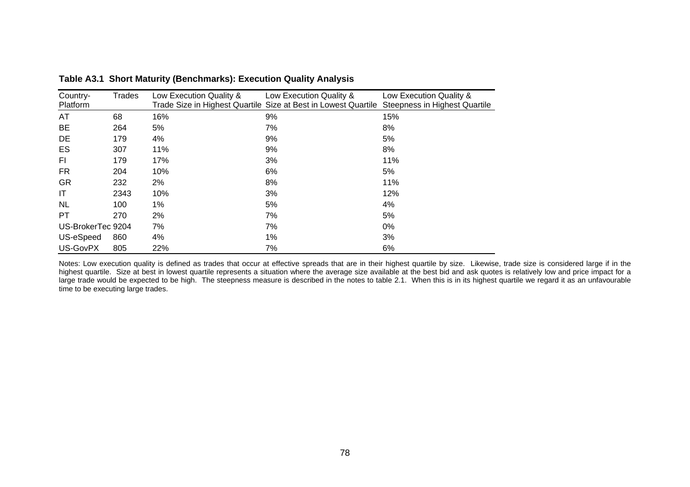| Country-<br>Platform | Trades | Low Execution Quality & | Low Execution Quality &<br>Trade Size in Highest Quartile Size at Best in Lowest Quartile | Low Execution Quality &<br><b>Steepness in Highest Quartile</b> |
|----------------------|--------|-------------------------|-------------------------------------------------------------------------------------------|-----------------------------------------------------------------|
| AT                   | 68     | 16%                     | 9%                                                                                        | 15%                                                             |
| BE                   | 264    | 5%                      | 7%                                                                                        | 8%                                                              |
| DE                   | 179    | 4%                      | 9%                                                                                        | 5%                                                              |
| ES                   | 307    | 11%                     | 9%                                                                                        | 8%                                                              |
| FI                   | 179    | 17%                     | 3%                                                                                        | 11%                                                             |
| FR.                  | 204    | 10%                     | 6%                                                                                        | 5%                                                              |
| <b>GR</b>            | 232    | 2%                      | 8%                                                                                        | 11%                                                             |
| ΙT                   | 2343   | 10%                     | 3%                                                                                        | 12%                                                             |
| <b>NL</b>            | 100    | $1\%$                   | 5%                                                                                        | 4%                                                              |
| PT                   | 270    | 2%                      | 7%                                                                                        | 5%                                                              |
| US-BrokerTec 9204    |        | 7%                      | 7%                                                                                        | 0%                                                              |
| US-eSpeed            | 860    | 4%                      | 1%                                                                                        | 3%                                                              |
| US-GovPX             | 805    | 22%                     | 7%                                                                                        | 6%                                                              |

**Table A3.1 Short Maturity (Benchmarks): Execution Quality Analysis** 

Notes: Low execution quality is defined as trades that occur at effective spreads that are in their highest quartile by size. Likewise, trade size is considered large if in the highest quartile. Size at best in lowest quartile represents a situation where the average size available at the best bid and ask quotes is relatively low and price impact for a large trade would be expected to be high. The steepness measure is described in the notes to table 2.1. When this is in its highest quartile we regard it as an unfavourable time to be executing large trades.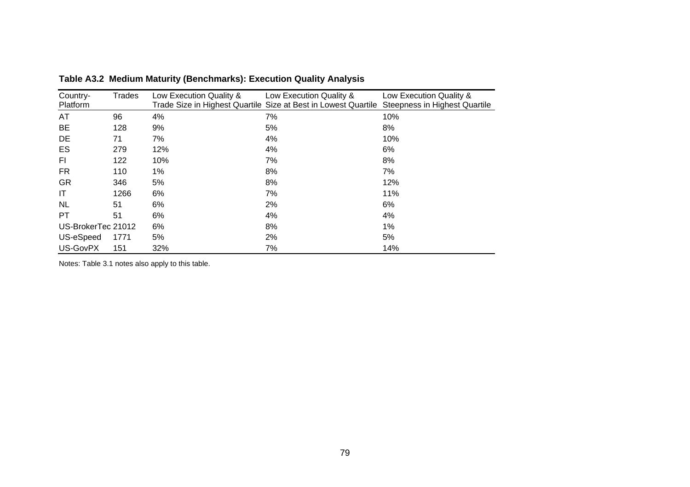| Country-<br>Platform | Trades | Low Execution Quality & | Low Execution Quality &<br>Trade Size in Highest Quartile Size at Best in Lowest Quartile | Low Execution Quality &<br>Steepness in Highest Quartile |
|----------------------|--------|-------------------------|-------------------------------------------------------------------------------------------|----------------------------------------------------------|
| AT                   | 96     | 4%                      | 7%                                                                                        | 10%                                                      |
| BE                   | 128    | 9%                      | 5%                                                                                        | 8%                                                       |
| DE                   | 71     | 7%                      | 4%                                                                                        | 10%                                                      |
| ES                   | 279    | 12%                     | 4%                                                                                        | 6%                                                       |
| FI.                  | 122    | 10%                     | 7%                                                                                        | 8%                                                       |
| FR.                  | 110    | $1\%$                   | 8%                                                                                        | 7%                                                       |
| <b>GR</b>            | 346    | 5%                      | 8%                                                                                        | 12%                                                      |
| IT                   | 1266   | 6%                      | 7%                                                                                        | 11%                                                      |
| <b>NL</b>            | 51     | 6%                      | 2%                                                                                        | 6%                                                       |
| PT                   | 51     | 6%                      | 4%                                                                                        | 4%                                                       |
| US-BrokerTec 21012   |        | 6%                      | 8%                                                                                        | 1%                                                       |
| US-eSpeed            | 1771   | 5%                      | 2%                                                                                        | 5%                                                       |
| US-GovPX             | 151    | 32%                     | 7%                                                                                        | 14%                                                      |

**Table A3.2 Medium Maturity (Benchmarks): Execution Quality Analysis** 

Notes: Table 3.1 notes also apply to this table.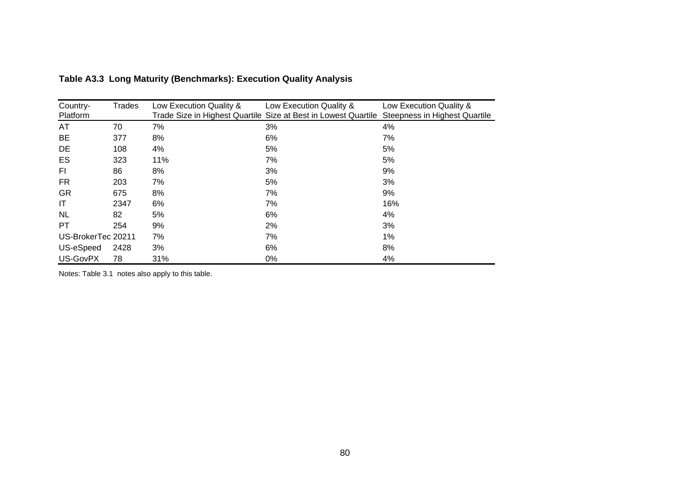| Country-           | <b>Trades</b> | Low Execution Quality & | Low Execution Quality &                                        | Low Execution Quality &       |
|--------------------|---------------|-------------------------|----------------------------------------------------------------|-------------------------------|
| Platform           |               |                         | Trade Size in Highest Quartile Size at Best in Lowest Quartile | Steepness in Highest Quartile |
| AT                 | 70            | 7%                      | 3%                                                             | 4%                            |
| <b>BE</b>          | 377           | 8%                      | 6%                                                             | 7%                            |
| DE                 | 108           | 4%                      | 5%                                                             | 5%                            |
| ES                 | 323           | 11%                     | 7%                                                             | 5%                            |
| FI.                | 86            | 8%                      | 3%                                                             | 9%                            |
| <b>FR</b>          | 203           | 7%                      | 5%                                                             | 3%                            |
| <b>GR</b>          | 675           | 8%                      | 7%                                                             | 9%                            |
| IT                 | 2347          | 6%                      | 7%                                                             | 16%                           |
| <b>NL</b>          | 82            | 5%                      | 6%                                                             | 4%                            |
| PT                 | 254           | 9%                      | 2%                                                             | 3%                            |
| US-BrokerTec 20211 |               | 7%                      | 7%                                                             | 1%                            |
| US-eSpeed          | 2428          | 3%                      | 6%                                                             | 8%                            |
| US-GovPX           | 78            | 31%                     | 0%                                                             | 4%                            |

| Table A3.3 Long Maturity (Benchmarks): Execution Quality Analysis |  |
|-------------------------------------------------------------------|--|
|-------------------------------------------------------------------|--|

Notes: Table 3.1 notes also apply to this table.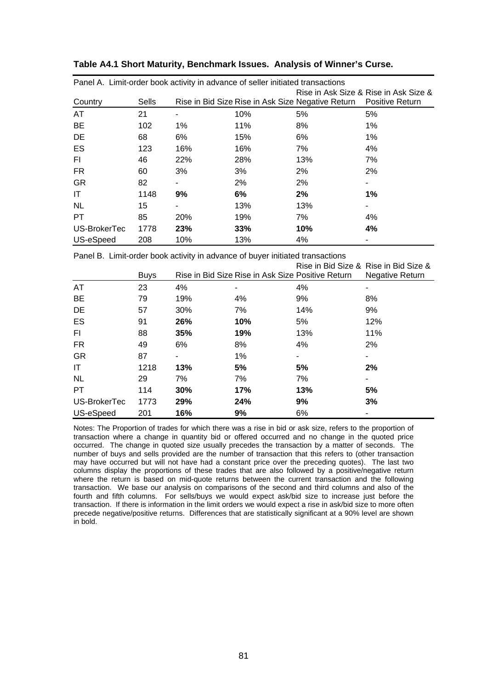| Panel A. Limit-order book activity in advance of seller initiated transactions |              |            |     |                                                   |                                       |  |
|--------------------------------------------------------------------------------|--------------|------------|-----|---------------------------------------------------|---------------------------------------|--|
|                                                                                |              |            |     |                                                   | Rise in Ask Size & Rise in Ask Size & |  |
| Country                                                                        | <b>Sells</b> |            |     | Rise in Bid Size Rise in Ask Size Negative Return | <b>Positive Return</b>                |  |
| AT                                                                             | 21           |            | 10% | 5%                                                | 5%                                    |  |
| <b>BE</b>                                                                      | 102          | $1\%$      | 11% | 8%                                                | 1%                                    |  |
| DE                                                                             | 68           | 6%         | 15% | 6%                                                | 1%                                    |  |
| ES                                                                             | 123          | 16%        | 16% | 7%                                                | 4%                                    |  |
| FI                                                                             | 46           | 22%        | 28% | 13%                                               | 7%                                    |  |
| FR.                                                                            | 60           | 3%         | 3%  | 2%                                                | 2%                                    |  |
| <b>GR</b>                                                                      | 82           |            | 2%  | 2%                                                |                                       |  |
| IT                                                                             | 1148         | 9%         | 6%  | 2%                                                | $1\%$                                 |  |
| <b>NL</b>                                                                      | 15           |            | 13% | 13%                                               |                                       |  |
| <b>PT</b>                                                                      | 85           | <b>20%</b> | 19% | 7%                                                | 4%                                    |  |
| US-BrokerTec                                                                   | 1778         | 23%        | 33% | 10%                                               | 4%                                    |  |
| US-eSpeed                                                                      | 208          | 10%        | 13% | 4%                                                |                                       |  |

#### **Table A4.1 Short Maturity, Benchmark Issues. Analysis of Winner's Curse.**

Panel B. Limit-order book activity in advance of buyer initiated transactions

|              |             |     |                                                   |     | Rise in Bid Size & Rise in Bid Size & |
|--------------|-------------|-----|---------------------------------------------------|-----|---------------------------------------|
|              | <b>Buys</b> |     | Rise in Bid Size Rise in Ask Size Positive Return |     | <b>Negative Return</b>                |
| AT           | 23          | 4%  |                                                   | 4%  |                                       |
| <b>BE</b>    | 79          | 19% | 4%                                                | 9%  | 8%                                    |
| DE           | 57          | 30% | 7%                                                | 14% | 9%                                    |
| ES           | 91          | 26% | 10%                                               | 5%  | 12%                                   |
| FI.          | 88          | 35% | 19%                                               | 13% | 11%                                   |
| <b>FR</b>    | 49          | 6%  | 8%                                                | 4%  | 2%                                    |
| <b>GR</b>    | 87          |     | $1\%$                                             | ۰   |                                       |
| IT           | 1218        | 13% | 5%                                                | 5%  | 2%                                    |
| <b>NL</b>    | 29          | 7%  | 7%                                                | 7%  |                                       |
| <b>PT</b>    | 114         | 30% | 17%                                               | 13% | 5%                                    |
| US-BrokerTec | 1773        | 29% | 24%                                               | 9%  | 3%                                    |
| US-eSpeed    | 201         | 16% | 9%                                                | 6%  |                                       |

Notes: The Proportion of trades for which there was a rise in bid or ask size, refers to the proportion of transaction where a change in quantity bid or offered occurred and no change in the quoted price occurred. The change in quoted size usually precedes the transaction by a matter of seconds. The number of buys and sells provided are the number of transaction that this refers to (other transaction may have occurred but will not have had a constant price over the preceding quotes). The last two columns display the proportions of these trades that are also followed by a positive/negative return where the return is based on mid-quote returns between the current transaction and the following transaction. We base our analysis on comparisons of the second and third columns and also of the fourth and fifth columns. For sells/buys we would expect ask/bid size to increase just before the transaction. If there is information in the limit orders we would expect a rise in ask/bid size to more often precede negative/positive returns. Differences that are statistically significant at a 90% level are shown in bold.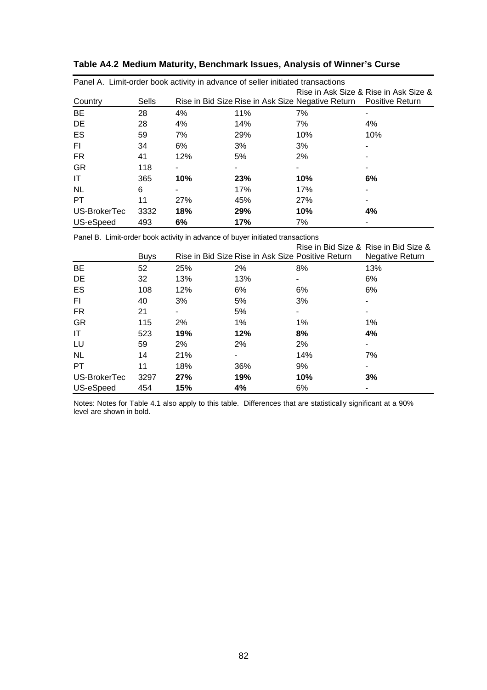|              |       |     |            | Panel A. Limit-order book activity in advance of seller initiated transactions |     |  |
|--------------|-------|-----|------------|--------------------------------------------------------------------------------|-----|--|
|              |       |     |            | Rise in Ask Size & Rise in Ask Size &                                          |     |  |
| Country      | Sells |     |            | Rise in Bid Size Rise in Ask Size Negative Return  Positive Return             |     |  |
| <b>BE</b>    | 28    | 4%  | 11%        | 7%                                                                             |     |  |
| DE           | 28    | 4%  | 14%        | 7%                                                                             | 4%  |  |
| ES           | 59    | 7%  | 29%        | 10%                                                                            | 10% |  |
| FI.          | 34    | 6%  | 3%         | 3%                                                                             |     |  |
| FR.          | 41    | 12% | 5%         | 2%                                                                             |     |  |
| GR           | 118   |     |            |                                                                                |     |  |
| IT           | 365   | 10% | 23%        | 10%                                                                            | 6%  |  |
| <b>NL</b>    | 6     |     | 17%        | 17%                                                                            |     |  |
| <b>PT</b>    | 11    | 27% | 45%        | 27%                                                                            |     |  |
| US-BrokerTec | 3332  | 18% | <b>29%</b> | 10%                                                                            | 4%  |  |
| US-eSpeed    | 493   | 6%  | 17%        | 7%                                                                             |     |  |

| Table A4.2 Medium Maturity, Benchmark Issues, Analysis of Winner's Curse |  |  |
|--------------------------------------------------------------------------|--|--|
|--------------------------------------------------------------------------|--|--|

Panel B. Limit-order book activity in advance of buyer initiated transactions

|              |             |     |                                                   |     | Rise in Bid Size & Rise in Bid Size & |
|--------------|-------------|-----|---------------------------------------------------|-----|---------------------------------------|
|              | <b>Buys</b> |     | Rise in Bid Size Rise in Ask Size Positive Return |     | <b>Negative Return</b>                |
| BE           | 52          | 25% | 2%                                                | 8%  | 13%                                   |
| DE           | 32          | 13% | 13%                                               |     | 6%                                    |
| ES           | 108         | 12% | 6%                                                | 6%  | 6%                                    |
| FI.          | 40          | 3%  | 5%                                                | 3%  |                                       |
| FR.          | 21          | ٠   | 5%                                                | ٠   |                                       |
| <b>GR</b>    | 115         | 2%  | $1\%$                                             | 1%  | 1%                                    |
| IT           | 523         | 19% | 12%                                               | 8%  | 4%                                    |
| LU           | 59          | 2%  | 2%                                                | 2%  |                                       |
| <b>NL</b>    | 14          | 21% |                                                   | 14% | 7%                                    |
| PT.          | 11          | 18% | 36%                                               | 9%  |                                       |
| US-BrokerTec | 3297        | 27% | 19%                                               | 10% | 3%                                    |
| US-eSpeed    | 454         | 15% | 4%                                                | 6%  |                                       |

Notes: Notes for Table 4.1 also apply to this table. Differences that are statistically significant at a 90% level are shown in bold.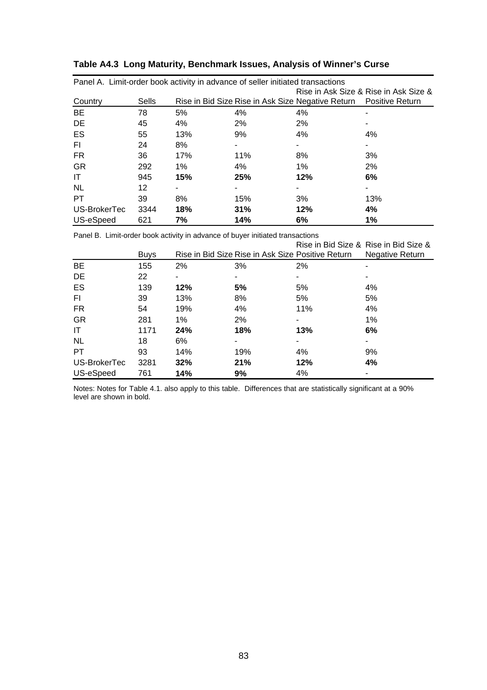|              |       |       |     | Panel A. Limit-order book activity in advance of seller initiated transactions |                                       |
|--------------|-------|-------|-----|--------------------------------------------------------------------------------|---------------------------------------|
|              |       |       |     |                                                                                | Rise in Ask Size & Rise in Ask Size & |
| Country      | Sells |       |     | Rise in Bid Size Rise in Ask Size Negative Return  Positive Return             |                                       |
| BE           | 78    | 5%    | 4%  | 4%                                                                             |                                       |
| DE           | 45    | 4%    | 2%  | 2%                                                                             |                                       |
| <b>ES</b>    | 55    | 13%   | 9%  | 4%                                                                             | 4%                                    |
| FI.          | 24    | 8%    |     |                                                                                |                                       |
| FR.          | 36    | 17%   | 11% | 8%                                                                             | 3%                                    |
| <b>GR</b>    | 292   | $1\%$ | 4%  | 1%                                                                             | 2%                                    |
| IT           | 945   | 15%   | 25% | 12%                                                                            | 6%                                    |
| <b>NL</b>    | 12    |       |     |                                                                                |                                       |
| PT.          | 39    | 8%    | 15% | 3%                                                                             | 13%                                   |
| US-BrokerTec | 3344  | 18%   | 31% | 12%                                                                            | 4%                                    |
| US-eSpeed    | 621   | 7%    | 14% | 6%                                                                             | 1%                                    |

| Table A4.3 Long Maturity, Benchmark Issues, Analysis of Winner's Curse |
|------------------------------------------------------------------------|
|------------------------------------------------------------------------|

Panel B. Limit-order book activity in advance of buyer initiated transactions

|              |             |     |                                                   |     | Rise in Bid Size & Rise in Bid Size & |
|--------------|-------------|-----|---------------------------------------------------|-----|---------------------------------------|
|              | <b>Buys</b> |     | Rise in Bid Size Rise in Ask Size Positive Return |     | <b>Negative Return</b>                |
| <b>BE</b>    | 155         | 2%  | 3%                                                | 2%  |                                       |
| DE           | 22          |     |                                                   |     |                                       |
| ES           | 139         | 12% | 5%                                                | 5%  | 4%                                    |
| FI.          | 39          | 13% | 8%                                                | 5%  | 5%                                    |
| FR.          | 54          | 19% | 4%                                                | 11% | 4%                                    |
| <b>GR</b>    | 281         | 1%  | 2%                                                |     | 1%                                    |
| IT           | 1171        | 24% | 18%                                               | 13% | 6%                                    |
| <b>NL</b>    | 18          | 6%  |                                                   |     |                                       |
| <b>PT</b>    | 93          | 14% | 19%                                               | 4%  | 9%                                    |
| US-BrokerTec | 3281        | 32% | 21%                                               | 12% | 4%                                    |
| US-eSpeed    | 761         | 14% | 9%                                                | 4%  |                                       |

Notes: Notes for Table 4.1. also apply to this table. Differences that are statistically significant at a 90% level are shown in bold.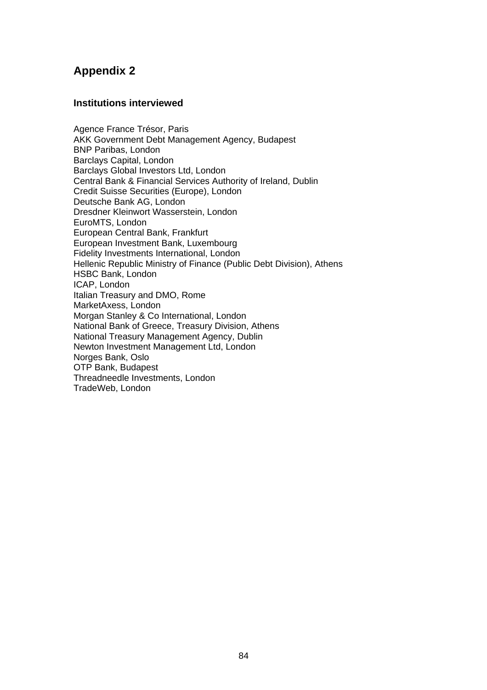# **Appendix 2**

#### **Institutions interviewed**

Agence France Trésor, Paris AKK Government Debt Management Agency, Budapest BNP Paribas, London Barclays Capital, London Barclays Global Investors Ltd, London Central Bank & Financial Services Authority of Ireland, Dublin Credit Suisse Securities (Europe), London Deutsche Bank AG, London Dresdner Kleinwort Wasserstein, London EuroMTS, London European Central Bank, Frankfurt European Investment Bank, Luxembourg Fidelity Investments International, London Hellenic Republic Ministry of Finance (Public Debt Division), Athens HSBC Bank, London ICAP, London Italian Treasury and DMO, Rome MarketAxess, London Morgan Stanley & Co International, London National Bank of Greece, Treasury Division, Athens National Treasury Management Agency, Dublin Newton Investment Management Ltd, London Norges Bank, Oslo OTP Bank, Budapest Threadneedle Investments, London TradeWeb, London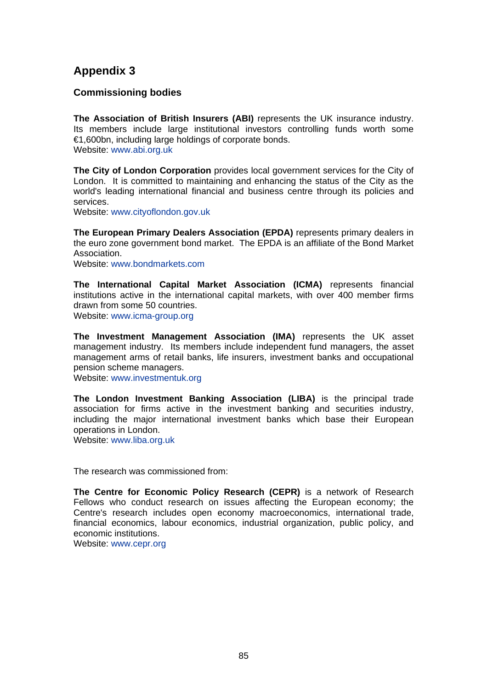## **Appendix 3**

### **Commissioning bodies**

**The Association of British Insurers (ABI)** represents the UK insurance industry. Its members include large institutional investors controlling funds worth some €1,600bn, including large holdings of corporate bonds. Website: www.abi.org.uk

**The City of London Corporation** provides local government services for the City of London. It is committed to maintaining and enhancing the status of the City as the world's leading international financial and business centre through its policies and services.

Website: www.cityoflondon.gov.uk

**The European Primary Dealers Association (EPDA)** represents primary dealers in the euro zone government bond market. The EPDA is an affiliate of the Bond Market Association.

Website: www.bondmarkets.com

**The International Capital Market Association (ICMA)** represents financial institutions active in the international capital markets, with over 400 member firms drawn from some 50 countries.

Website: www.icma-group.org

**The Investment Management Association (IMA)** represents the UK asset management industry. Its members include independent fund managers, the asset management arms of retail banks, life insurers, investment banks and occupational pension scheme managers.

Website: www.investmentuk.org

**The London Investment Banking Association (LIBA)** is the principal trade association for firms active in the investment banking and securities industry, including the major international investment banks which base their European operations in London.

Website: www.liba.org.uk

The research was commissioned from:

**The Centre for Economic Policy Research (CEPR)** is a network of Research Fellows who conduct research on issues affecting the European economy; the Centre's research includes open economy macroeconomics, international trade, financial economics, labour economics, industrial organization, public policy, and economic institutions.

Website: www.cepr.org